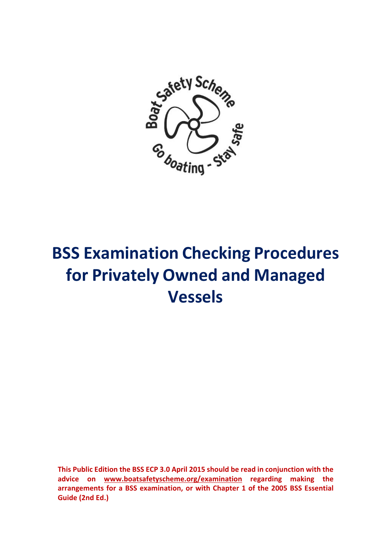

# **BSS Examination Checking Procedures for Privately Owned and Managed Vessels**

**This Public Edition the BSS ECP 3.0 April 2015 should be read in conjunction with the advice on www.boatsafetyscheme.org/examination regarding making the arrangements for a BSS examination, or with Chapter 1 of the 2005 BSS Essential Guide (2nd Ed.)**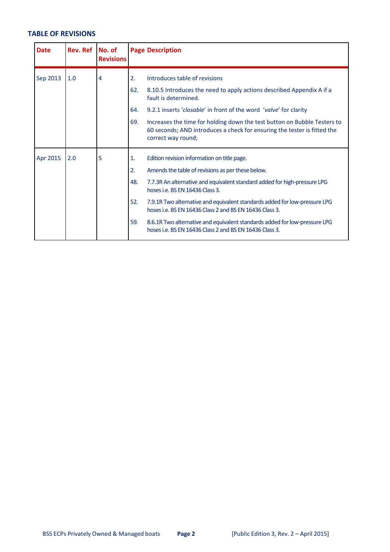# **TABLE OF REVISIONS**

| <b>Date</b> | Rev. Ref   No. of | <b>Revisions</b> |                      | <b>Page Description</b>                                                                                                                                                    |
|-------------|-------------------|------------------|----------------------|----------------------------------------------------------------------------------------------------------------------------------------------------------------------------|
| Sep 2013    | 1.0               | 4                | 2.<br>62.            | Introduces table of revisions<br>8.10.5 Introduces the need to apply actions described Appendix A if a<br>fault is determined.                                             |
|             |                   |                  | 64.                  | 9.2.1 inserts 'closable' in front of the word 'valve' for clarity                                                                                                          |
|             |                   |                  | 69.                  | Increases the time for holding down the test button on Bubble Testers to<br>60 seconds; AND introduces a check for ensuring the tester is fitted the<br>correct way round; |
| Apr 2015    | 2.0               | 5                | $\mathbf{1}$ .<br>2. | Edition revision information on title page.<br>Amends the table of revisions as per these below.                                                                           |
|             |                   |                  | 48.                  | 7.7.3R An alternative and equivalent standard added for high-pressure LPG<br>hoses i.e. BS EN 16436 Class 3.                                                               |
|             |                   |                  | 52.                  | 7.9.1R Two alternative and equivalent standards added for low-pressure LPG<br>hoses i.e. BS EN 16436 Class 2 and BS EN 16436 Class 3.                                      |
|             |                   |                  | 59.                  | 8.6.1R Two alternative and equivalent standards added for low-pressure LPG<br>hoses i.e. BS EN 16436 Class 2 and BS EN 16436 Class 3.                                      |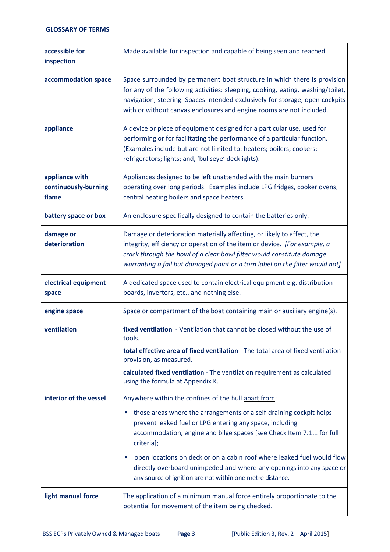| accessible for<br>inspection                    | Made available for inspection and capable of being seen and reached.                                                                                                                                                                                                                                                |
|-------------------------------------------------|---------------------------------------------------------------------------------------------------------------------------------------------------------------------------------------------------------------------------------------------------------------------------------------------------------------------|
| accommodation space                             | Space surrounded by permanent boat structure in which there is provision<br>for any of the following activities: sleeping, cooking, eating, washing/toilet,<br>navigation, steering. Spaces intended exclusively for storage, open cockpits<br>with or without canvas enclosures and engine rooms are not included. |
| appliance                                       | A device or piece of equipment designed for a particular use, used for<br>performing or for facilitating the performance of a particular function.<br>(Examples include but are not limited to: heaters; boilers; cookers;<br>refrigerators; lights; and, 'bullseye' decklights).                                   |
| appliance with<br>continuously-burning<br>flame | Appliances designed to be left unattended with the main burners<br>operating over long periods. Examples include LPG fridges, cooker ovens,<br>central heating boilers and space heaters.                                                                                                                           |
| battery space or box                            | An enclosure specifically designed to contain the batteries only.                                                                                                                                                                                                                                                   |
| damage or<br>deterioration                      | Damage or deterioration materially affecting, or likely to affect, the<br>integrity, efficiency or operation of the item or device. [For example, a<br>crack through the bowl of a clear bowl filter would constitute damage<br>warranting a fail but damaged paint or a torn label on the filter would not]        |
| electrical equipment<br>space                   | A dedicated space used to contain electrical equipment e.g. distribution<br>boards, invertors, etc., and nothing else.                                                                                                                                                                                              |
| engine space                                    | Space or compartment of the boat containing main or auxiliary engine(s).                                                                                                                                                                                                                                            |
| ventilation                                     | fixed ventilation - Ventilation that cannot be closed without the use of<br>tools.                                                                                                                                                                                                                                  |
|                                                 | total effective area of fixed ventilation - The total area of fixed ventilation<br>provision, as measured.                                                                                                                                                                                                          |
|                                                 | calculated fixed ventilation - The ventilation requirement as calculated<br>using the formula at Appendix K.                                                                                                                                                                                                        |
| interior of the vessel                          | Anywhere within the confines of the hull apart from:                                                                                                                                                                                                                                                                |
|                                                 | those areas where the arrangements of a self-draining cockpit helps<br>prevent leaked fuel or LPG entering any space, including<br>accommodation, engine and bilge spaces [see Check Item 7.1.1 for full<br>criteria];                                                                                              |
|                                                 | open locations on deck or on a cabin roof where leaked fuel would flow<br>directly overboard unimpeded and where any openings into any space or<br>any source of ignition are not within one metre distance.                                                                                                        |
| light manual force                              | The application of a minimum manual force entirely proportionate to the<br>potential for movement of the item being checked.                                                                                                                                                                                        |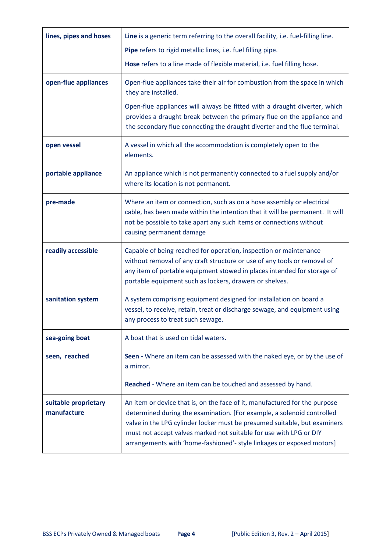| lines, pipes and hoses              | Line is a generic term referring to the overall facility, i.e. fuel-filling line.                                                                                                                                                                                                                                                                                                |
|-------------------------------------|----------------------------------------------------------------------------------------------------------------------------------------------------------------------------------------------------------------------------------------------------------------------------------------------------------------------------------------------------------------------------------|
|                                     | Pipe refers to rigid metallic lines, i.e. fuel filling pipe.                                                                                                                                                                                                                                                                                                                     |
|                                     | Hose refers to a line made of flexible material, i.e. fuel filling hose.                                                                                                                                                                                                                                                                                                         |
| open-flue appliances                | Open-flue appliances take their air for combustion from the space in which<br>they are installed.                                                                                                                                                                                                                                                                                |
|                                     | Open-flue appliances will always be fitted with a draught diverter, which<br>provides a draught break between the primary flue on the appliance and<br>the secondary flue connecting the draught diverter and the flue terminal.                                                                                                                                                 |
| open vessel                         | A vessel in which all the accommodation is completely open to the<br>elements.                                                                                                                                                                                                                                                                                                   |
| portable appliance                  | An appliance which is not permanently connected to a fuel supply and/or<br>where its location is not permanent.                                                                                                                                                                                                                                                                  |
| pre-made                            | Where an item or connection, such as on a hose assembly or electrical<br>cable, has been made within the intention that it will be permanent. It will<br>not be possible to take apart any such items or connections without<br>causing permanent damage                                                                                                                         |
| readily accessible                  | Capable of being reached for operation, inspection or maintenance<br>without removal of any craft structure or use of any tools or removal of<br>any item of portable equipment stowed in places intended for storage of<br>portable equipment such as lockers, drawers or shelves.                                                                                              |
| sanitation system                   | A system comprising equipment designed for installation on board a<br>vessel, to receive, retain, treat or discharge sewage, and equipment using<br>any process to treat such sewage.                                                                                                                                                                                            |
| sea-going boat                      | A boat that is used on tidal waters.                                                                                                                                                                                                                                                                                                                                             |
| seen, reached                       | Seen - Where an item can be assessed with the naked eye, or by the use of<br>a mirror.                                                                                                                                                                                                                                                                                           |
|                                     | Reached - Where an item can be touched and assessed by hand.                                                                                                                                                                                                                                                                                                                     |
| suitable proprietary<br>manufacture | An item or device that is, on the face of it, manufactured for the purpose<br>determined during the examination. [For example, a solenoid controlled<br>valve in the LPG cylinder locker must be presumed suitable, but examiners<br>must not accept valves marked not suitable for use with LPG or DIY<br>arrangements with 'home-fashioned'- style linkages or exposed motors] |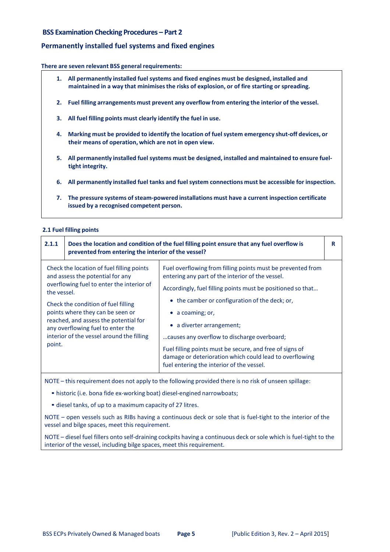# **BSS Examination Checking Procedures – Part 2**

# **Permanently installed fuel systems and fixed engines**

#### **There are seven relevant BSS general requirements:**

- **1. All permanently installed fuel systems and fixed engines must be designed, installed and maintained in a way that minimisesthe risks of explosion, or of fire starting or spreading.**
- **2. Fuel filling arrangements must prevent any overflow from entering the interior of the vessel.**
- **3. All fuel filling points must clearly identify the fuel in use.**
- **4. Marking must be provided to identify the location of fuel system emergency shut‐off devices, or their means of operation, which are not in open view.**
- **5. All permanently installed fuel systems must be designed, installed and maintained to ensure fuel‐ tight integrity.**
- **6. All permanently installed fuel tanks and fuel system connections must be accessible for inspection.**
- **7. The pressure systems of steam‐powered installations must have a current inspection certificate issued by a recognised competent person.**

# **2.1 Fuel filling points**

| 2.1.1                 | Does the location and condition of the fuel filling point ensure that any fuel overflow is<br>prevented from entering the interior of the vessel?                                                                                                                                                                                |                                                                                                                                                                                                                                                                                                                                                                                                                                                       | R |
|-----------------------|----------------------------------------------------------------------------------------------------------------------------------------------------------------------------------------------------------------------------------------------------------------------------------------------------------------------------------|-------------------------------------------------------------------------------------------------------------------------------------------------------------------------------------------------------------------------------------------------------------------------------------------------------------------------------------------------------------------------------------------------------------------------------------------------------|---|
| the vessel.<br>point. | Check the location of fuel filling points<br>and assess the potential for any<br>overflowing fuel to enter the interior of<br>Check the condition of fuel filling<br>points where they can be seen or<br>reached, and assess the potential for<br>any overflowing fuel to enter the<br>interior of the vessel around the filling | Fuel overflowing from filling points must be prevented from<br>entering any part of the interior of the vessel.<br>Accordingly, fuel filling points must be positioned so that<br>• the camber or configuration of the deck; or,<br>a coaming; or,<br>• a diverter arrangement;<br>causes any overflow to discharge overboard;<br>Fuel filling points must be secure, and free of signs of<br>damage or deterioration which could lead to overflowing |   |
|                       |                                                                                                                                                                                                                                                                                                                                  | fuel entering the interior of the vessel.                                                                                                                                                                                                                                                                                                                                                                                                             |   |

NOTE – this requirement does not apply to the following provided there is no risk of unseen spillage:

• historic (i.e. bona fide ex‐working boat) diesel‐engined narrowboats;

• diesel tanks, of up to a maximum capacity of 27 litres.

NOTE – open vessels such as RIBs having a continuous deck or sole that is fuel-tight to the interior of the vessel and bilge spaces, meet this requirement.

NOTE – diesel fuel fillers onto self-draining cockpits having a continuous deck or sole which is fuel-tight to the interior of the vessel, including bilge spaces, meet this requirement.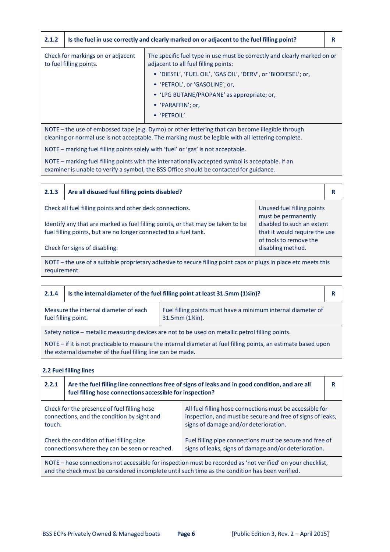| 2.1.2                                                        |                                                                                                  | Is the fuel in use correctly and clearly marked on or adjacent to the fuel filling point?                        | R |
|--------------------------------------------------------------|--------------------------------------------------------------------------------------------------|------------------------------------------------------------------------------------------------------------------|---|
| Check for markings on or adjacent<br>to fuel filling points. |                                                                                                  | The specific fuel type in use must be correctly and clearly marked on or<br>adjacent to all fuel filling points: |   |
|                                                              |                                                                                                  | · 'DIESEL', 'FUEL OIL', 'GAS OIL', 'DERV', or 'BIODIESEL'; or,                                                   |   |
|                                                              |                                                                                                  | • 'PETROL', or 'GASOLINE'; or,                                                                                   |   |
|                                                              |                                                                                                  | • 'LPG BUTANE/PROPANE' as appropriate; or,                                                                       |   |
|                                                              |                                                                                                  | • 'PARAFFIN'; or,                                                                                                |   |
|                                                              |                                                                                                  | • 'PETROIL'.                                                                                                     |   |
|                                                              | NOTE - the use of embossed tape (e.g. Dymo) or other lettering that can become illegible through |                                                                                                                  |   |

cleaning or normal use is not acceptable. The marking must be legible with all lettering complete.

NOTE – marking fuel filling points solely with 'fuel' or 'gas' is not acceptable.

NOTE – marking fuel filling points with the internationally accepted symbol is acceptable. If an examiner is unable to verify a symbol, the BSS Office should be contacted for guidance.

| 2.1.3                                                                                                                                               | Are all disused fuel filling points disabled?             |                                                                                       | R |
|-----------------------------------------------------------------------------------------------------------------------------------------------------|-----------------------------------------------------------|---------------------------------------------------------------------------------------|---|
|                                                                                                                                                     | Check all fuel filling points and other deck connections. | Unused fuel filling points<br>must be permanently                                     |   |
| Identify any that are marked as fuel filling points, or that may be taken to be<br>fuel filling points, but are no longer connected to a fuel tank. |                                                           | disabled to such an extent<br>that it would require the use<br>of tools to remove the |   |
| Check for signs of disabling.<br>disabling method.                                                                                                  |                                                           |                                                                                       |   |
| NOTE – the use of a suitable proprietary adhesive to secure filling point caps or plugs in place etc meets this                                     |                                                           |                                                                                       |   |

requirement.

| 2.1.4                                                        | Is the internal diameter of the fuel filling point at least 31.5mm (1%in)?                                                                                                     |                                                                                              | R |  |
|--------------------------------------------------------------|--------------------------------------------------------------------------------------------------------------------------------------------------------------------------------|----------------------------------------------------------------------------------------------|---|--|
| Measure the internal diameter of each<br>fuel filling point. |                                                                                                                                                                                | Fuel filling points must have a minimum internal diameter of<br>$31.5$ mm $(1\frac{1}{1})$ . |   |  |
|                                                              | Safety notice - metallic measuring devices are not to be used on metallic petrol filling points.                                                                               |                                                                                              |   |  |
|                                                              | NOTE – if it is not practicable to measure the internal diameter at fuel filling points, an estimate based upon<br>the external diameter of the fuel filling line can be made. |                                                                                              |   |  |

# **2.2 Fuel filling lines**

| 2.2.1                                                                                                                                                                                                          | fuel filling hose connections accessible for inspection?                                   | Are the fuel filling line connections free of signs of leaks and in good condition, and are all                                                                 |  |
|----------------------------------------------------------------------------------------------------------------------------------------------------------------------------------------------------------------|--------------------------------------------------------------------------------------------|-----------------------------------------------------------------------------------------------------------------------------------------------------------------|--|
| touch.                                                                                                                                                                                                         | Check for the presence of fuel filling hose<br>connections, and the condition by sight and | All fuel filling hose connections must be accessible for<br>inspection, and must be secure and free of signs of leaks,<br>signs of damage and/or deterioration. |  |
| Check the condition of fuel filling pipe<br>connections where they can be seen or reached.                                                                                                                     |                                                                                            | Fuel filling pipe connections must be secure and free of<br>signs of leaks, signs of damage and/or deterioration.                                               |  |
| NOTE – hose connections not accessible for inspection must be recorded as 'not verified' on your checklist,<br>and the check must be considered incomplete until such time as the condition has been verified. |                                                                                            |                                                                                                                                                                 |  |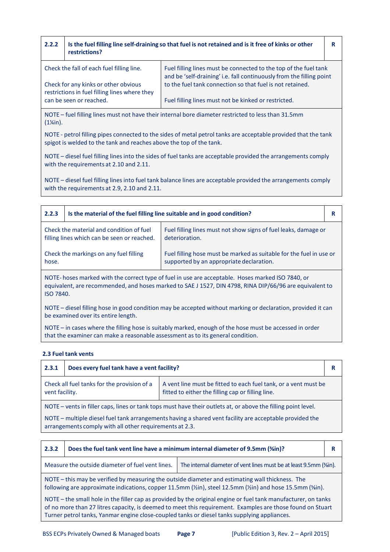| 2.2.2                                                                                               | restrictions?                             | Is the fuel filling line self-draining so that fuel is not retained and is it free of kinks or other                                     | R |
|-----------------------------------------------------------------------------------------------------|-------------------------------------------|------------------------------------------------------------------------------------------------------------------------------------------|---|
|                                                                                                     | Check the fall of each fuel filling line. | Fuel filling lines must be connected to the top of the fuel tank<br>and be 'self-draining' i.e. fall continuously from the filling point |   |
| Check for any kinks or other obvious<br>restrictions in fuel filling lines where they               |                                           | to the fuel tank connection so that fuel is not retained.                                                                                |   |
|                                                                                                     | can be seen or reached.                   | Fuel filling lines must not be kinked or restricted.                                                                                     |   |
| NOTE – fuel filling lines must not have their internal bore diameter restricted to less than 31.5mm |                                           |                                                                                                                                          |   |

NOTE – fuel filling lines must not have their internal bore diameter restricted to less than 31.5mm (1¼in).

NOTE ‐ petrol filling pipes connected to the sides of metal petrol tanks are acceptable provided that the tank spigot is welded to the tank and reaches above the top of the tank.

NOTE – diesel fuel filling lines into the sides of fuel tanks are acceptable provided the arrangements comply with the requirements at 2.10 and 2.11.

NOTE – diesel fuel filling lines into fuel tank balance lines are acceptable provided the arrangements comply with the requirements at 2.9, 2.10 and 2.11.

| 2.2.3                                                                                                                                                                                                                    | Is the material of the fuel filling line suitable and in good condition? |                                                                                                              | R |
|--------------------------------------------------------------------------------------------------------------------------------------------------------------------------------------------------------------------------|--------------------------------------------------------------------------|--------------------------------------------------------------------------------------------------------------|---|
| Check the material and condition of fuel<br>filling lines which can be seen or reached.                                                                                                                                  |                                                                          | Fuel filling lines must not show signs of fuel leaks, damage or<br>deterioration.                            |   |
| Check the markings on any fuel filling<br>Fuel filling hose must be marked as suitable for the fuel in use or<br>supported by an appropriate declaration.<br>hose.                                                       |                                                                          |                                                                                                              |   |
| NOTE-hoses marked with the correct type of fuel in use are acceptable. Hoses marked ISO 7840, or<br>equivalent, are recommended, and hoses marked to SAE J 1527, DIN 4798, RINA DIP/66/96 are equivalent to<br>ISO 7840. |                                                                          |                                                                                                              |   |
|                                                                                                                                                                                                                          |                                                                          | NOTE – diesel filling hose in good condition may be accepted without marking or declaration, provided it can |   |

sel filling hose in good condition may be accepted without marking or declaration, provided it be examined over its entire length.

NOTE – in cases where the filling hose is suitably marked, enough of the hose must be accessed in order that the examiner can make a reasonable assessment as to its general condition.

#### **2.3 Fuel tank vents**

| 2.3.1                                                                                                                                                                                 | Does every fuel tank have a vent facility? |  |  |
|---------------------------------------------------------------------------------------------------------------------------------------------------------------------------------------|--------------------------------------------|--|--|
| Check all fuel tanks for the provision of a<br>A vent line must be fitted to each fuel tank, or a vent must be<br>fitted to either the filling cap or filling line.<br>vent facility. |                                            |  |  |
| NOTE – vents in filler caps, lines or tank tops must have their outlets at, or above the filling point level.                                                                         |                                            |  |  |
| NOTE – multiple diesel fuel tank arrangements having a shared vent facility are acceptable provided the<br>arrangements comply with all other requirements at 2.3.                    |                                            |  |  |

| 2.3.2                                                                                                                                                                                                                                                                                                                        | Does the fuel tank vent line have a minimum internal diameter of 9.5mm (%in)? |  |  |
|------------------------------------------------------------------------------------------------------------------------------------------------------------------------------------------------------------------------------------------------------------------------------------------------------------------------------|-------------------------------------------------------------------------------|--|--|
| Measure the outside diameter of fuel vent lines.<br>The internal diameter of vent lines must be at least 9.5mm (%in).                                                                                                                                                                                                        |                                                                               |  |  |
| NOTE – this may be verified by measuring the outside diameter and estimating wall thickness. The<br>following are approximate indications, copper 11.5mm (1/2 in), steel 12.5mm (1/2 in) and hose 15.5mm (1/2 in).                                                                                                           |                                                                               |  |  |
| NOTE – the small hole in the filler cap as provided by the original engine or fuel tank manufacturer, on tanks<br>of no more than 27 litres capacity, is deemed to meet this requirement. Examples are those found on Stuart<br>Turner petrol tanks, Yanmar engine close-coupled tanks or diesel tanks supplying appliances. |                                                                               |  |  |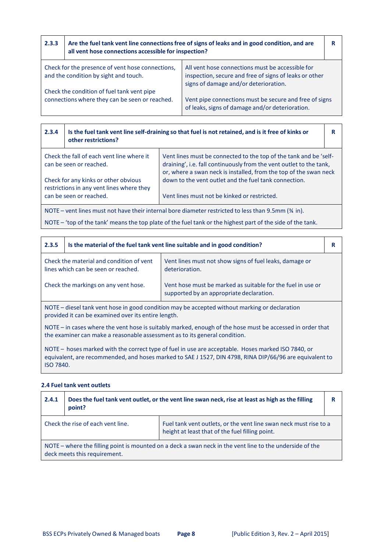| 2.3.3                                                                                        | Are the fuel tank vent line connections free of signs of leaks and in good condition, and are<br>all vent hose connections accessible for inspection? |                                                                                                                                                     |  |
|----------------------------------------------------------------------------------------------|-------------------------------------------------------------------------------------------------------------------------------------------------------|-----------------------------------------------------------------------------------------------------------------------------------------------------|--|
|                                                                                              | Check for the presence of vent hose connections,<br>and the condition by sight and touch.                                                             | All vent hose connections must be accessible for<br>inspection, secure and free of signs of leaks or other<br>signs of damage and/or deterioration. |  |
| Check the condition of fuel tank vent pipe<br>connections where they can be seen or reached. |                                                                                                                                                       | Vent pipe connections must be secure and free of signs<br>of leaks, signs of damage and/or deterioration.                                           |  |

| 2.3.4                                                                                                           | Is the fuel tank vent line self-draining so that fuel is not retained, and is it free of kinks or<br>other restrictions?                                                                                                                                                              |                                                                                                       |  |
|-----------------------------------------------------------------------------------------------------------------|---------------------------------------------------------------------------------------------------------------------------------------------------------------------------------------------------------------------------------------------------------------------------------------|-------------------------------------------------------------------------------------------------------|--|
|                                                                                                                 | Check the fall of each vent line where it<br>Vent lines must be connected to the top of the tank and be 'self-<br>draining', i.e. fall continuously from the vent outlet to the tank,<br>can be seen or reached.<br>or, where a swan neck is installed, from the top of the swan neck |                                                                                                       |  |
| Check for any kinks or other obvious<br>restrictions in any vent lines where they<br>can be seen or reached.    |                                                                                                                                                                                                                                                                                       | down to the vent outlet and the fuel tank connection.<br>Vent lines must not be kinked or restricted. |  |
| NOTE – vent lines must not have their internal bore diameter restricted to less than 9.5mm ( $\frac{3}{4}$ in). |                                                                                                                                                                                                                                                                                       |                                                                                                       |  |

NOTE – 'top of the tank' means the top plate of the fuel tank or the highest part of the side of the tank.

| 2.3.5                                                                                                                                                                                   | Is the material of the fuel tank vent line suitable and in good condition? |                                                                                                         | R |
|-----------------------------------------------------------------------------------------------------------------------------------------------------------------------------------------|----------------------------------------------------------------------------|---------------------------------------------------------------------------------------------------------|---|
| Check the material and condition of vent<br>lines which can be seen or reached.                                                                                                         |                                                                            | Vent lines must not show signs of fuel leaks, damage or<br>deterioration.                               |   |
| Check the markings on any vent hose.                                                                                                                                                    |                                                                            | Vent hose must be marked as suitable for the fuel in use or<br>supported by an appropriate declaration. |   |
| NOTE – diesel tank vent hose in good condition may be accepted without marking or declaration<br>provided it can be examined over its entire length.                                    |                                                                            |                                                                                                         |   |
| NOTE – in cases where the vent hose is suitably marked, enough of the hose must be accessed in order that<br>the examiner can make a reasonable assessment as to its general condition. |                                                                            |                                                                                                         |   |

NOTE – hoses marked with the correct type of fuel in use are acceptable. Hoses marked ISO 7840, or equivalent, are recommended, and hoses marked to SAE J 1527, DIN 4798, RINA DIP/66/96 are equivalent to ISO 7840.

# **2.4 Fuel tank vent outlets**

| 2.4.1                                                                                                                                                     | Does the fuel tank vent outlet, or the vent line swan neck, rise at least as high as the filling<br>point? |  |  |
|-----------------------------------------------------------------------------------------------------------------------------------------------------------|------------------------------------------------------------------------------------------------------------|--|--|
| Check the rise of each vent line.<br>Fuel tank vent outlets, or the vent line swan neck must rise to a<br>height at least that of the fuel filling point. |                                                                                                            |  |  |
| NOTE – where the filling point is mounted on a deck a swan neck in the vent line to the underside of the<br>deck meets this requirement.                  |                                                                                                            |  |  |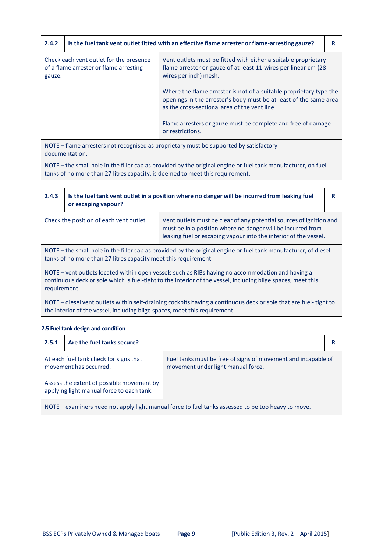| 2.4.2                                                                                       | Is the fuel tank vent outlet fitted with an effective flame arrester or flame-arresting gauze? |                                                                                                                                                                                          | R |
|---------------------------------------------------------------------------------------------|------------------------------------------------------------------------------------------------|------------------------------------------------------------------------------------------------------------------------------------------------------------------------------------------|---|
| Check each vent outlet for the presence<br>of a flame arrester or flame arresting<br>gauze. |                                                                                                | Vent outlets must be fitted with either a suitable proprietary<br>flame arrester or gauze of at least 11 wires per linear cm (28<br>wires per inch) mesh.                                |   |
|                                                                                             |                                                                                                | Where the flame arrester is not of a suitable proprietary type the<br>openings in the arrester's body must be at least of the same area<br>as the cross-sectional area of the vent line. |   |
|                                                                                             |                                                                                                | Flame arresters or gauze must be complete and free of damage<br>or restrictions.                                                                                                         |   |

NOTE – flame arresters not recognised as proprietary must be supported by satisfactory documentation.

NOTE – the small hole in the filler cap as provided by the original engine or fuel tank manufacturer, on fuel tanks of no more than 27 litres capacity, is deemed to meet this requirement.

| 2.4.3                                                                                                                                                                                                                                                                                                                                                                                                                   | Is the fuel tank vent outlet in a position where no danger will be incurred from leaking fuel<br>or escaping vapour? |  |  |
|-------------------------------------------------------------------------------------------------------------------------------------------------------------------------------------------------------------------------------------------------------------------------------------------------------------------------------------------------------------------------------------------------------------------------|----------------------------------------------------------------------------------------------------------------------|--|--|
| Check the position of each vent outlet.<br>Vent outlets must be clear of any potential sources of ignition and<br>must be in a position where no danger will be incurred from<br>leaking fuel or escaping vapour into the interior of the vessel.                                                                                                                                                                       |                                                                                                                      |  |  |
| NOTE - the small hole in the filler cap as provided by the original engine or fuel tank manufacturer, of diesel<br>tanks of no more than 27 litres capacity meet this requirement.<br>NOTE – vent outlets located within open vessels such as RIBs having no accommodation and having a<br>continuous deck or sole which is fuel-tight to the interior of the vessel, including bilge spaces, meet this<br>requirement. |                                                                                                                      |  |  |

NOTE – diesel vent outlets within self‐draining cockpits having a continuous deck or sole that are fuel‐ tight to the interior of the vessel, including bilge spaces, meet this requirement.

### **2.5** Fuel tank design and condition

| 2.5.1                                                                                              | Are the fuel tanks secure? |                                                                                                     |  |
|----------------------------------------------------------------------------------------------------|----------------------------|-----------------------------------------------------------------------------------------------------|--|
| At each fuel tank check for signs that<br>movement has occurred.                                   |                            | Fuel tanks must be free of signs of movement and incapable of<br>movement under light manual force. |  |
| Assess the extent of possible movement by<br>applying light manual force to each tank.             |                            |                                                                                                     |  |
| NOTE - examiners need not apply light manual force to fuel tanks assessed to be too heavy to move. |                            |                                                                                                     |  |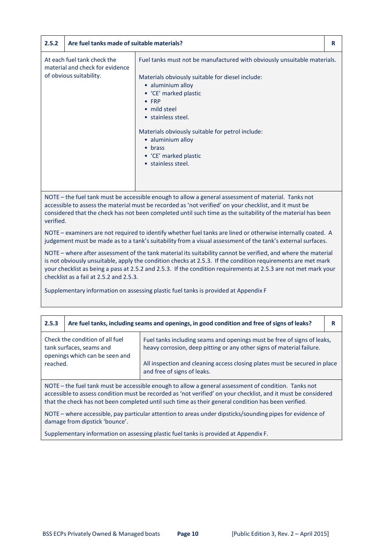| 2.5.2 | Are fuel tanks made of suitable materials?                                                |                                                                                                                                                                                                                                                                                                                                                                      | R |
|-------|-------------------------------------------------------------------------------------------|----------------------------------------------------------------------------------------------------------------------------------------------------------------------------------------------------------------------------------------------------------------------------------------------------------------------------------------------------------------------|---|
|       | At each fuel tank check the<br>material and check for evidence<br>of obvious suitability. | Fuel tanks must not be manufactured with obviously unsuitable materials.<br>Materials obviously suitable for diesel include:<br>• aluminium alloy<br>• 'CE' marked plastic<br>$\bullet$ FRP<br>• mild steel<br>• stainless steel.<br>Materials obviously suitable for petrol include:<br>• aluminium alloy<br>• brass<br>• 'CE' marked plastic<br>• stainless steel. |   |

NOTE – the fuel tank must be accessible enough to allow a general assessment of material. Tanks not accessible to assess the material must be recorded as 'not verified' on your checklist, and it must be considered that the check has not been completed until such time as the suitability of the material has been verified.

NOTE – examiners are not required to identify whether fuel tanks are lined or otherwise internally coated. A judgement must be made as to a tank's suitability from a visual assessment of the tank's external surfaces.

NOTE – where after assessment of the tank material its suitability cannot be verified, and where the material is not obviously unsuitable, apply the condition checks at 2.5.3. If the condition requirements are met mark your checklist as being a pass at 2.5.2 and 2.5.3. If the condition requirements at 2.5.3 are not met mark your checklist as a fail at 2.5.2 and 2.5.3.

Supplementary information on assessing plastic fuel tanks is provided at Appendix F

| 2.5.3                                                                                                | Are fuel tanks, including seams and openings, in good condition and free of signs of leaks?   |                                                                                                                                                                                                                                                               | R |
|------------------------------------------------------------------------------------------------------|-----------------------------------------------------------------------------------------------|---------------------------------------------------------------------------------------------------------------------------------------------------------------------------------------------------------------------------------------------------------------|---|
| reached.                                                                                             | Check the condition of all fuel<br>tank surfaces, seams and<br>openings which can be seen and | Fuel tanks including seams and openings must be free of signs of leaks,<br>heavy corrosion, deep pitting or any other signs of material failure.<br>All inspection and cleaning access closing plates must be secured in place<br>and free of signs of leaks. |   |
| NOTE - the fuel tank must be accessible enough to allow a general assessment of condition. Tanks not |                                                                                               |                                                                                                                                                                                                                                                               |   |

accessible to assess condition must be recorded as 'not verified' on your checklist, and it must be considered that the check has not been completed until such time as their general condition has been verified.

NOTE – where accessible, pay particular attention to areas under dipsticks/sounding pipes for evidence of damage from dipstick 'bounce'.

Supplementary information on assessing plastic fuel tanks is provided at Appendix F.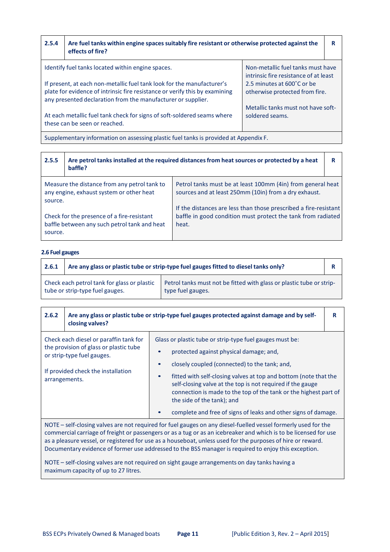| 2.5.4                                                                                                                                                                                                                                                                                                                                                                                                                    | Are fuel tanks within engine spaces suitably fire resistant or otherwise protected against the<br>effects of fire? |  | R |
|--------------------------------------------------------------------------------------------------------------------------------------------------------------------------------------------------------------------------------------------------------------------------------------------------------------------------------------------------------------------------------------------------------------------------|--------------------------------------------------------------------------------------------------------------------|--|---|
| Identify fuel tanks located within engine spaces.<br>Non-metallic fuel tanks must have<br>intrinsic fire resistance of at least<br>If present, at each non-metallic fuel tank look for the manufacturer's<br>2.5 minutes at 600°C or be<br>plate for evidence of intrinsic fire resistance or verify this by examining<br>otherwise protected from fire.<br>any presented declaration from the manufacturer or supplier. |                                                                                                                    |  |   |
| Metallic tanks must not have soft-<br>At each metallic fuel tank check for signs of soft-soldered seams where<br>soldered seams.<br>these can be seen or reached.                                                                                                                                                                                                                                                        |                                                                                                                    |  |   |
|                                                                                                                                                                                                                                                                                                                                                                                                                          | Supplementary information on assessing plastic fuel tanks is provided at Appendix F.                               |  |   |

| 2.5.5   | Are petrol tanks installed at the required distances from heat sources or protected by a heat<br>baffle? |                                                                                                                                           |  |
|---------|----------------------------------------------------------------------------------------------------------|-------------------------------------------------------------------------------------------------------------------------------------------|--|
| source. | Measure the distance from any petrol tank to<br>any engine, exhaust system or other heat                 | Petrol tanks must be at least 100mm (4in) from general heat<br>sources and at least 250mm (10in) from a dry exhaust.                      |  |
| source. | Check for the presence of a fire-resistant<br>baffle between any such petrol tank and heat               | If the distances are less than those prescribed a fire-resistant<br>baffle in good condition must protect the tank from radiated<br>heat. |  |

#### **2.6 Fuel gauges**

| 2.6.1                                                                          | Are any glass or plastic tube or strip-type fuel gauges fitted to diesel tanks only? |                                                                                           |  |
|--------------------------------------------------------------------------------|--------------------------------------------------------------------------------------|-------------------------------------------------------------------------------------------|--|
| Check each petrol tank for glass or plastic<br>tube or strip-type fuel gauges. |                                                                                      | Petrol tanks must not be fitted with glass or plastic tube or strip-<br>type fuel gauges. |  |

| 2.6.2                                                                                                                 | closing valves?                                                                                                                                      | Are any glass or plastic tube or strip-type fuel gauges protected against damage and by self-                                                                                                                                                                                                                                                                                                                                                                           | R |
|-----------------------------------------------------------------------------------------------------------------------|------------------------------------------------------------------------------------------------------------------------------------------------------|-------------------------------------------------------------------------------------------------------------------------------------------------------------------------------------------------------------------------------------------------------------------------------------------------------------------------------------------------------------------------------------------------------------------------------------------------------------------------|---|
| arrangements.                                                                                                         | Check each diesel or paraffin tank for<br>the provision of glass or plastic tube<br>or strip-type fuel gauges.<br>If provided check the installation | Glass or plastic tube or strip-type fuel gauges must be:<br>protected against physical damage; and,<br>closely coupled (connected) to the tank; and,<br>fitted with self-closing valves at top and bottom (note that the<br>$\bullet$<br>self-closing valve at the top is not required if the gauge<br>connection is made to the top of the tank or the highest part of<br>the side of the tank); and<br>complete and free of signs of leaks and other signs of damage. |   |
| <b>NIOTE</b><br>ook also waxaa ah dhaajiinad forfuud qoraa oo qoraal loo loo loo looga loogaal formaaly waa dartaa bo |                                                                                                                                                      |                                                                                                                                                                                                                                                                                                                                                                                                                                                                         |   |

NOTE – self‐closing valves are not required for fuel gauges on any diesel‐fuelled vessel formerly used for the commercial carriage of freight or passengers or as a tug or as an icebreaker and which is to be licensed for use as a pleasure vessel, or registered for use as a houseboat, unless used for the purposes of hire or reward. Documentary evidence of former use addressed to the BSS manager is required to enjoy this exception.

NOTE – self-closing valves are not required on sight gauge arrangements on day tanks having a maximum capacity of up to 27 litres.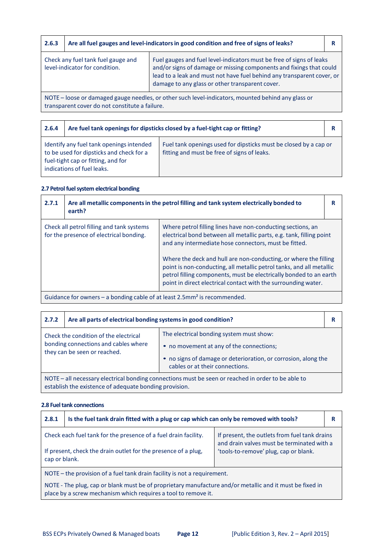| 2.6.3                                                                                                                                                |                                                                      | Are all fuel gauges and level-indicators in good condition and free of signs of leaks?                                                                                                                                                                                   | R |
|------------------------------------------------------------------------------------------------------------------------------------------------------|----------------------------------------------------------------------|--------------------------------------------------------------------------------------------------------------------------------------------------------------------------------------------------------------------------------------------------------------------------|---|
|                                                                                                                                                      | Check any fuel tank fuel gauge and<br>level-indicator for condition. | Fuel gauges and fuel level-indicators must be free of signs of leaks<br>and/or signs of damage or missing components and fixings that could<br>lead to a leak and must not have fuel behind any transparent cover, or<br>damage to any glass or other transparent cover. |   |
| NOTE – loose or damaged gauge needles, or other such level-indicators, mounted behind any glass or<br>transparent cover do not constitute a failure. |                                                                      |                                                                                                                                                                                                                                                                          |   |

| 2.6.4 | Are fuel tank openings for dipsticks closed by a fuel-tight cap or fitting?                                                                              |                                                                                                                 | R |
|-------|----------------------------------------------------------------------------------------------------------------------------------------------------------|-----------------------------------------------------------------------------------------------------------------|---|
|       | Identify any fuel tank openings intended<br>to be used for dipsticks and check for a<br>fuel-tight cap or fitting, and for<br>indications of fuel leaks. | Fuel tank openings used for dipsticks must be closed by a cap or<br>fitting and must be free of signs of leaks. |   |

### **2.7 Petrol fuelsystem electrical bonding**

| 2.7.1                                                                                                  | earth?                                                                               | Are all metallic components in the petrol filling and tank system electrically bonded to                                                                                                                                                                                                                                                                                                                                                                                         | R |
|--------------------------------------------------------------------------------------------------------|--------------------------------------------------------------------------------------|----------------------------------------------------------------------------------------------------------------------------------------------------------------------------------------------------------------------------------------------------------------------------------------------------------------------------------------------------------------------------------------------------------------------------------------------------------------------------------|---|
|                                                                                                        | Check all petrol filling and tank systems<br>for the presence of electrical bonding. | Where petrol filling lines have non-conducting sections, an<br>electrical bond between all metallic parts, e.g. tank, filling point<br>and any intermediate hose connectors, must be fitted.<br>Where the deck and hull are non-conducting, or where the filling<br>point is non-conducting, all metallic petrol tanks, and all metallic<br>petrol filling components, must be electrically bonded to an earth<br>point in direct electrical contact with the surrounding water. |   |
| . And decided from company the based by a cold building factor A. Factor 2 to access the said official |                                                                                      |                                                                                                                                                                                                                                                                                                                                                                                                                                                                                  |   |

Guidance for owners – a bonding cable of at least 2.5mm² is recommended.

| 2.7.2                                                                                                                                                                                                                                                                                                      | Are all parts of electrical bonding systems in good condition? |  | R |
|------------------------------------------------------------------------------------------------------------------------------------------------------------------------------------------------------------------------------------------------------------------------------------------------------------|----------------------------------------------------------------|--|---|
| The electrical bonding system must show:<br>Check the condition of the electrical<br>bonding connections and cables where<br>• no movement at any of the connections;<br>they can be seen or reached.<br>• no signs of damage or deterioration, or corrosion, along the<br>cables or at their connections. |                                                                |  |   |
| NOTE - all necessary electrical bonding connections must be seen or reached in order to be able to<br>establish the existence of adequate bonding provision.                                                                                                                                               |                                                                |  |   |

#### **2.8 Fuel tank connections**

| 2.8.1                                                                                                                                                                      | Is the fuel tank drain fitted with a plug or cap which can only be removed with tools? |                                                                                                                                      | R |
|----------------------------------------------------------------------------------------------------------------------------------------------------------------------------|----------------------------------------------------------------------------------------|--------------------------------------------------------------------------------------------------------------------------------------|---|
| Check each fuel tank for the presence of a fuel drain facility.<br>If present, check the drain outlet for the presence of a plug,<br>cap or blank.                         |                                                                                        | If present, the outlets from fuel tank drains<br>and drain valves must be terminated with a<br>'tools-to-remove' plug, cap or blank. |   |
| NOTE – the provision of a fuel tank drain facility is not a requirement.                                                                                                   |                                                                                        |                                                                                                                                      |   |
| NOTE - The plug, cap or blank must be of proprietary manufacture and/or metallic and it must be fixed in<br>place by a screw mechanism which requires a tool to remove it. |                                                                                        |                                                                                                                                      |   |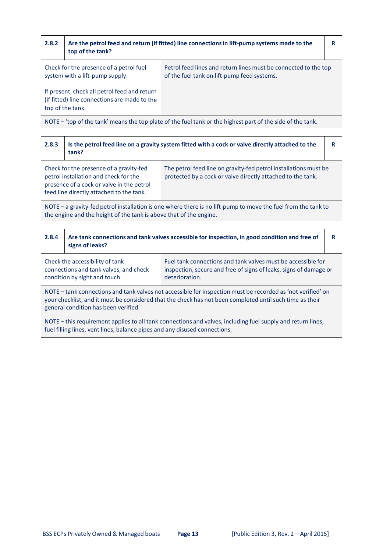| 2.8.2                                                                                                            | top of the tank?                                                           | Are the petrol feed and return (if fitted) line connections in lift-pump systems made to the                   | R |
|------------------------------------------------------------------------------------------------------------------|----------------------------------------------------------------------------|----------------------------------------------------------------------------------------------------------------|---|
|                                                                                                                  | Check for the presence of a petrol fuel<br>system with a lift-pump supply. | Petrol feed lines and return lines must be connected to the top<br>of the fuel tank on lift-pump feed systems. |   |
| If present, check all petrol feed and return<br>(if fitted) line connections are made to the<br>top of the tank. |                                                                            |                                                                                                                |   |
| NOTE – 'top of the tank' means the top plate of the fuel tank or the highest part of the side of the tank.       |                                                                            |                                                                                                                |   |

| 2.8.3                                                                                                                                                                               | Is the petrol feed line on a gravity system fitted with a cock or valve directly attached to the<br>tank?                                                                 |                                                                                                                                 | R |
|-------------------------------------------------------------------------------------------------------------------------------------------------------------------------------------|---------------------------------------------------------------------------------------------------------------------------------------------------------------------------|---------------------------------------------------------------------------------------------------------------------------------|---|
|                                                                                                                                                                                     | Check for the presence of a gravity-fed<br>petrol installation and check for the<br>presence of a cock or valve in the petrol<br>feed line directly attached to the tank. | The petrol feed line on gravity-fed petrol installations must be<br>protected by a cock or valve directly attached to the tank. |   |
| NOTE – a gravity-fed petrol installation is one where there is no lift-pump to move the fuel from the tank to<br>the engine and the height of the tank is above that of the engine. |                                                                                                                                                                           |                                                                                                                                 |   |

| 2.8.4                                                                                                                                                                                                                                                           | signs of leaks?                                                                                            | Are tank connections and tank valves accessible for inspection, in good condition and free of                                                       | R |
|-----------------------------------------------------------------------------------------------------------------------------------------------------------------------------------------------------------------------------------------------------------------|------------------------------------------------------------------------------------------------------------|-----------------------------------------------------------------------------------------------------------------------------------------------------|---|
|                                                                                                                                                                                                                                                                 | Check the accessibility of tank<br>connections and tank valves, and check<br>condition by sight and touch. | Fuel tank connections and tank valves must be accessible for<br>inspection, secure and free of signs of leaks, signs of damage or<br>deterioration. |   |
| NOTE – tank connections and tank valves not accessible for inspection must be recorded as 'not verified' on<br>your checklist, and it must be considered that the check has not been completed until such time as their<br>general condition has been verified. |                                                                                                            |                                                                                                                                                     |   |
| NOTE – this requirement applies to all tank connections and valves including fuel supply and return lines                                                                                                                                                       |                                                                                                            |                                                                                                                                                     |   |

NOTE – this requirement applies to all tank connections and valves, including fuel supply and return lines, fuel filling lines, vent lines, balance pipes and any disused connections.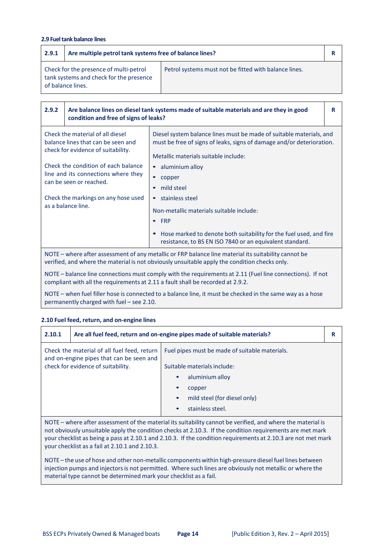#### **2.9 Fuel tank balance lines**

| 2.9.1 | Are multiple petrol tank systems free of balance lines?                                                |                                                       |  |
|-------|--------------------------------------------------------------------------------------------------------|-------------------------------------------------------|--|
|       | Check for the presence of multi-petrol<br>tank systems and check for the presence<br>of balance lines. | Petrol systems must not be fitted with balance lines. |  |
|       |                                                                                                        |                                                       |  |
|       |                                                                                                        |                                                       |  |

| 2.9.2                                                                                                                                                                                                 | condition and free of signs of leaks?                                                                                                                              | Are balance lines on diesel tank systems made of suitable materials and are they in good                                                                                                                                                                                                                                | R |
|-------------------------------------------------------------------------------------------------------------------------------------------------------------------------------------------------------|--------------------------------------------------------------------------------------------------------------------------------------------------------------------|-------------------------------------------------------------------------------------------------------------------------------------------------------------------------------------------------------------------------------------------------------------------------------------------------------------------------|---|
| Check the material of all diesel<br>balance lines that can be seen and<br>check for evidence of suitability.                                                                                          |                                                                                                                                                                    | Diesel system balance lines must be made of suitable materials, and<br>must be free of signs of leaks, signs of damage and/or deterioration.<br>Metallic materials suitable include:                                                                                                                                    |   |
|                                                                                                                                                                                                       | Check the condition of each balance<br>line and its connections where they<br>can be seen or reached.<br>Check the markings on any hose used<br>as a balance line. | aluminium alloy<br>$\bullet$<br>copper<br>$\bullet$<br>mild steel<br>stainless steel<br>$\bullet$<br>Non-metallic materials suitable include:<br><b>FRP</b><br>$\bullet$<br>Hose marked to denote both suitability for the fuel used, and fire<br>$\bullet$<br>resistance, to BS EN ISO 7840 or an equivalent standard. |   |
| NOTE – where after assessment of any metallic or FRP balance line material its suitability cannot be<br>verified, and where the material is not obviously unsuitable apply the condition checks only. |                                                                                                                                                                    |                                                                                                                                                                                                                                                                                                                         |   |

NOTE – balance line connections must comply with the requirements at 2.11 (Fuel line connections). If not compliant with all the requirements at 2.11 a fault shall be recorded at 2.9.2.

NOTE – when fuel filler hose is connected to a balance line, it must be checked in the same way as a hose permanently charged with fuel – see 2.10.

#### **2.10 Fuel feed, return, and on‐engine lines**

| 2.10.1                                                                                  | Are all fuel feed, return and on-engine pipes made of suitable materials? |                                                |  |
|-----------------------------------------------------------------------------------------|---------------------------------------------------------------------------|------------------------------------------------|--|
| Check the material of all fuel feed, return<br>and on-engine pipes that can be seen and |                                                                           | Fuel pipes must be made of suitable materials. |  |
|                                                                                         | check for evidence of suitability.                                        | Suitable materials include:                    |  |
|                                                                                         |                                                                           | aluminium alloy<br>$\bullet$                   |  |
|                                                                                         |                                                                           | $\bullet$<br>copper                            |  |
|                                                                                         |                                                                           | mild steel (for diesel only)<br>$\bullet$      |  |
|                                                                                         |                                                                           | stainless steel.<br>$\bullet$                  |  |

NOTE – where after assessment of the material its suitability cannot be verified, and where the material is not obviously unsuitable apply the condition checks at 2.10.3. If the condition requirements are met mark your checklist as being a pass at 2.10.1 and 2.10.3. If the condition requirements at 2.10.3 are not met mark your checklist as a fail at 2.10.1 and 2.10.3.

NOTE – the use of hose and other non-metallic components within high-pressure diesel fuel lines between injection pumps and injectors is not permitted. Where such lines are obviously not metallic or where the material type cannot be determined mark your checklist as a fail.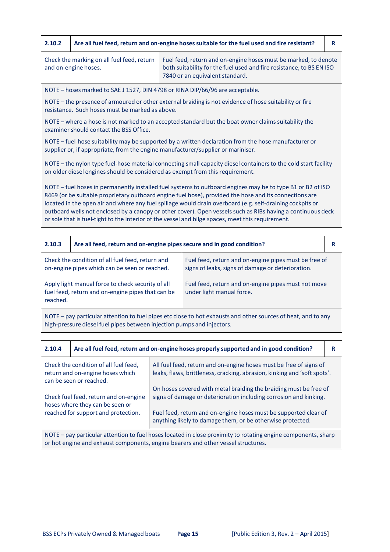| 2.10.2                                                                                                                                                                                                                                                                                                                                                                                                                                                                                                                                                | Are all fuel feed, return and on-engine hoses suitable for the fuel used and fire resistant?                                                                                                                                                     |  | R                                                                                                   |  |
|-------------------------------------------------------------------------------------------------------------------------------------------------------------------------------------------------------------------------------------------------------------------------------------------------------------------------------------------------------------------------------------------------------------------------------------------------------------------------------------------------------------------------------------------------------|--------------------------------------------------------------------------------------------------------------------------------------------------------------------------------------------------------------------------------------------------|--|-----------------------------------------------------------------------------------------------------|--|
|                                                                                                                                                                                                                                                                                                                                                                                                                                                                                                                                                       | Check the marking on all fuel feed, return<br>Fuel feed, return and on-engine hoses must be marked, to denote<br>and on-engine hoses.<br>both suitability for the fuel used and fire resistance, to BS EN ISO<br>7840 or an equivalent standard. |  |                                                                                                     |  |
|                                                                                                                                                                                                                                                                                                                                                                                                                                                                                                                                                       | NOTE - hoses marked to SAE J 1527, DIN 4798 or RINA DIP/66/96 are acceptable.                                                                                                                                                                    |  |                                                                                                     |  |
|                                                                                                                                                                                                                                                                                                                                                                                                                                                                                                                                                       | NOTE - the presence of armoured or other external braiding is not evidence of hose suitability or fire<br>resistance. Such hoses must be marked as above.                                                                                        |  |                                                                                                     |  |
|                                                                                                                                                                                                                                                                                                                                                                                                                                                                                                                                                       | examiner should contact the BSS Office.                                                                                                                                                                                                          |  | NOTE - where a hose is not marked to an accepted standard but the boat owner claims suitability the |  |
| NOTE – fuel-hose suitability may be supported by a written declaration from the hose manufacturer or<br>supplier or, if appropriate, from the engine manufacturer/supplier or mariniser.                                                                                                                                                                                                                                                                                                                                                              |                                                                                                                                                                                                                                                  |  |                                                                                                     |  |
| NOTE - the nylon type fuel-hose material connecting small capacity diesel containers to the cold start facility<br>on older diesel engines should be considered as exempt from this requirement.                                                                                                                                                                                                                                                                                                                                                      |                                                                                                                                                                                                                                                  |  |                                                                                                     |  |
| NOTE - fuel hoses in permanently installed fuel systems to outboard engines may be to type B1 or B2 of ISO<br>8469 (or be suitable proprietary outboard engine fuel hose), provided the hose and its connections are<br>located in the open air and where any fuel spillage would drain overboard (e.g. self-draining cockpits or<br>outboard wells not enclosed by a canopy or other cover). Open vessels such as RIBs having a continuous deck<br>or sole that is fuel-tight to the interior of the vessel and bilge spaces, meet this requirement. |                                                                                                                                                                                                                                                  |  |                                                                                                     |  |
|                                                                                                                                                                                                                                                                                                                                                                                                                                                                                                                                                       |                                                                                                                                                                                                                                                  |  |                                                                                                     |  |
| 2.10.3                                                                                                                                                                                                                                                                                                                                                                                                                                                                                                                                                | Are all feed, return and on-engine pipes secure and in good condition?                                                                                                                                                                           |  | R                                                                                                   |  |
|                                                                                                                                                                                                                                                                                                                                                                                                                                                                                                                                                       | Fuel feed, return and on-engine pipes must be free of<br>Check the condition of all fuel feed, return and                                                                                                                                        |  |                                                                                                     |  |

| on-engine pipes which can be seen or reached.                                                                      | signs of leaks, signs of damage or deterioration.                                |
|--------------------------------------------------------------------------------------------------------------------|----------------------------------------------------------------------------------|
| Apply light manual force to check security of all<br>fuel feed, return and on-engine pipes that can be<br>reached. | Fuel feed, return and on-engine pipes must not move<br>under light manual force. |

NOTE – pay particular attention to fuel pipes etc close to hot exhausts and other sources of heat, and to any high‐pressure diesel fuel pipes between injection pumps and injectors.

| 2.10.4                                                                                                                                                                                                             | Are all fuel feed, return and on-engine hoses properly supported and in good condition? |                                                                                                                                                | R |
|--------------------------------------------------------------------------------------------------------------------------------------------------------------------------------------------------------------------|-----------------------------------------------------------------------------------------|------------------------------------------------------------------------------------------------------------------------------------------------|---|
| Check the condition of all fuel feed.<br>return and on-engine hoses which<br>can be seen or reached.                                                                                                               |                                                                                         | All fuel feed, return and on-engine hoses must be free of signs of<br>leaks, flaws, brittleness, cracking, abrasion, kinking and 'soft spots'. |   |
| On hoses covered with metal braiding the braiding must be free of<br>signs of damage or deterioration including corrosion and kinking.<br>Check fuel feed, return and on-engine<br>hoses where they can be seen or |                                                                                         |                                                                                                                                                |   |
| reached for support and protection.<br>Fuel feed, return and on-engine hoses must be supported clear of<br>anything likely to damage them, or be otherwise protected.                                              |                                                                                         |                                                                                                                                                |   |
| NOTE – pay particular attention to fuel hoses located in close proximity to rotating engine components, sharp<br>or hot engine and exhaust components, engine bearers and other vessel structures.                 |                                                                                         |                                                                                                                                                |   |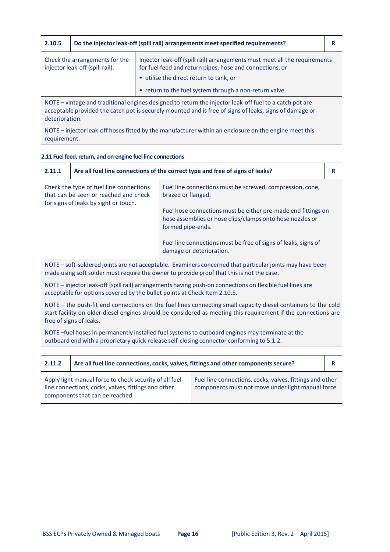| 2.10.5                                                                                                                                                                                                                               | Do the injector leak-off (spill rail) arrangements meet specified requirements? |                                                                                                                                                                                                                                              | R |
|--------------------------------------------------------------------------------------------------------------------------------------------------------------------------------------------------------------------------------------|---------------------------------------------------------------------------------|----------------------------------------------------------------------------------------------------------------------------------------------------------------------------------------------------------------------------------------------|---|
| Check the arrangements for the<br>injector leak-off (spill rail).                                                                                                                                                                    |                                                                                 | Injector leak-off (spill rail) arrangements must meet all the requirements<br>for fuel feed and return pipes, hose and connections, or<br>• utilise the direct return to tank, or<br>• return to the fuel system through a non-return valve. |   |
| NOTE – vintage and traditional engines designed to return the injector leak-off fuel to a catch pot are<br>acceptable provided the catch pot is securely mounted and is free of signs of leaks, signs of damage or<br>deterioration. |                                                                                 |                                                                                                                                                                                                                                              |   |

NOTE – injector leak‐off hoses fitted by the manufacturer within an enclosure on the engine meet this requirement.

# **2.11 Fuel feed,return, and on‐engine fuel line connections**

| 2.11.1                                                                                                                                                                                                                                                                                                                                                                                                                                                        | Are all fuel line connections of the correct type and free of signs of leaks?<br>R                                                                                                                                                                         |  |  |
|---------------------------------------------------------------------------------------------------------------------------------------------------------------------------------------------------------------------------------------------------------------------------------------------------------------------------------------------------------------------------------------------------------------------------------------------------------------|------------------------------------------------------------------------------------------------------------------------------------------------------------------------------------------------------------------------------------------------------------|--|--|
| Check the type of fuel line connections<br>Fuel line connections must be screwed, compression, cone,<br>that can be seen or reached and check<br>brazed or flanged.<br>for signs of leaks by sight or touch.<br>Fuel hose connections must be either pre-made end fittings on<br>hose assemblies or hose clips/clamps onto hose nozzles or<br>formed pipe-ends.<br>Fuel line connections must be free of signs of leaks, signs of<br>damage or deterioration. |                                                                                                                                                                                                                                                            |  |  |
|                                                                                                                                                                                                                                                                                                                                                                                                                                                               | NOTE - soft-soldered joints are not acceptable. Examiners concerned that particular joints may have been<br>made using soft solder must require the owner to provide proof that this is not the case.                                                      |  |  |
|                                                                                                                                                                                                                                                                                                                                                                                                                                                               | NOTE – injector leak-off (spill rail) arrangements having push-on connections on flexible fuel lines are<br>acceptable for options covered by the bullet points at Check Item 2.10.5.                                                                      |  |  |
|                                                                                                                                                                                                                                                                                                                                                                                                                                                               | NOTE – the push-fit end connections on the fuel lines connecting small capacity diesel containers to the cold<br>start facility on older diesel engines should be considered as meeting this requirement if the connections are<br>free of signs of leaks. |  |  |
|                                                                                                                                                                                                                                                                                                                                                                                                                                                               | NOTE-fuel hoses in permanently installed fuel systems to outboard engines may terminate at the<br>outboard end with a proprietary quick-release self-closing connector conforming to 5.1.2.                                                                |  |  |
|                                                                                                                                                                                                                                                                                                                                                                                                                                                               |                                                                                                                                                                                                                                                            |  |  |

| 2.11.2 | Are all fuel line connections, cocks, valves, fittings and other components secure?                                                              |                                                                                                                |  |
|--------|--------------------------------------------------------------------------------------------------------------------------------------------------|----------------------------------------------------------------------------------------------------------------|--|
|        | Apply light manual force to check security of all fuel<br>line connections, cocks, valves, fittings and other<br>components that can be reached. | Fuel line connections, cocks, valves, fittings and other<br>components must not move under light manual force. |  |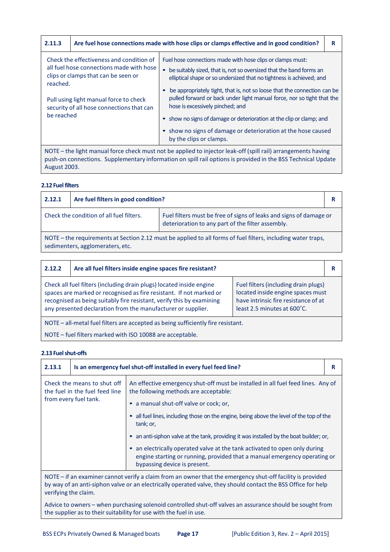| 2.11.3                                                                                                                                                                                                                         |  | Are fuel hose connections made with hose clips or clamps effective and in good condition?                                                                                                                 | R |
|--------------------------------------------------------------------------------------------------------------------------------------------------------------------------------------------------------------------------------|--|-----------------------------------------------------------------------------------------------------------------------------------------------------------------------------------------------------------|---|
| Check the effectiveness and condition of<br>all fuel hose connections made with hose<br>clips or clamps that can be seen or<br>reached.<br>Pull using light manual force to check<br>security of all hose connections that can |  | Fuel hose connections made with hose clips or clamps must:<br>be suitably sized, that is, not so oversized that the band forms an<br>elliptical shape or so undersized that no tightness is achieved; and |   |
|                                                                                                                                                                                                                                |  | be appropriately tight, that is, not so loose that the connection can be<br>pulled forward or back under light manual force, nor so tight that the<br>hose is excessively pinched; and                    |   |
| be reached                                                                                                                                                                                                                     |  | • show no signs of damage or deterioration at the clip or clamp; and                                                                                                                                      |   |
|                                                                                                                                                                                                                                |  | • show no signs of damage or deterioration at the hose caused<br>by the clips or clamps.                                                                                                                  |   |
| NOTE – the light manual force check must not be applied to injector leak-off (spill rail) arrangements having<br>push-on connections. Supplementary information on spill rail options is provided in the BSS Technical Update  |  |                                                                                                                                                                                                           |   |

#### **2.12 Fuel filters**

August 2003.

| 2.12.1                                                                                                                                                              | Are fuel filters in good condition? |  | R |
|---------------------------------------------------------------------------------------------------------------------------------------------------------------------|-------------------------------------|--|---|
| Check the condition of all fuel filters.<br>Fuel filters must be free of signs of leaks and signs of damage or<br>deterioration to any part of the filter assembly. |                                     |  |   |
| NOTE – the requirements at Section 2.12 must be applied to all forms of fuel filters, including water traps,<br>sedimenters, agglomeraters, etc.                    |                                     |  |   |

| 2.12.2                                                                                                                                                                                                                                                                                                                                                                                                                                   | Are all fuel filters inside engine spaces fire resistant? |  | R |
|------------------------------------------------------------------------------------------------------------------------------------------------------------------------------------------------------------------------------------------------------------------------------------------------------------------------------------------------------------------------------------------------------------------------------------------|-----------------------------------------------------------|--|---|
| Check all fuel filters (including drain plugs) located inside engine<br>Fuel filters (including drain plugs)<br>located inside engine spaces must<br>spaces are marked or recognised as fire resistant. If not marked or<br>recognised as being suitably fire resistant, verify this by examining<br>have intrinsic fire resistance of at<br>least 2.5 minutes at 600°C.<br>any presented declaration from the manufacturer or supplier. |                                                           |  |   |
| NOTE - all-metal fuel filters are accepted as being sufficiently fire resistant.                                                                                                                                                                                                                                                                                                                                                         |                                                           |  |   |
| NOTE - fuel filters marked with ISO 10088 are acceptable.                                                                                                                                                                                                                                                                                                                                                                                |                                                           |  |   |

#### **2.13 Fuelshut‐offs**

| 2.13.1                                                                                                                                                                                                                                              | Is an emergency fuel shut-off installed in every fuel feed line? |                                                                                                                                                                                         | R |
|-----------------------------------------------------------------------------------------------------------------------------------------------------------------------------------------------------------------------------------------------------|------------------------------------------------------------------|-----------------------------------------------------------------------------------------------------------------------------------------------------------------------------------------|---|
| Check the means to shut off<br>the fuel in the fuel feed line                                                                                                                                                                                       |                                                                  | An effective emergency shut-off must be installed in all fuel feed lines. Any of<br>the following methods are acceptable:                                                               |   |
|                                                                                                                                                                                                                                                     | from every fuel tank.                                            | • a manual shut-off valve or cock; or,                                                                                                                                                  |   |
|                                                                                                                                                                                                                                                     |                                                                  | all fuel lines, including those on the engine, being above the level of the top of the<br>tank; or,                                                                                     |   |
|                                                                                                                                                                                                                                                     |                                                                  | • an anti-siphon valve at the tank, providing it was installed by the boat builder; or,                                                                                                 |   |
|                                                                                                                                                                                                                                                     |                                                                  | • an electrically operated valve at the tank activated to open only during<br>engine starting or running, provided that a manual emergency operating or<br>bypassing device is present. |   |
| NOTE – if an examiner cannot verify a claim from an owner that the emergency shut-off facility is provided<br>by way of an anti-siphon valve or an electrically operated valve, they should contact the BSS Office for help<br>verifying the claim. |                                                                  |                                                                                                                                                                                         |   |
| Advice to owners – when purchasing solenoid controlled shut-off valves an assurance should be sought from<br>the supplier as to their suitability for use with the fuel in use.                                                                     |                                                                  |                                                                                                                                                                                         |   |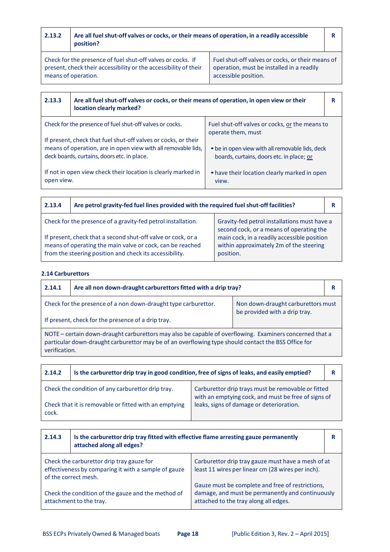| 2.13.2                                                                                                                                                                                                                                                                          | Are all fuel shut-off valves or cocks, or their means of operation, in a readily accessible<br>position? |                                                |   |
|---------------------------------------------------------------------------------------------------------------------------------------------------------------------------------------------------------------------------------------------------------------------------------|----------------------------------------------------------------------------------------------------------|------------------------------------------------|---|
| Check for the presence of fuel shut-off valves or cocks. If<br>Fuel shut-off valves or cocks, or their means of<br>present, check their accessibility or the accessibility of their<br>operation, must be installed in a readily<br>means of operation.<br>accessible position. |                                                                                                          |                                                |   |
|                                                                                                                                                                                                                                                                                 |                                                                                                          |                                                |   |
| 2.13.3<br>Are all fuel shut-off valves or cocks, or their means of operation, in open view or their<br>location clearly marked?                                                                                                                                                 |                                                                                                          |                                                | R |
|                                                                                                                                                                                                                                                                                 | Chock for the presence of fuel shut off values or socks                                                  | Fuel shut off values or socks, or the means to |   |

| Check for the presence of fuel shut-off valves or cocks.                                                     | Fuel shut-off valves or cocks, or the means to                                               |
|--------------------------------------------------------------------------------------------------------------|----------------------------------------------------------------------------------------------|
|                                                                                                              | operate them, must                                                                           |
| If present, check that fuel shut-off valves or cocks, or their                                               |                                                                                              |
| means of operation, are in open view with all removable lids,<br>deck boards, curtains, doors etc. in place. | • be in open view with all removable lids, deck<br>boards, curtains, doors etc. in place; or |
| If not in open view check their location is clearly marked in<br>open view.                                  | • have their location clearly marked in open<br>view.                                        |

| 2.13.4                                                                                                                                                                               | Are petrol gravity-fed fuel lines provided with the required fuel shut-off facilities? |                                                                                                     |  |
|--------------------------------------------------------------------------------------------------------------------------------------------------------------------------------------|----------------------------------------------------------------------------------------|-----------------------------------------------------------------------------------------------------|--|
| Check for the presence of a gravity-fed petrol installation.<br>Gravity-fed petrol installations must have a<br>second cock, or a means of operating the                             |                                                                                        |                                                                                                     |  |
| If present, check that a second shut-off valve or cock, or a<br>means of operating the main valve or cock, can be reached<br>from the steering position and check its accessibility. |                                                                                        | main cock, in a readily accessible position<br>within approximately 2m of the steering<br>position. |  |

# **2.14 Carburettors**

| 2.14.1                                                                                                                                                                                                                          | Are all non down-draught carburettors fitted with a drip tray? |  | R |
|---------------------------------------------------------------------------------------------------------------------------------------------------------------------------------------------------------------------------------|----------------------------------------------------------------|--|---|
| Check for the presence of a non down-draught type carburettor.<br>Non down-draught carburettors must                                                                                                                            |                                                                |  |   |
| be provided with a drip tray.<br>If present, check for the presence of a drip tray.                                                                                                                                             |                                                                |  |   |
| NOTE – certain down-draught carburettors may also be capable of overflowing. Examiners concerned that a<br>particular down-draught carburettor may be of an overflowing type should contact the BSS Office for<br>verification. |                                                                |  |   |

| 2.14.2                                                         | Is the carburettor drip tray in good condition, free of signs of leaks, and easily emptied? |                                                                                                           |  |
|----------------------------------------------------------------|---------------------------------------------------------------------------------------------|-----------------------------------------------------------------------------------------------------------|--|
| Check the condition of any carburettor drip tray.              |                                                                                             | Carburettor drip trays must be removable or fitted<br>with an emptying cock, and must be free of signs of |  |
| Check that it is removable or fitted with an emptying<br>cock. |                                                                                             | leaks, signs of damage or deterioration.                                                                  |  |

| 2.14.3                                                                                                                    | Is the carburettor drip tray fitted with effective flame arresting gauze permanently<br>attached along all edges? |                                                                                                                                               |  |
|---------------------------------------------------------------------------------------------------------------------------|-------------------------------------------------------------------------------------------------------------------|-----------------------------------------------------------------------------------------------------------------------------------------------|--|
| Check the carburettor drip tray gauze for<br>effectiveness by comparing it with a sample of gauze<br>of the correct mesh. |                                                                                                                   | Carburettor drip tray gauze must have a mesh of at<br>least 11 wires per linear cm (28 wires per inch).                                       |  |
| Check the condition of the gauze and the method of<br>attachment to the tray.                                             |                                                                                                                   | Gauze must be complete and free of restrictions,<br>damage, and must be permanently and continuously<br>attached to the tray along all edges. |  |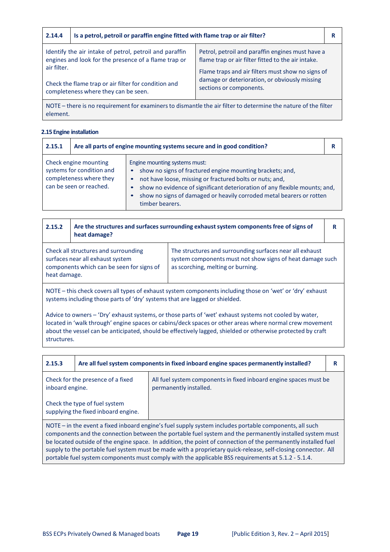| 2.14.4                                                                                                                                                                                                                         | Is a petrol, petroil or paraffin engine fitted with flame trap or air filter? |                                                                                                                               |  |
|--------------------------------------------------------------------------------------------------------------------------------------------------------------------------------------------------------------------------------|-------------------------------------------------------------------------------|-------------------------------------------------------------------------------------------------------------------------------|--|
| Identify the air intake of petrol, petroil and paraffin<br>engines and look for the presence of a flame trap or<br>air filter.<br>Check the flame trap or air filter for condition and<br>completeness where they can be seen. |                                                                               | Petrol, petroil and paraffin engines must have a<br>flame trap or air filter fitted to the air intake.                        |  |
|                                                                                                                                                                                                                                |                                                                               | Flame traps and air filters must show no signs of<br>damage or deterioration, or obviously missing<br>sections or components. |  |
|                                                                                                                                                                                                                                |                                                                               |                                                                                                                               |  |

NOTE – there is no requirement for examinersto dismantle the air filter to determine the nature of the filter element.

## **2.15 Engine installation**

| 2.15.1 | Are all parts of engine mounting systems secure and in good condition?                                   |                                                                                                                                                                                                                                                                                                                                 | R |
|--------|----------------------------------------------------------------------------------------------------------|---------------------------------------------------------------------------------------------------------------------------------------------------------------------------------------------------------------------------------------------------------------------------------------------------------------------------------|---|
|        | Check engine mounting<br>systems for condition and<br>completeness where they<br>can be seen or reached. | Engine mounting systems must:<br>show no signs of fractured engine mounting brackets; and,<br>not have loose, missing or fractured bolts or nuts; and,<br>show no evidence of significant deterioration of any flexible mounts; and,<br>show no signs of damaged or heavily corroded metal bearers or rotten<br>timber bearers. |   |

| 2.15.2                                                                                                                                | Are the structures and surfaces surrounding exhaust system components free of signs of<br>heat damage? |                                                                                                                                                            |  |
|---------------------------------------------------------------------------------------------------------------------------------------|--------------------------------------------------------------------------------------------------------|------------------------------------------------------------------------------------------------------------------------------------------------------------|--|
| Check all structures and surrounding<br>surfaces near all exhaust system<br>components which can be seen for signs of<br>heat damage. |                                                                                                        | The structures and surrounding surfaces near all exhaust<br>system components must not show signs of heat damage such<br>as scorching, melting or burning. |  |
|                                                                                                                                       |                                                                                                        |                                                                                                                                                            |  |

NOTE – this check covers all types of exhaust system componentsincluding those on 'wet' or 'dry' exhaust systems including those parts of 'dry' systems that are lagged or shielded.

Advice to owners – 'Dry' exhaust systems, or those parts of 'wet' exhaust systems not cooled by water, located in 'walk through' engine spaces or cabins/deck spaces or other areas where normal crew movement about the vessel can be anticipated, should be effectively lagged, shielded or otherwise protected by craft structures.

| 2.15.3                                                                                                                                                                                                                                                                                                                                                                                                                                                                                                                                                      | Are all fuel system components in fixed inboard engine spaces permanently installed? |                                                                                             | R |
|-------------------------------------------------------------------------------------------------------------------------------------------------------------------------------------------------------------------------------------------------------------------------------------------------------------------------------------------------------------------------------------------------------------------------------------------------------------------------------------------------------------------------------------------------------------|--------------------------------------------------------------------------------------|---------------------------------------------------------------------------------------------|---|
| Check for the presence of a fixed<br>inboard engine.                                                                                                                                                                                                                                                                                                                                                                                                                                                                                                        |                                                                                      | All fuel system components in fixed inboard engine spaces must be<br>permanently installed. |   |
|                                                                                                                                                                                                                                                                                                                                                                                                                                                                                                                                                             | Check the type of fuel system<br>supplying the fixed inboard engine.                 |                                                                                             |   |
| NOTE – in the event a fixed inboard engine's fuel supply system includes portable components, all such<br>components and the connection between the portable fuel system and the permanently installed system must<br>be located outside of the engine space. In addition, the point of connection of the permanently installed fuel<br>supply to the portable fuel system must be made with a proprietary quick-release, self-closing connector. All<br>portable fuel system components must comply with the applicable BSS requirements at 5.1.2 - 5.1.4. |                                                                                      |                                                                                             |   |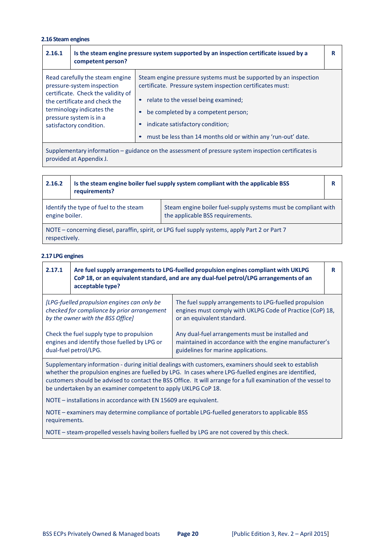# **2.16 Steam engines**

| 2.16.1                                                                                             | Is the steam engine pressure system supported by an inspection certificate issued by a<br>competent person?                                                                                                             |                                                                                                                                                                                                                                                                                                                                 | R |
|----------------------------------------------------------------------------------------------------|-------------------------------------------------------------------------------------------------------------------------------------------------------------------------------------------------------------------------|---------------------------------------------------------------------------------------------------------------------------------------------------------------------------------------------------------------------------------------------------------------------------------------------------------------------------------|---|
|                                                                                                    | Read carefully the steam engine<br>pressure-system inspection<br>certificate. Check the validity of<br>the certificate and check the<br>terminology indicates the<br>pressure system is in a<br>satisfactory condition. | Steam engine pressure systems must be supported by an inspection<br>certificate. Pressure system inspection certificates must:<br>relate to the vessel being examined;<br>be completed by a competent person;<br>indicate satisfactory condition;<br>$\bullet$<br>must be less than 14 months old or within any 'run-out' date. |   |
| Cunnlamentary information quidance on the accessment of pressure system inconstion certificates is |                                                                                                                                                                                                                         |                                                                                                                                                                                                                                                                                                                                 |   |

Supplementary information – guidance on the assessment of pressure system inspection certificatesis provided at Appendix J.

| 2.16.2                                                                                                                                                         | Is the steam engine boiler fuel supply system compliant with the applicable BSS<br>requirements? |  | R |
|----------------------------------------------------------------------------------------------------------------------------------------------------------------|--------------------------------------------------------------------------------------------------|--|---|
| Identify the type of fuel to the steam<br>Steam engine boiler fuel-supply systems must be compliant with<br>engine boiler.<br>the applicable BSS requirements. |                                                                                                  |  |   |
| NOTE - concerning diesel, paraffin, spirit, or LPG fuel supply systems, apply Part 2 or Part 7<br>respectively.                                                |                                                                                                  |  |   |

#### **2.17 LPG engines**

| 2.17.1                                                                                                                                                                                                                                                                                                                                                                                                                                                                                                                                                          | Are fuel supply arrangements to LPG-fuelled propulsion engines compliant with UKLPG<br>CoP 18, or an equivalent standard, and are any dual-fuel petrol/LPG arrangements of an<br>acceptable type? |  | R |
|-----------------------------------------------------------------------------------------------------------------------------------------------------------------------------------------------------------------------------------------------------------------------------------------------------------------------------------------------------------------------------------------------------------------------------------------------------------------------------------------------------------------------------------------------------------------|---------------------------------------------------------------------------------------------------------------------------------------------------------------------------------------------------|--|---|
| [LPG-fuelled propulsion engines can only be<br>The fuel supply arrangements to LPG-fuelled propulsion<br>checked for compliance by prior arrangement<br>engines must comply with UKLPG Code of Practice (CoP) 18,<br>by the owner with the BSS Office]<br>or an equivalent standard.<br>Any dual-fuel arrangements must be installed and<br>Check the fuel supply type to propulsion<br>engines and identify those fuelled by LPG or<br>maintained in accordance with the engine manufacturer's<br>dual-fuel petrol/LPG.<br>guidelines for marine applications. |                                                                                                                                                                                                   |  |   |
| Supplementary information - during initial dealings with customers, examiners should seek to establish<br>whether the propulsion engines are fuelled by LPG. In cases where LPG-fuelled engines are identified,<br>customers should be advised to contact the BSS Office. It will arrange for a full examination of the vessel to<br>be undertaken by an examiner competent to apply UKLPG CoP 18.                                                                                                                                                              |                                                                                                                                                                                                   |  |   |

NOTE – installations in accordance with EN 15609 are equivalent.

NOTE – examiners may determine compliance of portable LPG‐fuelled generatorsto applicable BSS requirements.

NOTE – steam‐propelled vessels having boilers fuelled by LPG are not covered by this check.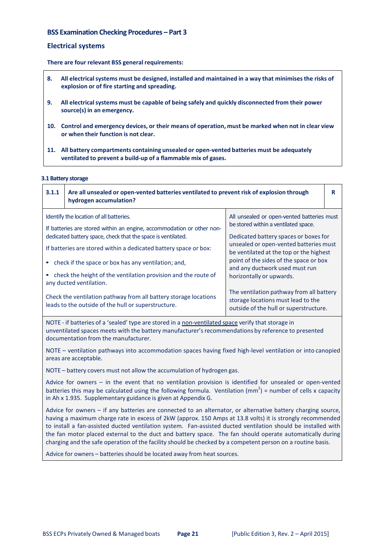# **BSS Examination Checking Procedures – Part 3**

#### **Electrical systems**

**There are four relevant BSS general requirements:**

- **8. All electricalsystems must be designed, installed and maintained in a way that minimisesthe risks of explosion or of fire starting and spreading.**
- **9. All electricalsystems must be capable of being safely and quickly disconnected from their power source(s) in an emergency.**
- 10. Control and emergency devices, or their means of operation, must be marked when not in clear view **or when their function is not clear.**
- **11. All battery compartments containing unsealed or open‐vented batteries must be adequately ventilated to prevent a build‐up of a flammable mix of gases.**

#### **3.1 Battery storage**

| 3.1.1 | Are all unsealed or open-vented batteries ventilated to prevent risk of explosion through<br>hydrogen accumulation?                                                                                                                                                                                                                                                                                                                                                                                                                 |                                                                                                                                                                                                                                                                                                                                                                                                                                                      | R |
|-------|-------------------------------------------------------------------------------------------------------------------------------------------------------------------------------------------------------------------------------------------------------------------------------------------------------------------------------------------------------------------------------------------------------------------------------------------------------------------------------------------------------------------------------------|------------------------------------------------------------------------------------------------------------------------------------------------------------------------------------------------------------------------------------------------------------------------------------------------------------------------------------------------------------------------------------------------------------------------------------------------------|---|
|       | Identify the location of all batteries.<br>If batteries are stored within an engine, accommodation or other non-<br>dedicated battery space, check that the space is ventilated.<br>If batteries are stored within a dedicated battery space or box:<br>check if the space or box has any ventilation; and,<br>check the height of the ventilation provision and the route of<br>any ducted ventilation.<br>Check the ventilation pathway from all battery storage locations<br>leads to the outside of the hull or superstructure. | All unsealed or open-vented batteries must<br>be stored within a ventilated space.<br>Dedicated battery spaces or boxes for<br>unsealed or open-vented batteries must<br>be ventilated at the top or the highest<br>point of the sides of the space or box<br>and any ductwork used must run<br>horizontally or upwards.<br>The ventilation pathway from all battery<br>storage locations must lead to the<br>outside of the hull or superstructure. |   |

NOTE - if batteries of a 'sealed' type are stored in a non-ventilated space verify that storage in unventilated spaces meets with the battery manufacturer'srecommendations by reference to presented documentation from the manufacturer.

NOTE – ventilation pathways into accommodation spaces having fixed high-level ventilation or into canopied areas are acceptable.

NOTE – battery covers must not allow the accumulation of hydrogen gas.

Advice for owners – in the event that no ventilation provision is identified for unsealed or open‐vented batteries this may be calculated using the following formula. Ventilation (mm<sup>2</sup>) = number of cells x capacity in Ah x 1.935. Supplementary guidance is given at Appendix G.

Advice for owners – if any batteries are connected to an alternator, or alternative battery charging source, having a maximum charge rate in excess of 2kW (approx. 150 Amps at 13.8 volts) it is strongly recommended to install a fan‐assisted ducted ventilation system. Fan‐assisted ducted ventilation should be installed with the fan motor placed external to the duct and battery space. The fan should operate automatically during charging and the safe operation of the facility should be checked by a competent person on a routine basis.

Advice for owners - batteries should be located away from heat sources.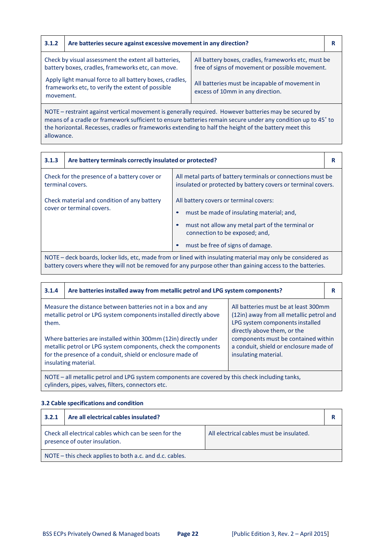| 3.1.2                                                                                                                    | Are batteries secure against excessive movement in any direction?                                         |                                                                                                        |  |
|--------------------------------------------------------------------------------------------------------------------------|-----------------------------------------------------------------------------------------------------------|--------------------------------------------------------------------------------------------------------|--|
|                                                                                                                          | Check by visual assessment the extent all batteries,<br>battery boxes, cradles, frameworks etc, can move. | All battery boxes, cradles, frameworks etc, must be<br>free of signs of movement or possible movement. |  |
| Apply light manual force to all battery boxes, cradles,<br>frameworks etc, to verify the extent of possible<br>movement. |                                                                                                           | All batteries must be incapable of movement in<br>excess of 10mm in any direction.                     |  |

NOTE – restraint against vertical movement is generally required. However batteries may be secured by means of a cradle or framework sufficient to ensure batteries remain secure under any condition up to 45° to the horizontal. Recesses, cradles or frameworks extending to half the height of the battery meet this allowance.

| 3.1.3                                                                    | Are battery terminals correctly insulated or protected?                                                     |                                                                                                                                                                                                               | R |  |
|--------------------------------------------------------------------------|-------------------------------------------------------------------------------------------------------------|---------------------------------------------------------------------------------------------------------------------------------------------------------------------------------------------------------------|---|--|
| Check for the presence of a battery cover or<br>terminal covers.         |                                                                                                             | All metal parts of battery terminals or connections must be<br>insulated or protected by battery covers or terminal covers.                                                                                   |   |  |
| Check material and condition of any battery<br>cover or terminal covers. |                                                                                                             | All battery covers or terminal covers:<br>must be made of insulating material; and,<br>must not allow any metal part of the terminal or<br>connection to be exposed; and,<br>must be free of signs of damage. |   |  |
|                                                                          | NOTE – deck hoards, locker lids, etc. made from or lined with insulating material may only be considered as |                                                                                                                                                                                                               |   |  |

ck boards, locker lids, etc, made from or lined with insulating material may only be considered as battery covers where they will not be removed for any purpose other than gaining access to the batteries.

| 3.1.4                                                                                                                                                                                                                    | Are batteries installed away from metallic petrol and LPG system components?                                                     |                                                                                                                                                    | R |
|--------------------------------------------------------------------------------------------------------------------------------------------------------------------------------------------------------------------------|----------------------------------------------------------------------------------------------------------------------------------|----------------------------------------------------------------------------------------------------------------------------------------------------|---|
| them.                                                                                                                                                                                                                    | Measure the distance between batteries not in a box and any<br>metallic petrol or LPG system components installed directly above | All batteries must be at least 300mm<br>(12in) away from all metallic petrol and<br>LPG system components installed<br>directly above them, or the |   |
| Where batteries are installed within 300mm (12in) directly under<br>metallic petrol or LPG system components, check the components<br>for the presence of a conduit, shield or enclosure made of<br>insulating material. |                                                                                                                                  | components must be contained within<br>a conduit, shield or enclosure made of<br>insulating material.                                              |   |
| NOTE – all metallic petrol and LPG system components are covered by this check including tanks,<br>cylinders, pipes, valves, filters, connectors etc.                                                                    |                                                                                                                                  |                                                                                                                                                    |   |

#### **3.2 Cable specifications and condition**

| 3.2.1                                                                                                                              | Are all electrical cables insulated? |  | R |
|------------------------------------------------------------------------------------------------------------------------------------|--------------------------------------|--|---|
| Check all electrical cables which can be seen for the<br>All electrical cables must be insulated.<br>presence of outer insulation. |                                      |  |   |
| NOTE – this check applies to both a.c. and d.c. cables.                                                                            |                                      |  |   |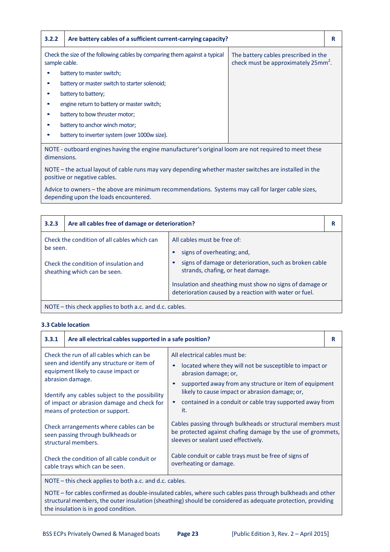| 3.2.2                                                                                       | Are battery cables of a sufficient current-carrying capacity?                                       |                                                                                         | R |
|---------------------------------------------------------------------------------------------|-----------------------------------------------------------------------------------------------------|-----------------------------------------------------------------------------------------|---|
| Check the size of the following cables by comparing them against a typical<br>sample cable. |                                                                                                     | The battery cables prescribed in the<br>check must be approximately 25mm <sup>2</sup> . |   |
|                                                                                             | battery to master switch;                                                                           |                                                                                         |   |
|                                                                                             | battery or master switch to starter solenoid;                                                       |                                                                                         |   |
| battery to battery;                                                                         |                                                                                                     |                                                                                         |   |
|                                                                                             | engine return to battery or master switch;                                                          |                                                                                         |   |
|                                                                                             | battery to bow thruster motor;                                                                      |                                                                                         |   |
|                                                                                             | battery to anchor winch motor;                                                                      |                                                                                         |   |
|                                                                                             | battery to inverter system (over 1000w size).                                                       |                                                                                         |   |
|                                                                                             | NOTE outboard ongines having the engine manufacturer's exiginal loom are not required to meet these |                                                                                         |   |

NOTE ‐ outboard engines having the engine manufacturer's original loom are not required to meet these dimensions.

NOTE – the actual layout of cable runs may vary depending whether master switches are installed in the positive or negative cables.

Advice to owners – the above are minimum recommendations. Systems may call for larger cable sizes, depending upon the loads encountered.

| 3.2.3                                                   | Are all cables free of damage or deterioration?                                                                      |                                                                                                                                                                                                                                                                                |  |
|---------------------------------------------------------|----------------------------------------------------------------------------------------------------------------------|--------------------------------------------------------------------------------------------------------------------------------------------------------------------------------------------------------------------------------------------------------------------------------|--|
| be seen.                                                | Check the condition of all cables which can<br>Check the condition of insulation and<br>sheathing which can be seen. | All cables must be free of:<br>signs of overheating; and,<br>signs of damage or deterioration, such as broken cable<br>strands, chafing, or heat damage.<br>Insulation and sheathing must show no signs of damage or<br>deterioration caused by a reaction with water or fuel. |  |
| NOTE - this check applies to both a.c. and d.c. cables. |                                                                                                                      |                                                                                                                                                                                                                                                                                |  |

#### **3.3 Cable location**

| 3.3.1                                                                                                                                                                                                                                                                                | Are all electrical cables supported in a safe position? |                                                                                                                                                                                                                                                                                                  | R |
|--------------------------------------------------------------------------------------------------------------------------------------------------------------------------------------------------------------------------------------------------------------------------------------|---------------------------------------------------------|--------------------------------------------------------------------------------------------------------------------------------------------------------------------------------------------------------------------------------------------------------------------------------------------------|---|
| Check the run of all cables which can be<br>seen and identify any structure or item of<br>equipment likely to cause impact or<br>abrasion damage.<br>Identify any cables subject to the possibility<br>of impact or abrasion damage and check for<br>means of protection or support. |                                                         | All electrical cables must be:<br>located where they will not be susceptible to impact or<br>abrasion damage; or,<br>supported away from any structure or item of equipment<br>likely to cause impact or abrasion damage; or,<br>contained in a conduit or cable tray supported away from<br>it. |   |
| Check arrangements where cables can be<br>seen passing through bulkheads or<br>structural members.                                                                                                                                                                                   |                                                         | Cables passing through bulkheads or structural members must<br>be protected against chafing damage by the use of grommets,<br>sleeves or sealant used effectively.                                                                                                                               |   |
| Check the condition of all cable conduit or<br>cable trays which can be seen.                                                                                                                                                                                                        |                                                         | Cable conduit or cable trays must be free of signs of<br>overheating or damage.                                                                                                                                                                                                                  |   |
| NOTE – this check annies to both a c and d c cables                                                                                                                                                                                                                                  |                                                         |                                                                                                                                                                                                                                                                                                  |   |

this check applies to both a.c. and d.c. cables.

NOTE – for cables confirmed as double-insulated cables, where such cables pass through bulkheads and other structural members, the outer insulation (sheathing) should be considered as adequate protection, providing the insulation is in good condition.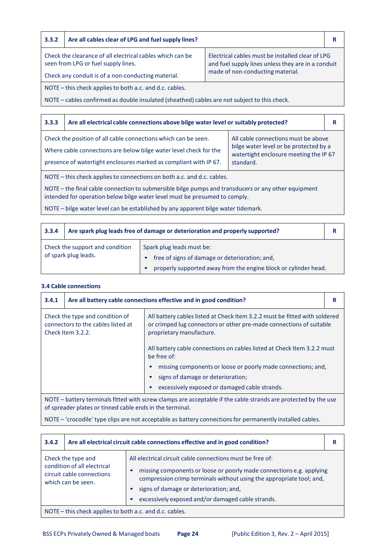# **3.3.2 Are all cables clear of LPG and fuel supply lines? R**

Check the clearance of all electrical cables which can be seen from LPG or fuel supply lines.

Electrical cables must be installed clear of LPG and fuel supply lines unless they are in a conduit made of non‐conducting material.

Check any conduit is of a non‐conducting material. NOTE – this check applies to both a.c. and d.c. cables.

NOTE – cables confirmed as double insulated (sheathed) cables are not subject to this check.

#### **3.3.3 Are all electrical cable connections above bilge water level or suitably protected? R** Check the position of all cable connections which can be seen. Where cable connections are below bilge water level check for the presence of watertight enclosures marked as compliant with IP 67. All cable connections must be above bilge water level or be protected by a watertight enclosure meeting the IP 67 standard.

NOTE – this check applies to connections on both a.c. and d.c. cables.

NOTE – the final cable connection to submersible bilge pumps and transducers or any other equipment intended for operation below bilge water level must be presumed to comply.

NOTE – bilge water level can be established by any apparent bilge water tidemark.

| 3.3.4                                                   | Are spark plug leads free of damage or deterioration and properly supported? |                                                                             | R |
|---------------------------------------------------------|------------------------------------------------------------------------------|-----------------------------------------------------------------------------|---|
| Check the support and condition<br>of spark plug leads. |                                                                              | Spark plug leads must be:<br>free of signs of damage or deterioration; and, |   |
|                                                         |                                                                              | properly supported away from the engine block or cylinder head.             |   |

#### **3.4 Cable connections**

| 3.4.1                                                                                                                                                                      | Are all battery cable connections effective and in good condition?                                        |                                                                                                                                                                               |  |
|----------------------------------------------------------------------------------------------------------------------------------------------------------------------------|-----------------------------------------------------------------------------------------------------------|-------------------------------------------------------------------------------------------------------------------------------------------------------------------------------|--|
| Check the type and condition of<br>connectors to the cables listed at<br>Check Item 3.2.2.                                                                                 |                                                                                                           | All battery cables listed at Check Item 3.2.2 must be fitted with soldered<br>or crimped lug connectors or other pre-made connections of suitable<br>proprietary manufacture. |  |
| All battery cable connections on cables listed at Check Item 3.2.2 must<br>be free of:                                                                                     |                                                                                                           |                                                                                                                                                                               |  |
|                                                                                                                                                                            |                                                                                                           | missing components or loose or poorly made connections; and,                                                                                                                  |  |
|                                                                                                                                                                            |                                                                                                           | signs of damage or deterioration;                                                                                                                                             |  |
|                                                                                                                                                                            | excessively exposed or damaged cable strands.                                                             |                                                                                                                                                                               |  |
| NOTE – battery terminals fitted with screw clamps are acceptable if the cable strands are protected by the use<br>of spreader plates or tinned cable ends in the terminal. |                                                                                                           |                                                                                                                                                                               |  |
|                                                                                                                                                                            | NOTE – 'crocodile' type clips are not acceptable as battery connections for permanently installed cables. |                                                                                                                                                                               |  |

| 3.4.2                                                                                                                                                                                                                                                                                                                                                                                                            | Are all electrical circuit cable connections effective and in good condition? |  |  |
|------------------------------------------------------------------------------------------------------------------------------------------------------------------------------------------------------------------------------------------------------------------------------------------------------------------------------------------------------------------------------------------------------------------|-------------------------------------------------------------------------------|--|--|
| All electrical circuit cable connections must be free of:<br>Check the type and<br>condition of all electrical<br>missing components or loose or poorly made connections e.g. applying<br>circuit cable connections<br>compression crimp terminals without using the appropriate tool; and,<br>which can be seen.<br>signs of damage or deterioration; and,<br>excessively exposed and/or damaged cable strands. |                                                                               |  |  |
| NOTE – this check applies to both a.c. and d.c. cables.                                                                                                                                                                                                                                                                                                                                                          |                                                                               |  |  |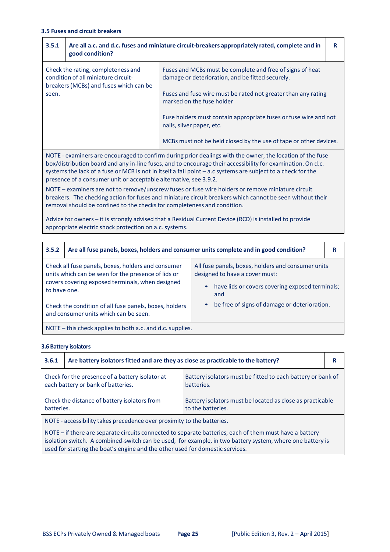| 3.5.1                                                                                                                                                                                                                                                                                                                                                                                                           | Are all a.c. and d.c. fuses and miniature circuit-breakers appropriately rated, complete and in<br>good condition? |                                                                                                               | R |
|-----------------------------------------------------------------------------------------------------------------------------------------------------------------------------------------------------------------------------------------------------------------------------------------------------------------------------------------------------------------------------------------------------------------|--------------------------------------------------------------------------------------------------------------------|---------------------------------------------------------------------------------------------------------------|---|
| Check the rating, completeness and<br>condition of all miniature circuit-<br>breakers (MCBs) and fuses which can be                                                                                                                                                                                                                                                                                             |                                                                                                                    | Fuses and MCBs must be complete and free of signs of heat<br>damage or deterioration, and be fitted securely. |   |
| seen.                                                                                                                                                                                                                                                                                                                                                                                                           |                                                                                                                    | Fuses and fuse wire must be rated not greater than any rating<br>marked on the fuse holder                    |   |
|                                                                                                                                                                                                                                                                                                                                                                                                                 |                                                                                                                    | Fuse holders must contain appropriate fuses or fuse wire and not<br>nails, silver paper, etc.                 |   |
|                                                                                                                                                                                                                                                                                                                                                                                                                 |                                                                                                                    | MCBs must not be held closed by the use of tape or other devices.                                             |   |
| NOTE - examiners are encouraged to confirm during prior dealings with the owner, the location of the fuse<br>box/distribution board and any in-line fuses, and to encourage their accessibility for examination. On d.c.<br>systems the lack of a fuse or MCB is not in itself a fail point $-$ a.c systems are subject to a check for the<br>presence of a consumer unit or acceptable alternative, see 3.9.2. |                                                                                                                    |                                                                                                               |   |
|                                                                                                                                                                                                                                                                                                                                                                                                                 | NOTE - examiners are not to remove/unscrew fuses or fuse wire holders or remove miniature circuit                  |                                                                                                               |   |

breakers. The checking action for fuses and miniature circuit breakers which cannot be seen without their removal should be confined to the checks for completeness and condition.

Advice for owners – it is strongly advised that a Residual Current Device (RCD) is installed to provide appropriate electric shock protection on a.c. systems.

| 3.5.2                                                                                                                                                                         | Are all fuse panels, boxes, holders and consumer units complete and in good condition? |                                                                                                                                                             | R |  |
|-------------------------------------------------------------------------------------------------------------------------------------------------------------------------------|----------------------------------------------------------------------------------------|-------------------------------------------------------------------------------------------------------------------------------------------------------------|---|--|
| Check all fuse panels, boxes, holders and consumer<br>units which can be seen for the presence of lids or<br>covers covering exposed terminals, when designed<br>to have one. |                                                                                        | All fuse panels, boxes, holders and consumer units<br>designed to have a cover must:<br>have lids or covers covering exposed terminals;<br>$\bullet$<br>and |   |  |
| Check the condition of all fuse panels, boxes, holders<br>and consumer units which can be seen.                                                                               |                                                                                        | be free of signs of damage or deterioration.<br>$\bullet$                                                                                                   |   |  |
| NOTE – this check applies to both a.c. and d.c. supplies.                                                                                                                     |                                                                                        |                                                                                                                                                             |   |  |

#### **3.6 Battery isolators**

| 3.6.1                                                                                                                                        | Are battery isolators fitted and are they as close as practicable to the battery? |                                                                           |  |
|----------------------------------------------------------------------------------------------------------------------------------------------|-----------------------------------------------------------------------------------|---------------------------------------------------------------------------|--|
| Check for the presence of a battery isolator at<br>each battery or bank of batteries.                                                        |                                                                                   | Battery isolators must be fitted to each battery or bank of<br>batteries. |  |
| Check the distance of battery isolators from<br>Battery isolators must be located as close as practicable<br>to the batteries.<br>batteries. |                                                                                   |                                                                           |  |
|                                                                                                                                              |                                                                                   |                                                                           |  |

NOTE ‐ accessibility takes precedence over proximity to the batteries.

NOTE – if there are separate circuits connected to separate batteries, each of them must have a battery isolation switch. A combined-switch can be used, for example, in two battery system, where one battery is used for starting the boat's engine and the other used for domestic services.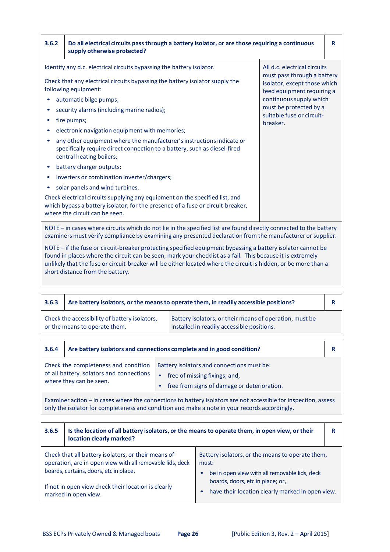| 3.6.2                                                                                                                                                                                                                           | Do all electrical circuits pass through a battery isolator, or are those requiring a continuous<br>supply otherwise protected?                                                                                                                                                                                                                                                                                                                                                                                                                                                                                                                                                                                                                                                                                              |                                                                                                                                                                                                                         | R |
|---------------------------------------------------------------------------------------------------------------------------------------------------------------------------------------------------------------------------------|-----------------------------------------------------------------------------------------------------------------------------------------------------------------------------------------------------------------------------------------------------------------------------------------------------------------------------------------------------------------------------------------------------------------------------------------------------------------------------------------------------------------------------------------------------------------------------------------------------------------------------------------------------------------------------------------------------------------------------------------------------------------------------------------------------------------------------|-------------------------------------------------------------------------------------------------------------------------------------------------------------------------------------------------------------------------|---|
|                                                                                                                                                                                                                                 | Identify any d.c. electrical circuits bypassing the battery isolator.<br>Check that any electrical circuits bypassing the battery isolator supply the<br>following equipment:<br>automatic bilge pumps;<br>security alarms (including marine radios);<br>fire pumps;<br>electronic navigation equipment with memories;<br>any other equipment where the manufacturer's instructions indicate or<br>specifically require direct connection to a battery, such as diesel-fired<br>central heating boilers;<br>battery charger outputs;<br>inverters or combination inverter/chargers;<br>solar panels and wind turbines.<br>Check electrical circuits supplying any equipment on the specified list, and<br>which bypass a battery isolator, for the presence of a fuse or circuit-breaker,<br>where the circuit can be seen. | All d.c. electrical circuits<br>must pass through a battery<br>isolator, except those which<br>feed equipment requiring a<br>continuous supply which<br>must be protected by a<br>suitable fuse or circuit-<br>breaker. |   |
| NOTE - in cases where circuits which do not lie in the specified list are found directly connected to the battery<br>examiners must verify compliance by examining any presented declaration from the manufacturer or supplier. |                                                                                                                                                                                                                                                                                                                                                                                                                                                                                                                                                                                                                                                                                                                                                                                                                             |                                                                                                                                                                                                                         |   |

NOTE – if the fuse or circuit‐breaker protecting specified equipment bypassing a battery isolator cannot be found in places where the circuit can be seen, mark your checklist as a fail. This because it is extremely unlikely that the fuse or circuit‐breaker will be either located where the circuit is hidden, or be more than a short distance from the battery.

| 3.6.3                                                                          | Are battery isolators, or the means to operate them, in readily accessible positions? |                                                                                                       |  |
|--------------------------------------------------------------------------------|---------------------------------------------------------------------------------------|-------------------------------------------------------------------------------------------------------|--|
| Check the accessibility of battery isolators,<br>or the means to operate them. |                                                                                       | Battery isolators, or their means of operation, must be<br>installed in readily accessible positions. |  |

| 3.6.4 | Are battery isolators and connections complete and in good condition?                                       |                                                                                                                            |  |
|-------|-------------------------------------------------------------------------------------------------------------|----------------------------------------------------------------------------------------------------------------------------|--|
|       | Check the completeness and condition<br>of all battery isolators and connections<br>where they can be seen. | Battery isolators and connections must be:<br>free of missing fixings; and,<br>free from signs of damage or deterioration. |  |
|       |                                                                                                             |                                                                                                                            |  |

Examiner action – in cases where the connections to battery isolators are not accessible for inspection, assess only the isolator for completeness and condition and make a note in your records accordingly.

| 3.6.5 | Is the location of all battery isolators, or the means to operate them, in open view, or their<br>location clearly marked?                                                                                                                |                                                                                                                                                                                                    |  |
|-------|-------------------------------------------------------------------------------------------------------------------------------------------------------------------------------------------------------------------------------------------|----------------------------------------------------------------------------------------------------------------------------------------------------------------------------------------------------|--|
|       | Check that all battery isolators, or their means of<br>operation, are in open view with all removable lids, deck<br>boards, curtains, doors, etc in place.<br>If not in open view check their location is clearly<br>marked in open view. | Battery isolators, or the means to operate them,<br>must:<br>be in open view with all removable lids, deck<br>boards, doors, etc in place; or,<br>have their location clearly marked in open view. |  |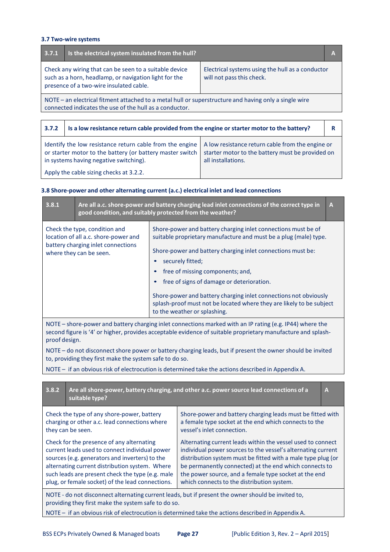# **3.7 Two‐wire systems**

| 3.7.1                                                                                                                                                                                                                                       | Is the electrical system insulated from the hull?                                          |  | A |
|---------------------------------------------------------------------------------------------------------------------------------------------------------------------------------------------------------------------------------------------|--------------------------------------------------------------------------------------------|--|---|
| Check any wiring that can be seen to a suitable device<br>Electrical systems using the hull as a conductor<br>such as a horn, headlamp, or navigation light for the<br>will not pass this check.<br>presence of a two-wire insulated cable. |                                                                                            |  |   |
| NOTE – an electrical fitment attached to a metal hull or superstructure and having only a single wire<br>connected indicates the use of the hull as a conductor.                                                                            |                                                                                            |  |   |
|                                                                                                                                                                                                                                             |                                                                                            |  |   |
| 3.7.2                                                                                                                                                                                                                                       | Is a low resistance return cable provided from the engine or starter motor to the battery? |  | R |

| Identify the low resistance return cable from the engine   A low resistance return cable from the engine or<br>or starter motor to the battery (or battery master switch | starter motor to the battery must be provided on |
|--------------------------------------------------------------------------------------------------------------------------------------------------------------------------|--------------------------------------------------|
| in systems having negative switching).                                                                                                                                   | all installations.                               |
| Apply the cable sizing checks at 3.2.2.                                                                                                                                  |                                                  |

# **3.8 Shore‐power and other alternating current (a.c.) electrical inlet and lead connections**

| 3.8.1                                                                                                                                                                                                                                                                                                                                                                                                                                                                                                                                                                                                                                                                   | good condition, and suitably protected from the weather?                                                                                                                                                                                                              |  | Are all a.c. shore-power and battery charging lead inlet connections of the correct type in                                                                              | A            |
|-------------------------------------------------------------------------------------------------------------------------------------------------------------------------------------------------------------------------------------------------------------------------------------------------------------------------------------------------------------------------------------------------------------------------------------------------------------------------------------------------------------------------------------------------------------------------------------------------------------------------------------------------------------------------|-----------------------------------------------------------------------------------------------------------------------------------------------------------------------------------------------------------------------------------------------------------------------|--|--------------------------------------------------------------------------------------------------------------------------------------------------------------------------|--------------|
| Shore-power and battery charging inlet connections must be of<br>Check the type, condition and<br>location of all a.c. shore-power and<br>suitable proprietary manufacture and must be a plug (male) type.<br>battery charging inlet connections<br>Shore-power and battery charging inlet connections must be:<br>where they can be seen.                                                                                                                                                                                                                                                                                                                              |                                                                                                                                                                                                                                                                       |  |                                                                                                                                                                          |              |
|                                                                                                                                                                                                                                                                                                                                                                                                                                                                                                                                                                                                                                                                         |                                                                                                                                                                                                                                                                       |  | securely fitted;                                                                                                                                                         |              |
|                                                                                                                                                                                                                                                                                                                                                                                                                                                                                                                                                                                                                                                                         |                                                                                                                                                                                                                                                                       |  | free of missing components; and,                                                                                                                                         |              |
|                                                                                                                                                                                                                                                                                                                                                                                                                                                                                                                                                                                                                                                                         |                                                                                                                                                                                                                                                                       |  | free of signs of damage or deterioration.                                                                                                                                |              |
|                                                                                                                                                                                                                                                                                                                                                                                                                                                                                                                                                                                                                                                                         |                                                                                                                                                                                                                                                                       |  | Shore-power and battery charging inlet connections not obviously<br>splash-proof must not be located where they are likely to be subject<br>to the weather or splashing. |              |
|                                                                                                                                                                                                                                                                                                                                                                                                                                                                                                                                                                                                                                                                         | NOTE - shore-power and battery charging inlet connections marked with an IP rating (e.g. IP44) where the<br>second figure is '4' or higher, provides acceptable evidence of suitable proprietary manufacture and splash-<br>proof design.                             |  |                                                                                                                                                                          |              |
|                                                                                                                                                                                                                                                                                                                                                                                                                                                                                                                                                                                                                                                                         | to, providing they first make the system safe to do so.                                                                                                                                                                                                               |  | NOTE - do not disconnect shore power or battery charging leads, but if present the owner should be invited                                                               |              |
|                                                                                                                                                                                                                                                                                                                                                                                                                                                                                                                                                                                                                                                                         |                                                                                                                                                                                                                                                                       |  | NOTE - if an obvious risk of electrocution is determined take the actions described in Appendix A.                                                                       |              |
|                                                                                                                                                                                                                                                                                                                                                                                                                                                                                                                                                                                                                                                                         |                                                                                                                                                                                                                                                                       |  |                                                                                                                                                                          |              |
| 3.8.2                                                                                                                                                                                                                                                                                                                                                                                                                                                                                                                                                                                                                                                                   | suitable type?                                                                                                                                                                                                                                                        |  | Are all shore-power, battery charging, and other a.c. power source lead connections of a                                                                                 | $\mathbf{A}$ |
|                                                                                                                                                                                                                                                                                                                                                                                                                                                                                                                                                                                                                                                                         | Check the type of any shore-power, battery<br>Shore-power and battery charging leads must be fitted with<br>charging or other a.c. lead connections where<br>a female type socket at the end which connects to the<br>vessel's inlet connection.<br>they can be seen. |  |                                                                                                                                                                          |              |
| Alternating current leads within the vessel used to connect<br>Check for the presence of any alternating<br>current leads used to connect individual power<br>individual power sources to the vessel's alternating current<br>sources (e.g. generators and inverters) to the<br>distribution system must be fitted with a male type plug (or<br>alternating current distribution system. Where<br>be permanently connected) at the end which connects to<br>such leads are present check the type (e.g. male<br>the power source, and a female type socket at the end<br>plug, or female socket) of the lead connections.<br>which connects to the distribution system. |                                                                                                                                                                                                                                                                       |  |                                                                                                                                                                          |              |
| NOTE - do not disconnect alternating current leads, but if present the owner should be invited to,<br>providing they first make the system safe to do so.                                                                                                                                                                                                                                                                                                                                                                                                                                                                                                               |                                                                                                                                                                                                                                                                       |  |                                                                                                                                                                          |              |

NOTE – if an obvious risk of electrocution is determined take the actions described in Appendix A.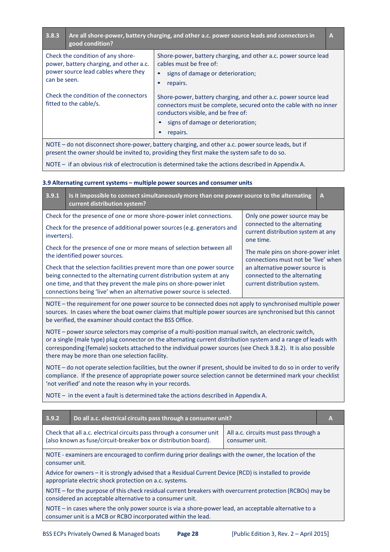| 3.8.3                                                                                                                                                                                            | good condition?                                                                                      | Are all shore-power, battery charging, and other a.c. power source leads and connectors in                                                                                                                                   | A |
|--------------------------------------------------------------------------------------------------------------------------------------------------------------------------------------------------|------------------------------------------------------------------------------------------------------|------------------------------------------------------------------------------------------------------------------------------------------------------------------------------------------------------------------------------|---|
| Check the condition of any shore-<br>cables must be free of:<br>power, battery charging, and other a.c.<br>power source lead cables where they<br>can be seen.<br>repairs.                       |                                                                                                      | Shore-power, battery charging, and other a.c. power source lead<br>signs of damage or deterioration;                                                                                                                         |   |
| Check the condition of the connectors<br>fitted to the cable/s.                                                                                                                                  |                                                                                                      | Shore-power, battery charging, and other a.c. power source lead<br>connectors must be complete, secured onto the cable with no inner<br>conductors visible, and be free of:<br>signs of damage or deterioration;<br>repairs. |   |
| NOTE - do not disconnect shore-power, battery charging, and other a.c. power source leads, but if<br>present the owner should be invited to, providing they first make the system safe to do so. |                                                                                                      |                                                                                                                                                                                                                              |   |
|                                                                                                                                                                                                  | NOTE $-$ if an obvious risk of electrocution is determined take the actions described in Appendix A. |                                                                                                                                                                                                                              |   |

## **3.9 Alternating currentsystems – multiple power sources and consumer units**

| 3.9.1                                                                                                                                                                                                                                                 | Is it impossible to connect simultaneously more than one power source to the alternating<br>current distribution system?                                                                                                                                                                        |                                                                                                | A |
|-------------------------------------------------------------------------------------------------------------------------------------------------------------------------------------------------------------------------------------------------------|-------------------------------------------------------------------------------------------------------------------------------------------------------------------------------------------------------------------------------------------------------------------------------------------------|------------------------------------------------------------------------------------------------|---|
| Check for the presence of one or more shore-power inlet connections.<br>Only one power source may be<br>connected to the alternating<br>Check for the presence of additional power sources (e.g. generators and<br>current distribution system at any |                                                                                                                                                                                                                                                                                                 |                                                                                                |   |
| inverters).                                                                                                                                                                                                                                           | Check for the presence of one or more means of selection between all<br>the identified power sources.                                                                                                                                                                                           | one time.<br>The male pins on shore-power inlet<br>connections must not be 'live' when         |   |
|                                                                                                                                                                                                                                                       | Check that the selection facilities prevent more than one power source<br>being connected to the alternating current distribution system at any<br>one time, and that they prevent the male pins on shore-power inlet<br>connections being 'live' when an alternative power source is selected. | an alternative power source is<br>connected to the alternating<br>current distribution system. |   |

NOTE – the requirement for one power source to be connected does not apply to synchronised multiple power sources. In cases where the boat owner claims that multiple power sources are synchronised but this cannot be verified, the examiner should contact the BSS Office.

NOTE – power source selectors may comprise of a multi-position manual switch, an electronic switch, or a single (male type) plug connector on the alternating current distribution system and a range of leads with corresponding (female) sockets attached to the individual power sources(see Check 3.8.2). It is also possible there may be more than one selection facility.

NOTE – do not operate selection facilities, but the owner if present, should be invited to do so in order to verify compliance. If the presence of appropriate power source selection cannot be determined mark your checklist 'not verified' and note the reason why in your records.

NOTE – in the event a fault is determined take the actions described in Appendix A.

| 3.9.2                                                                                                                                                                                              | Do all a.c. electrical circuits pass through a consumer unit?                                                                                                         |  | A |
|----------------------------------------------------------------------------------------------------------------------------------------------------------------------------------------------------|-----------------------------------------------------------------------------------------------------------------------------------------------------------------------|--|---|
| Check that all a.c. electrical circuits pass through a consumer unit<br>All a.c. circuits must pass through a<br>(also known as fuse/circuit-breaker box or distribution board).<br>consumer unit. |                                                                                                                                                                       |  |   |
| NOTE - examiners are encouraged to confirm during prior dealings with the owner, the location of the<br>consumer unit.                                                                             |                                                                                                                                                                       |  |   |
| Advice for owners - it is strongly advised that a Residual Current Device (RCD) is installed to provide<br>appropriate electric shock protection on a.c. systems.                                  |                                                                                                                                                                       |  |   |
| NOTE – for the purpose of this check residual current breakers with overcurrent protection (RCBOs) may be<br>considered an acceptable alternative to a consumer unit.                              |                                                                                                                                                                       |  |   |
|                                                                                                                                                                                                    | NOTE – in cases where the only power source is via a shore-power lead, an acceptable alternative to a<br>consumer unit is a MCB or RCBO incorporated within the lead. |  |   |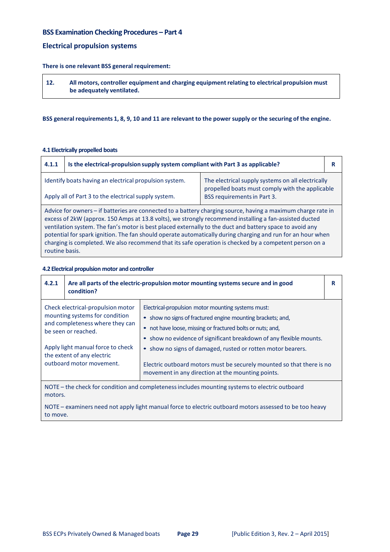# **BSS Examination Checking Procedures – Part 4**

# **Electrical propulsion systems**

#### **There is one relevant BSS general requirement:**

| 12. | All motors, controller equipment and charging equipment relating to electrical propulsion must |
|-----|------------------------------------------------------------------------------------------------|
|     | be adequately ventilated.                                                                      |

#### BSS general requirements 1, 8, 9, 10 and 11 are relevant to the power supply or the securing of the engine.

#### **4.1 Electrically propelled boats**

 $\overline{\Gamma}$ 

| 4.1.1                                                                                                                                                          | Is the electrical-propulsion supply system compliant with Part 3 as applicable? |  |  |
|----------------------------------------------------------------------------------------------------------------------------------------------------------------|---------------------------------------------------------------------------------|--|--|
| Identify boats having an electrical propulsion system.<br>The electrical supply systems on all electrically<br>propelled boats must comply with the applicable |                                                                                 |  |  |
| BSS requirements in Part 3.<br>Apply all of Part 3 to the electrical supply system.                                                                            |                                                                                 |  |  |
| A duba fan annoare - U bettenbea an aannoarted ta a betten calendra aannoa-banbaa ananbanno alegea nata be                                                     |                                                                                 |  |  |

Advice for owners – if batteries are connected to a battery charging source, having a maximum charge rate in excess of 2kW (approx. 150 Amps at 13.8 volts), we strongly recommend installing a fan‐assisted ducted ventilation system. The fan's motor is best placed externally to the duct and battery space to avoid any potential for spark ignition. The fan should operate automatically during charging and run for an hour when charging is completed. We also recommend that its safe operation is checked by a competent person on a routine basis.

#### **4.2 Electrical propulsion motor and controller**

to move.

| 4.2.1                                                                                                                                                                                                                        | condition? | Are all parts of the electric-propulsion motor mounting systems secure and in good                                                                                                                                                                                                                                  | R |
|------------------------------------------------------------------------------------------------------------------------------------------------------------------------------------------------------------------------------|------------|---------------------------------------------------------------------------------------------------------------------------------------------------------------------------------------------------------------------------------------------------------------------------------------------------------------------|---|
| Check electrical-propulsion motor<br>mounting systems for condition<br>and completeness where they can<br>be seen or reached.<br>Apply light manual force to check<br>the extent of any electric<br>outboard motor movement. |            | Electrical-propulsion motor mounting systems must:<br>• show no signs of fractured engine mounting brackets; and,<br>• not have loose, missing or fractured bolts or nuts; and,<br>show no evidence of significant breakdown of any flexible mounts.<br>• show no signs of damaged, rusted or rotten motor bearers. |   |
|                                                                                                                                                                                                                              |            | Electric outboard motors must be securely mounted so that there is no<br>movement in any direction at the mounting points.                                                                                                                                                                                          |   |
| NOTE – the check for condition and completeness includes mounting systems to electric outboard<br>motors.                                                                                                                    |            |                                                                                                                                                                                                                                                                                                                     |   |
| NOTE - examiners need not apply light manual force to electric outboard motors assessed to be too heavy                                                                                                                      |            |                                                                                                                                                                                                                                                                                                                     |   |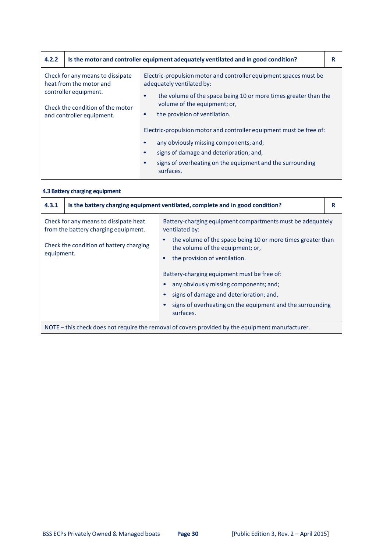| 4.2.2                                                                                                                    |  | Is the motor and controller equipment adequately ventilated and in good condition?                                                                                                                                                                           | R |
|--------------------------------------------------------------------------------------------------------------------------|--|--------------------------------------------------------------------------------------------------------------------------------------------------------------------------------------------------------------------------------------------------------------|---|
| Check for any means to dissipate<br>heat from the motor and<br>controller equipment.<br>Check the condition of the motor |  | Electric-propulsion motor and controller equipment spaces must be<br>adequately ventilated by:<br>the volume of the space being 10 or more times greater than the<br>$\bullet$<br>volume of the equipment; or,<br>the provision of ventilation.<br>$\bullet$ |   |
| and controller equipment.                                                                                                |  | Electric-propulsion motor and controller equipment must be free of:<br>any obviously missing components; and;<br>signs of damage and deterioration; and,<br>$\bullet$<br>signs of overheating on the equipment and the surrounding<br>$\bullet$<br>surfaces. |   |

# **4.3 Battery charging equipment**

| 4.3.1                                                                                                                                   | Is the battery charging equipment ventilated, complete and in good condition?                                                                                 |                                                                        | R |
|-----------------------------------------------------------------------------------------------------------------------------------------|---------------------------------------------------------------------------------------------------------------------------------------------------------------|------------------------------------------------------------------------|---|
|                                                                                                                                         | Check for any means to dissipate heat<br>Battery-charging equipment compartments must be adequately<br>from the battery charging equipment.<br>ventilated by: |                                                                        |   |
| Check the condition of battery charging<br>the volume of the equipment; or,<br>equipment.<br>the provision of ventilation.<br>$\bullet$ |                                                                                                                                                               | the volume of the space being 10 or more times greater than            |   |
|                                                                                                                                         |                                                                                                                                                               |                                                                        |   |
|                                                                                                                                         |                                                                                                                                                               | Battery-charging equipment must be free of:                            |   |
|                                                                                                                                         |                                                                                                                                                               | any obviously missing components; and;                                 |   |
|                                                                                                                                         |                                                                                                                                                               | signs of damage and deterioration; and,                                |   |
|                                                                                                                                         |                                                                                                                                                               | signs of overheating on the equipment and the surrounding<br>surfaces. |   |
|                                                                                                                                         | NOTE – this check does not require the removal of covers provided by the equipment manufacturer.                                                              |                                                                        |   |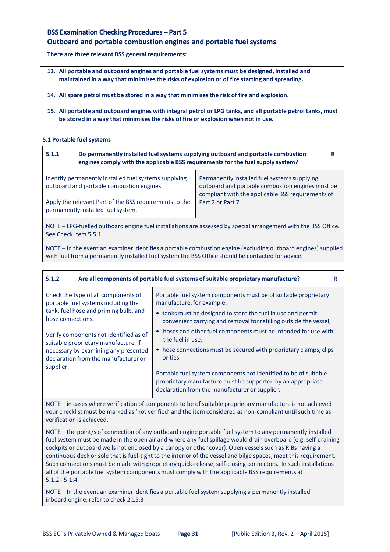# **BSS Examination Checking Procedures – Part 5 Outboard and portable combustion engines and portable fuel systems**

**There are three relevant BSS general requirements:**

- **13. All portable and outboard engines and portable fuelsystems must be designed, installed and maintained in a way that minimisesthe risks of explosion or of fire starting and spreading.**
- **14. All spare petrol must be stored in a way that minimisesthe risk of fire and explosion.**
- 15. All portable and outboard engines with integral petrol or LPG tanks, and all portable petrol tanks, must **be stored in a way that minimisesthe risks of fire or explosion when not in use.**

# **5.1 Portable fuel systems**

| 5.1.1                                                                                              | Do permanently installed fuel systems supplying outboard and portable combustion<br>engines comply with the applicable BSS requirements for the fuel supply system? |                                                                                                                                                       | R |
|----------------------------------------------------------------------------------------------------|---------------------------------------------------------------------------------------------------------------------------------------------------------------------|-------------------------------------------------------------------------------------------------------------------------------------------------------|---|
| Identify permanently installed fuel systems supplying<br>outboard and portable combustion engines. |                                                                                                                                                                     | Permanently installed fuel systems supplying<br>outboard and portable combustion engines must be<br>compliant with the applicable BSS requirements of |   |
| Apply the relevant Part of the BSS requirements to the<br>permanently installed fuel system.       |                                                                                                                                                                     | Part 2 or Part 7.                                                                                                                                     |   |
|                                                                                                    |                                                                                                                                                                     |                                                                                                                                                       |   |

NOTE – LPG‐fuelled outboard engine fuel installations are assessed by special arrangement with the BSS Office. See Check Item 5.5.1.

NOTE – In the event an examiner identifies a portable combustion engine (excluding outboard engines) supplied with fuel from a permanently installed fuel system the BSS Office should be contacted for advice.

| 5.1.2                                                                                                                                                          |  | Are all components of portable fuel systems of suitable proprietary manufacture?                                                                                                  | R |
|----------------------------------------------------------------------------------------------------------------------------------------------------------------|--|-----------------------------------------------------------------------------------------------------------------------------------------------------------------------------------|---|
| Check the type of all components of<br>portable fuel systems including the<br>tank, fuel hose and priming bulb, and<br>hose connections.                       |  | Portable fuel system components must be of suitable proprietary<br>manufacture, for example:                                                                                      |   |
|                                                                                                                                                                |  | • tanks must be designed to store the fuel in use and permit<br>convenient carrying and removal for refilling outside the vessel;                                                 |   |
| Verify components not identified as of<br>suitable proprietary manufacture, if<br>necessary by examining any presented<br>declaration from the manufacturer or |  | hoses and other fuel components must be intended for use with<br>the fuel in use;                                                                                                 |   |
|                                                                                                                                                                |  | • hose connections must be secured with proprietary clamps, clips<br>or ties.                                                                                                     |   |
| supplier.                                                                                                                                                      |  | Portable fuel system components not identified to be of suitable<br>proprietary manufacture must be supported by an appropriate<br>declaration from the manufacturer or supplier. |   |

NOTE – in cases where verification of components to be of suitable proprietary manufacture is not achieved your checklist must be marked as 'not verified' and the item considered as non‐compliant until such time as verification is achieved.

NOTE – the point/s of connection of any outboard engine portable fuel system to any permanently installed fuel system must be made in the open air and where any fuel spillage would drain overboard (e.g. self-draining cockpits or outboard wells not enclosed by a canopy or other cover). Open vessels such as RIBs having a continuous deck or sole that is fuel‐tight to the interior of the vessel and bilge spaces, meet this requirement. Such connections must be made with proprietary quick-release, self-closing connectors. In such installations all of the portable fuel system components must comply with the applicable BSS requirements at 5.1.2 ‐ 5.1.4.

NOTE – In the event an examiner identifies a portable fuel system supplying a permanently installed inboard engine, refer to check 2.15.3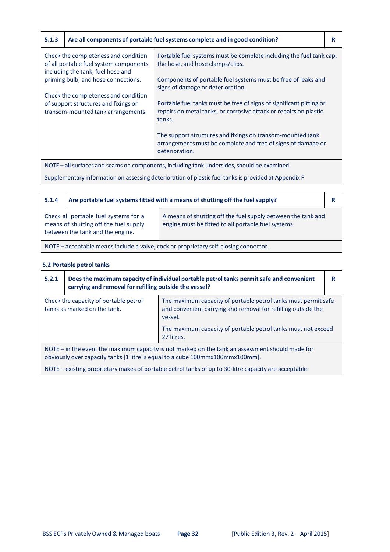| 5.1.3                                                                                                               |                                                                            | Are all components of portable fuel systems complete and in good condition?                                                                        | R |
|---------------------------------------------------------------------------------------------------------------------|----------------------------------------------------------------------------|----------------------------------------------------------------------------------------------------------------------------------------------------|---|
| Check the completeness and condition<br>of all portable fuel system components<br>including the tank, fuel hose and |                                                                            | Portable fuel systems must be complete including the fuel tank cap.<br>the hose, and hose clamps/clips.                                            |   |
|                                                                                                                     | priming bulb, and hose connections.                                        | Components of portable fuel systems must be free of leaks and<br>signs of damage or deterioration.                                                 |   |
|                                                                                                                     | Check the completeness and condition                                       |                                                                                                                                                    |   |
|                                                                                                                     | of support structures and fixings on<br>transom-mounted tank arrangements. | Portable fuel tanks must be free of signs of significant pitting or<br>repairs on metal tanks, or corrosive attack or repairs on plastic<br>tanks. |   |
|                                                                                                                     |                                                                            | The support structures and fixings on transom-mounted tank<br>arrangements must be complete and free of signs of damage or<br>deterioration.       |   |
| NOTE – all surfaces and seams on components, including tank undersides, should be examined.                         |                                                                            |                                                                                                                                                    |   |

Supplementary information on assessing deterioration of plastic fuel tanksis provided at Appendix F

| 5.1.4                                                                                | Are portable fuel systems fitted with a means of shutting off the fuel supply?                                                                                                                                                            |  | R |
|--------------------------------------------------------------------------------------|-------------------------------------------------------------------------------------------------------------------------------------------------------------------------------------------------------------------------------------------|--|---|
|                                                                                      | Check all portable fuel systems for a<br>A means of shutting off the fuel supply between the tank and<br>means of shutting off the fuel supply<br>engine must be fitted to all portable fuel systems.<br>between the tank and the engine. |  |   |
| NOTE - acceptable means include a valve, cock or proprietary self-closing connector. |                                                                                                                                                                                                                                           |  |   |

# **5.2 Portable petrol tanks**

| 5.2.1                                                                                                                                                                               | Does the maximum capacity of individual portable petrol tanks permit safe and convenient<br>carrying and removal for refilling outside the vessel? |                                                                                                                                            | R |
|-------------------------------------------------------------------------------------------------------------------------------------------------------------------------------------|----------------------------------------------------------------------------------------------------------------------------------------------------|--------------------------------------------------------------------------------------------------------------------------------------------|---|
| Check the capacity of portable petrol<br>tanks as marked on the tank.                                                                                                               |                                                                                                                                                    | The maximum capacity of portable petrol tanks must permit safe<br>and convenient carrying and removal for refilling outside the<br>vessel. |   |
|                                                                                                                                                                                     |                                                                                                                                                    | The maximum capacity of portable petrol tanks must not exceed<br>27 litres.                                                                |   |
| NOTE $-$ in the event the maximum capacity is not marked on the tank an assessment should made for<br>obviously over capacity tanks [1 litre is equal to a cube 100mmx100mmx100mm]. |                                                                                                                                                    |                                                                                                                                            |   |
|                                                                                                                                                                                     |                                                                                                                                                    | NOTE – existing proprietary makes of portable petrol tanks of up to 30-litre capacity are acceptable.                                      |   |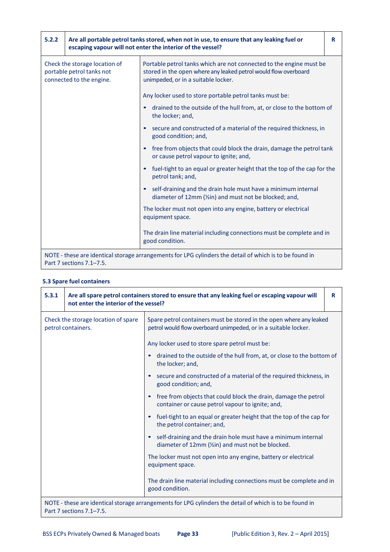| 5.2.2                                                                                  | Are all portable petrol tanks stored, when not in use, to ensure that any leaking fuel or<br>escaping vapour will not enter the interior of the vessel? |                                                                                                                                                                               | R |
|----------------------------------------------------------------------------------------|---------------------------------------------------------------------------------------------------------------------------------------------------------|-------------------------------------------------------------------------------------------------------------------------------------------------------------------------------|---|
| Check the storage location of<br>portable petrol tanks not<br>connected to the engine. |                                                                                                                                                         | Portable petrol tanks which are not connected to the engine must be<br>stored in the open where any leaked petrol would flow overboard<br>unimpeded, or in a suitable locker. |   |
|                                                                                        |                                                                                                                                                         | Any locker used to store portable petrol tanks must be:                                                                                                                       |   |
|                                                                                        |                                                                                                                                                         | drained to the outside of the hull from, at, or close to the bottom of<br>the locker; and,                                                                                    |   |
|                                                                                        |                                                                                                                                                         | secure and constructed of a material of the required thickness, in<br>good condition; and,                                                                                    |   |
|                                                                                        |                                                                                                                                                         | free from objects that could block the drain, damage the petrol tank<br>or cause petrol vapour to ignite; and,                                                                |   |
|                                                                                        |                                                                                                                                                         | fuel-tight to an equal or greater height that the top of the cap for the<br>petrol tank; and,                                                                                 |   |
|                                                                                        |                                                                                                                                                         | self-draining and the drain hole must have a minimum internal<br>diameter of 12mm (1/2in) and must not be blocked; and,                                                       |   |
|                                                                                        |                                                                                                                                                         | The locker must not open into any engine, battery or electrical<br>equipment space.                                                                                           |   |
|                                                                                        |                                                                                                                                                         | The drain line material including connections must be complete and in<br>good condition.                                                                                      |   |
|                                                                                        | NOTE - these are identical storage arrangements for LPG cylinders the detail of which is to be found in<br>Part 7 sections 7.1-7.5.                     |                                                                                                                                                                               |   |

# **5.3 Spare fuel containers**

| 5.3.1                                                     | Are all spare petrol containers stored to ensure that any leaking fuel or escaping vapour will<br>not enter the interior of the vessel? |                                                                                                                                        | R |
|-----------------------------------------------------------|-----------------------------------------------------------------------------------------------------------------------------------------|----------------------------------------------------------------------------------------------------------------------------------------|---|
| Check the storage location of spare<br>petrol containers. |                                                                                                                                         | Spare petrol containers must be stored in the open where any leaked<br>petrol would flow overboard unimpeded, or in a suitable locker. |   |
|                                                           |                                                                                                                                         | Any locker used to store spare petrol must be:                                                                                         |   |
|                                                           |                                                                                                                                         | drained to the outside of the hull from, at, or close to the bottom of<br>the locker; and,                                             |   |
|                                                           |                                                                                                                                         | secure and constructed of a material of the required thickness, in<br>good condition; and,                                             |   |
|                                                           |                                                                                                                                         | free from objects that could block the drain, damage the petrol<br>container or cause petrol vapour to ignite; and,                    |   |
|                                                           |                                                                                                                                         | fuel-tight to an equal or greater height that the top of the cap for<br>the petrol container; and,                                     |   |
|                                                           |                                                                                                                                         | self-draining and the drain hole must have a minimum internal<br>diameter of 12mm (1/2in) and must not be blocked.                     |   |
|                                                           |                                                                                                                                         | The locker must not open into any engine, battery or electrical<br>equipment space.                                                    |   |
|                                                           |                                                                                                                                         | The drain line material including connections must be complete and in<br>good condition.                                               |   |
|                                                           | NOTE - these are identical storage arrangements for LPG cylinders the detail of which is to be found in<br>Part 7 sections 7.1-7.5.     |                                                                                                                                        |   |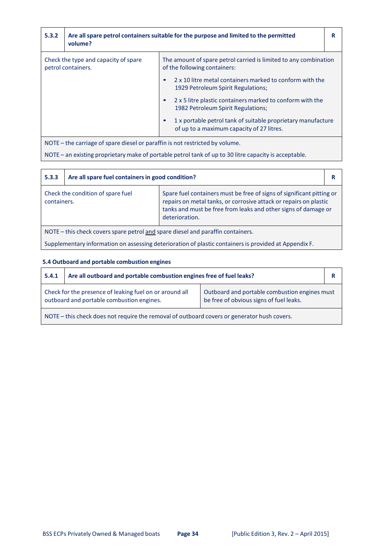| 5.3.2                                                                                                 | volume?                                                                      | Are all spare petrol containers suitable for the purpose and limited to the permitted                     | R |
|-------------------------------------------------------------------------------------------------------|------------------------------------------------------------------------------|-----------------------------------------------------------------------------------------------------------|---|
| Check the type and capacity of spare<br>petrol containers.                                            |                                                                              | The amount of spare petrol carried is limited to any combination<br>of the following containers:          |   |
|                                                                                                       |                                                                              | 2 x 10 litre metal containers marked to conform with the<br>1929 Petroleum Spirit Regulations;            |   |
|                                                                                                       |                                                                              | 2 x 5 litre plastic containers marked to conform with the<br>1982 Petroleum Spirit Regulations;           |   |
|                                                                                                       |                                                                              | 1 x portable petrol tank of suitable proprietary manufacture<br>of up to a maximum capacity of 27 litres. |   |
|                                                                                                       | NOTE – the carriage of spare diesel or paraffin is not restricted by volume. |                                                                                                           |   |
| NOTE – an existing proprietary make of portable petrol tank of up to 30 litre capacity is acceptable. |                                                                              |                                                                                                           |   |

|                                                                                                       | 5.3.3 | Are all spare fuel containers in good condition? |                                                                                                                                                                                                                                | R |
|-------------------------------------------------------------------------------------------------------|-------|--------------------------------------------------|--------------------------------------------------------------------------------------------------------------------------------------------------------------------------------------------------------------------------------|---|
| Check the condition of spare fuel<br>containers.                                                      |       |                                                  | Spare fuel containers must be free of signs of significant pitting or<br>repairs on metal tanks, or corrosive attack or repairs on plastic<br>tanks and must be free from leaks and other signs of damage or<br>deterioration. |   |
| NOTE – this check covers spare petrol and spare diesel and paraffin containers.                       |       |                                                  |                                                                                                                                                                                                                                |   |
| Supplementary information on assessing deterioration of plastic containers is provided at Appendix F. |       |                                                  |                                                                                                                                                                                                                                |   |

# **5.4 Outboard and portable combustion engines**

 $\mathsf{l}$ 

| 5.4.1                                                                                       | Are all outboard and portable combustion engines free of fuel leaks?                                 |                                                                                          |  |
|---------------------------------------------------------------------------------------------|------------------------------------------------------------------------------------------------------|------------------------------------------------------------------------------------------|--|
|                                                                                             | Check for the presence of leaking fuel on or around all<br>outboard and portable combustion engines. | Outboard and portable combustion engines must<br>be free of obvious signs of fuel leaks. |  |
| NOTE – this check does not require the removal of outboard covers or generator hush covers. |                                                                                                      |                                                                                          |  |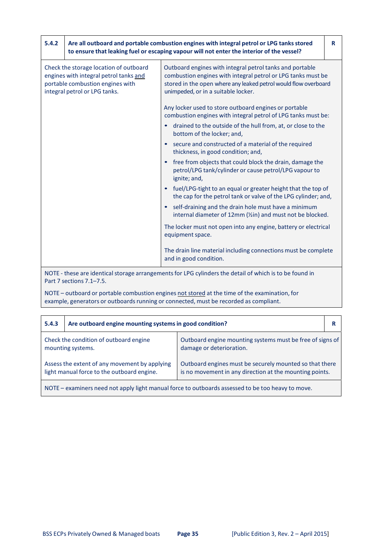| 5.4.2                                                                                                                                                 | Are all outboard and portable combustion engines with integral petrol or LPG tanks stored<br>to ensure that leaking fuel or escaping vapour will not enter the interior of the vessel? |                                                                                                                                                                                                                                    | R |
|-------------------------------------------------------------------------------------------------------------------------------------------------------|----------------------------------------------------------------------------------------------------------------------------------------------------------------------------------------|------------------------------------------------------------------------------------------------------------------------------------------------------------------------------------------------------------------------------------|---|
| Check the storage location of outboard<br>engines with integral petrol tanks and<br>portable combustion engines with<br>integral petrol or LPG tanks. |                                                                                                                                                                                        | Outboard engines with integral petrol tanks and portable<br>combustion engines with integral petrol or LPG tanks must be<br>stored in the open where any leaked petrol would flow overboard<br>unimpeded, or in a suitable locker. |   |
|                                                                                                                                                       |                                                                                                                                                                                        | Any locker used to store outboard engines or portable<br>combustion engines with integral petrol of LPG tanks must be:<br>drained to the outside of the hull from, at, or close to the<br>bottom of the locker; and,               |   |
|                                                                                                                                                       |                                                                                                                                                                                        | secure and constructed of a material of the required<br>thickness, in good condition; and,                                                                                                                                         |   |
|                                                                                                                                                       |                                                                                                                                                                                        | free from objects that could block the drain, damage the<br>petrol/LPG tank/cylinder or cause petrol/LPG vapour to<br>ignite; and,                                                                                                 |   |
|                                                                                                                                                       |                                                                                                                                                                                        | fuel/LPG-tight to an equal or greater height that the top of<br>the cap for the petrol tank or valve of the LPG cylinder; and,                                                                                                     |   |
|                                                                                                                                                       |                                                                                                                                                                                        | self-draining and the drain hole must have a minimum<br>internal diameter of 12mm (1/2 in) and must not be blocked.                                                                                                                |   |
|                                                                                                                                                       |                                                                                                                                                                                        | The locker must not open into any engine, battery or electrical<br>equipment space.                                                                                                                                                |   |
|                                                                                                                                                       |                                                                                                                                                                                        | The drain line material including connections must be complete<br>and in good condition.                                                                                                                                           |   |
|                                                                                                                                                       | Part 7 sections 7.1-7.5.                                                                                                                                                               | NOTE - these are identical storage arrangements for LPG cylinders the detail of which is to be found in                                                                                                                            |   |

NOTE – outboard or portable combustion engines not stored at the time of the examination, for example, generators or outboards running or connected, must be recorded as compliant.

| 5.4.3                                                                                             | Are outboard engine mounting systems in good condition? |                                                                                                                    |  |
|---------------------------------------------------------------------------------------------------|---------------------------------------------------------|--------------------------------------------------------------------------------------------------------------------|--|
| Check the condition of outboard engine<br>mounting systems.                                       |                                                         | Outboard engine mounting systems must be free of signs of<br>damage or deterioration.                              |  |
| Assess the extent of any movement by applying<br>light manual force to the outboard engine.       |                                                         | Outboard engines must be securely mounted so that there<br>is no movement in any direction at the mounting points. |  |
| NOTE – examiners need not apply light manual force to outboards assessed to be too heavy to move. |                                                         |                                                                                                                    |  |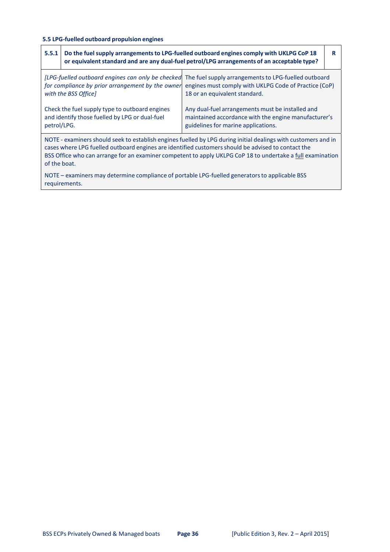# **5.5 LPG‐fuelled outboard propulsion engines**

| 5.5.1       | Do the fuel supply arrangements to LPG-fuelled outboard engines comply with UKLPG CoP 18<br>or equivalent standard and are any dual-fuel petrol/LPG arrangements of an acceptable type?                                                                                                                                                            |                                                                                                                                                 | R |  |
|-------------|----------------------------------------------------------------------------------------------------------------------------------------------------------------------------------------------------------------------------------------------------------------------------------------------------------------------------------------------------|-------------------------------------------------------------------------------------------------------------------------------------------------|---|--|
|             | [LPG-fuelled outboard engines can only be checked]<br>for compliance by prior arrangement by the owner<br>with the BSS Office]                                                                                                                                                                                                                     | The fuel supply arrangements to LPG-fuelled outboard<br>engines must comply with UKLPG Code of Practice (CoP)<br>18 or an equivalent standard.  |   |  |
| petrol/LPG. | Check the fuel supply type to outboard engines<br>and identify those fuelled by LPG or dual-fuel                                                                                                                                                                                                                                                   | Any dual-fuel arrangements must be installed and<br>maintained accordance with the engine manufacturer's<br>guidelines for marine applications. |   |  |
|             | NOTE - examiners should seek to establish engines fuelled by LPG during initial dealings with customers and in<br>cases where LPG fuelled outboard engines are identified customers should be advised to contact the<br>BSS Office who can arrange for an examiner competent to apply UKLPG CoP 18 to undertake a full examination<br>of the boat. |                                                                                                                                                 |   |  |
|             | NOTE – examiners may determine compliance of portable LPG-fuelled generators to applicable BSS<br>requirements.                                                                                                                                                                                                                                    |                                                                                                                                                 |   |  |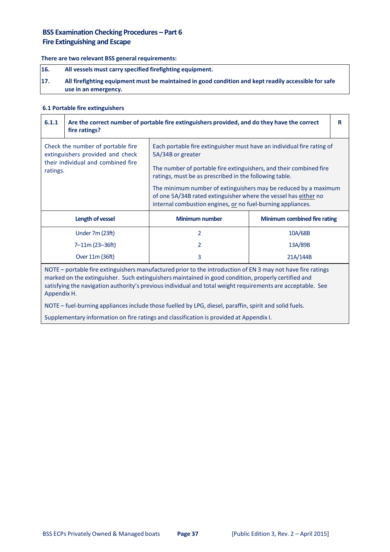# **BSS Examination Checking Procedures – Part 6 Fire Extinguishing and Escape**

## **There are two relevant BSS general requirements:**

| 16. | All vessels must carry specified firefighting equipment.                                                                     |
|-----|------------------------------------------------------------------------------------------------------------------------------|
| 17. | All firefighting equipment must be maintained in good condition and kept readily accessible for safe<br>use in an emergency. |

## **6.1 Portable fire extinguishers**

| 6.1.1                                                                                                                                                                                                                                                                                                                                                                                                                                                      | fire ratings?                      | Are the correct number of portable fire extinguishers provided, and do they have the correct                                                                                                      |          | R |
|------------------------------------------------------------------------------------------------------------------------------------------------------------------------------------------------------------------------------------------------------------------------------------------------------------------------------------------------------------------------------------------------------------------------------------------------------------|------------------------------------|---------------------------------------------------------------------------------------------------------------------------------------------------------------------------------------------------|----------|---|
| Check the number of portable fire<br>extinguishers provided and check                                                                                                                                                                                                                                                                                                                                                                                      |                                    | Each portable fire extinguisher must have an individual fire rating of<br>5A/34B or greater                                                                                                       |          |   |
| ratings.                                                                                                                                                                                                                                                                                                                                                                                                                                                   | their individual and combined fire | The number of portable fire extinguishers, and their combined fire<br>ratings, must be as prescribed in the following table.                                                                      |          |   |
|                                                                                                                                                                                                                                                                                                                                                                                                                                                            |                                    | The minimum number of extinguishers may be reduced by a maximum<br>of one 5A/34B rated extinguisher where the vessel has either no<br>internal combustion engines, or no fuel-burning appliances. |          |   |
| <b>Minimum number</b><br>Minimum combined fire rating<br>Length of vessel                                                                                                                                                                                                                                                                                                                                                                                  |                                    |                                                                                                                                                                                                   |          |   |
|                                                                                                                                                                                                                                                                                                                                                                                                                                                            | Under 7m (23ft)                    | 2                                                                                                                                                                                                 | 10A/68B  |   |
|                                                                                                                                                                                                                                                                                                                                                                                                                                                            | 7-11m (23-36ft)                    | 2                                                                                                                                                                                                 | 13A/89B  |   |
|                                                                                                                                                                                                                                                                                                                                                                                                                                                            | Over 11m (36ft)                    | 3                                                                                                                                                                                                 | 21A/144B |   |
| NOTE - portable fire extinguishers manufactured prior to the introduction of EN 3 may not have fire ratings<br>marked on the extinguisher. Such extinguishers maintained in good condition, properly certified and<br>satisfying the navigation authority's previous individual and total weight requirements are acceptable. See<br>Appendix H.<br>NOTE - fuel-burning appliances include those fuelled by LPG, diesel, paraffin, spirit and solid fuels. |                                    |                                                                                                                                                                                                   |          |   |
|                                                                                                                                                                                                                                                                                                                                                                                                                                                            |                                    |                                                                                                                                                                                                   |          |   |

Supplementary information on fire ratings and classification is provided at Appendix I.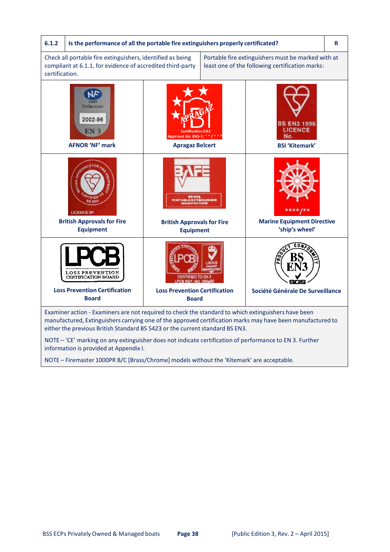

NOTE – Firemaster 1000PR B/C [Brass/Chrome] models without the 'Kitemark' are acceptable.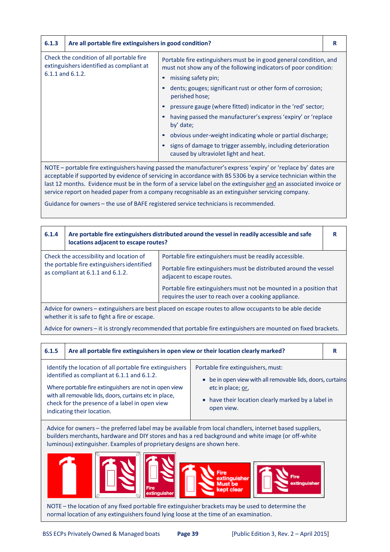| 6.1.3                                                                                                         | Are all portable fire extinguishers in good condition?                                                                                                                                                                                                                                                                                                                                       |                                                                                                                                                                      | R |
|---------------------------------------------------------------------------------------------------------------|----------------------------------------------------------------------------------------------------------------------------------------------------------------------------------------------------------------------------------------------------------------------------------------------------------------------------------------------------------------------------------------------|----------------------------------------------------------------------------------------------------------------------------------------------------------------------|---|
| Check the condition of all portable fire<br>extinguishers identified as compliant at<br>$6.1.1$ and $6.1.2$ . | Portable fire extinguishers must be in good general condition, and<br>must not show any of the following indicators of poor condition:<br>missing safety pin;<br>dents; gouges; significant rust or other form of corrosion;<br>perished hose;<br>pressure gauge (where fitted) indicator in the 'red' sector;<br>having passed the manufacturer's express 'expiry' or 'replace<br>by' date; |                                                                                                                                                                      |   |
|                                                                                                               |                                                                                                                                                                                                                                                                                                                                                                                              | obvious under-weight indicating whole or partial discharge;<br>signs of damage to trigger assembly, including deterioration<br>caused by ultraviolet light and heat. |   |
|                                                                                                               | NOTE – portable fire extinguishers having passed the manufacturer's express 'expiry' or 'replace by' dates are                                                                                                                                                                                                                                                                               |                                                                                                                                                                      |   |

acceptable if supported by evidence of servicing in accordance with BS 5306 by a service technician within the last 12 months. Evidence must be in the form of a service label on the extinguisher and an associated invoice or service report on headed paper from a company recognisable as an extinguisher servicing company.

Guidance for owners - the use of BAFE registered service technicians is recommended.

| 6.1.4                                                                                                                                                    | Are portable fire extinguishers distributed around the vessel in readily accessible and safe<br>locations adjacent to escape routes? |                                                                                                                                                            | R |
|----------------------------------------------------------------------------------------------------------------------------------------------------------|--------------------------------------------------------------------------------------------------------------------------------------|------------------------------------------------------------------------------------------------------------------------------------------------------------|---|
|                                                                                                                                                          | Check the accessibility and location of<br>the portable fire extinguishers identified<br>as compliant at 6.1.1 and 6.1.2.            | Portable fire extinguishers must be readily accessible.<br>Portable fire extinguishers must be distributed around the vessel<br>adjacent to escape routes. |   |
| Portable fire extinguishers must not be mounted in a position that<br>requires the user to reach over a cooking appliance.                               |                                                                                                                                      |                                                                                                                                                            |   |
| Advice for owners – extinguishers are best placed on escape routes to allow occupants to be able decide<br>whether it is safe to fight a fire or escape. |                                                                                                                                      |                                                                                                                                                            |   |

Advice for owners – it is strongly recommended that portable fire extinguishers are mounted on fixed brackets.

| 6.1.5                                                                                                                                                                                                                                                                                                       | Are all portable fire extinguishers in open view or their location clearly marked?                                                                                                                          |                                                                                                                                                                                                                                                     | R |
|-------------------------------------------------------------------------------------------------------------------------------------------------------------------------------------------------------------------------------------------------------------------------------------------------------------|-------------------------------------------------------------------------------------------------------------------------------------------------------------------------------------------------------------|-----------------------------------------------------------------------------------------------------------------------------------------------------------------------------------------------------------------------------------------------------|---|
| Identify the location of all portable fire extinguishers<br>identified as compliant at 6.1.1 and 6.1.2.<br>Where portable fire extinguishers are not in open view<br>with all removable lids, doors, curtains etc in place,<br>check for the presence of a label in open view<br>indicating their location. |                                                                                                                                                                                                             | Portable fire extinguishers, must:<br>be in open view with all removable lids, doors, curtains<br>etc in place; or,<br>• have their location clearly marked by a label in<br>open view.                                                             |   |
|                                                                                                                                                                                                                                                                                                             | luminous) extinguisher. Examples of proprietary designs are shown here.<br><b>Eire</b><br>extinguisher<br>NOTE – the location of any fixed portable fire extinguisher brackets may be used to determine the | Advice for owners – the preferred label may be available from local chandlers, internet based suppliers,<br>builders merchants, hardware and DIY stores and has a red background and white image (or off-white<br>inauisher<br>lust he<br>ænt clear |   |

normal location of any extinguishersfound lying loose at the time of an examination.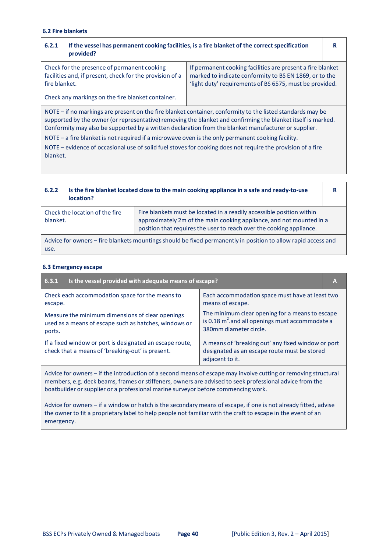#### **6.2 Fire blankets**

| 6.2.1                                                                                                                                                                                                                                                                                                                                                                                                                                     | provided?                                                                                                                                                    | If the vessel has permanent cooking facilities, is a fire blanket of the correct specification                                                                                  | R |
|-------------------------------------------------------------------------------------------------------------------------------------------------------------------------------------------------------------------------------------------------------------------------------------------------------------------------------------------------------------------------------------------------------------------------------------------|--------------------------------------------------------------------------------------------------------------------------------------------------------------|---------------------------------------------------------------------------------------------------------------------------------------------------------------------------------|---|
| fire blanket.                                                                                                                                                                                                                                                                                                                                                                                                                             | Check for the presence of permanent cooking<br>facilities and, if present, check for the provision of a<br>Check any markings on the fire blanket container. | If permanent cooking facilities are present a fire blanket<br>marked to indicate conformity to BS EN 1869, or to the<br>'light duty' requirements of BS 6575, must be provided. |   |
| NOTE – if no markings are present on the fire blanket container, conformity to the listed standards may be<br>supported by the owner (or representative) removing the blanket and confirming the blanket itself is marked.<br>Conformity may also be supported by a written declaration from the blanket manufacturer or supplier.<br>NOTE $-$ a fire blanket is not required if a microwave oven is the only permanent cooking facility. |                                                                                                                                                              |                                                                                                                                                                                 |   |

NOTE – evidence of occasional use of solid fuel stoves for cooking does not require the provision of a fire blanket.

| 6.2.2                                                                                                                 | location?                      | Is the fire blanket located close to the main cooking appliance in a safe and ready-to-use                                                                                                                            | R |
|-----------------------------------------------------------------------------------------------------------------------|--------------------------------|-----------------------------------------------------------------------------------------------------------------------------------------------------------------------------------------------------------------------|---|
| blanket.                                                                                                              | Check the location of the fire | Fire blankets must be located in a readily accessible position within<br>approximately 2m of the main cooking appliance, and not mounted in a<br>position that requires the user to reach over the cooking appliance. |   |
| Advice for owners – fire blankets mountings should be fixed permanently in position to allow rapid access and<br>use. |                                |                                                                                                                                                                                                                       |   |

#### **6.3 Emergency escape**

| 6.3.1                                                                                                                                                                                                                                                                                                          | Is the vessel provided with adequate means of escape?                                                        |                                                                                                                                |  |  |
|----------------------------------------------------------------------------------------------------------------------------------------------------------------------------------------------------------------------------------------------------------------------------------------------------------------|--------------------------------------------------------------------------------------------------------------|--------------------------------------------------------------------------------------------------------------------------------|--|--|
| escape.                                                                                                                                                                                                                                                                                                        | Check each accommodation space for the means to                                                              | Each accommodation space must have at least two<br>means of escape.                                                            |  |  |
| ports.                                                                                                                                                                                                                                                                                                         | Measure the minimum dimensions of clear openings<br>used as a means of escape such as hatches, windows or    | The minimum clear opening for a means to escape<br>is 0.18 $m^2$ and all openings must accommodate a<br>380mm diameter circle. |  |  |
|                                                                                                                                                                                                                                                                                                                | If a fixed window or port is designated an escape route,<br>check that a means of 'breaking-out' is present. | A means of 'breaking out' any fixed window or port<br>designated as an escape route must be stored<br>adjacent to it.          |  |  |
| Advice for owners – if the introduction of a second means of escape may involve cutting or removing structural<br>members, e.g. deck beams, frames or stiffeners, owners are advised to seek professional advice from the<br>boatbuilder or supplier or a professional marine surveyor before commencing work. |                                                                                                              |                                                                                                                                |  |  |

Advice for owners – if a window or hatch is the secondary means of escape, if one is not already fitted, advise the owner to fit a proprietary label to help people not familiar with the craft to escape in the event of an emergency.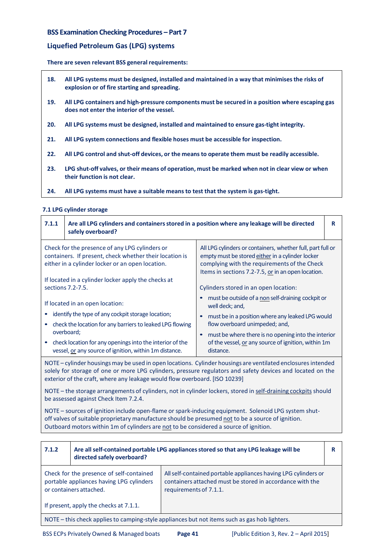# **BSS Examination Checking Procedures – Part 7**

# **Liquefied Petroleum Gas (LPG) systems**

#### **There are seven relevant BSS general requirements:**

- **18. All LPG systems must be designed, installed and maintained in a way that minimisesthe risks of explosion or of fire starting and spreading.**
- 19. All LPG containers and high-pressure components must be secured in a position where escaping gas **does not enter the interior of the vessel.**
- **20. All LPG systems must be designed, installed and maintained to ensure gas‐tight integrity.**
- **21. All LPG system connections and flexible hoses must be accessible for inspection.**
- **22. All LPG control and shut‐off devices, or the meansto operate them must be readily accessible.**
- 23. LPG shut-off valves, or their means of operation, must be marked when not in clear view or when **their function is not clear.**
- **24. All LPG systems must have a suitable means to test that the system is gas‐tight.**

#### **7.1 LPG cylinder storage**

| 7.1.1                                                                                                                                                         | Are all LPG cylinders and containers stored in a position where any leakage will be directed<br>safely overboard?  |                                                                                                                                                                                                                       | R |
|---------------------------------------------------------------------------------------------------------------------------------------------------------------|--------------------------------------------------------------------------------------------------------------------|-----------------------------------------------------------------------------------------------------------------------------------------------------------------------------------------------------------------------|---|
| Check for the presence of any LPG cylinders or<br>containers. If present, check whether their location is<br>either in a cylinder locker or an open location. |                                                                                                                    | All LPG cylinders or containers, whether full, part full or<br>empty must be stored either in a cylinder locker<br>complying with the requirements of the Check<br>Items in sections 7.2-7.5, or in an open location. |   |
|                                                                                                                                                               | If located in a cylinder locker apply the checks at                                                                |                                                                                                                                                                                                                       |   |
|                                                                                                                                                               | sections 7.2-7.5.                                                                                                  | Cylinders stored in an open location:                                                                                                                                                                                 |   |
| If located in an open location:                                                                                                                               |                                                                                                                    | must be outside of a non self-draining cockpit or<br>well deck; and,                                                                                                                                                  |   |
|                                                                                                                                                               | identify the type of any cockpit storage location;                                                                 | must be in a position where any leaked LPG would                                                                                                                                                                      |   |
|                                                                                                                                                               | check the location for any barriers to leaked LPG flowing                                                          | flow overboard unimpeded; and,                                                                                                                                                                                        |   |
|                                                                                                                                                               | overboard;                                                                                                         | must be where there is no opening into the interior                                                                                                                                                                   |   |
|                                                                                                                                                               | check location for any openings into the interior of the<br>vessel, or any source of ignition, within 1m distance. | of the vessel, or any source of ignition, within 1m<br>distance.                                                                                                                                                      |   |

NOTE – cylinder housings may be used in open locations. Cylinder housings are ventilated enclosures intended solely for storage of one or more LPG cylinders, pressure regulators and safety devices and located on the exterior of the craft, where any leakage would flow overboard. [ISO 10239]

NOTE – the storage arrangements of cylinders, not in cylinder lockers, stored in self-draining cockpits should be assessed against Check Item 7.2.4.

NOTE – sources of ignition include open-flame or spark-inducing equipment. Solenoid LPG system shutoff valves of suitable proprietary manufacture should be presumed not to be a source of ignition. Outboard motors within 1m of cylinders are not to be considered a source of ignition.

| 7.1.2                                                                                         | Are all self-contained portable LPG appliances stored so that any LPG leakage will be<br>directed safely overboard? |                                                                                                                                                       | R |
|-----------------------------------------------------------------------------------------------|---------------------------------------------------------------------------------------------------------------------|-------------------------------------------------------------------------------------------------------------------------------------------------------|---|
|                                                                                               | Check for the presence of self-contained<br>portable appliances having LPG cylinders<br>or containers attached.     | All self-contained portable appliances having LPG cylinders or<br>containers attached must be stored in accordance with the<br>requirements of 7.1.1. |   |
| If present, apply the checks at 7.1.1.                                                        |                                                                                                                     |                                                                                                                                                       |   |
| NOTE – this check applies to camping-style appliances but not items such as gas hob lighters. |                                                                                                                     |                                                                                                                                                       |   |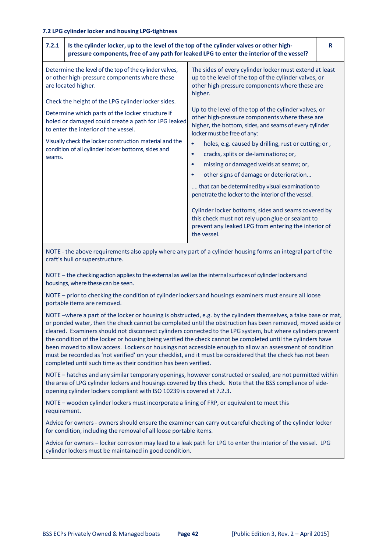| 7.2.1<br>Is the cylinder locker, up to the level of the top of the cylinder valves or other high-                                                                                                                                                                                                                                 | pressure components, free of any path for leaked LPG to enter the interior of the vessel?                                                                                                                                                                                                                                                                                                                                                                                                                                                                                                                                                                                                                   | R |
|-----------------------------------------------------------------------------------------------------------------------------------------------------------------------------------------------------------------------------------------------------------------------------------------------------------------------------------|-------------------------------------------------------------------------------------------------------------------------------------------------------------------------------------------------------------------------------------------------------------------------------------------------------------------------------------------------------------------------------------------------------------------------------------------------------------------------------------------------------------------------------------------------------------------------------------------------------------------------------------------------------------------------------------------------------------|---|
| Determine the level of the top of the cylinder valves,<br>or other high-pressure components where these<br>are located higher.                                                                                                                                                                                                    | The sides of every cylinder locker must extend at least<br>up to the level of the top of the cylinder valves, or<br>other high-pressure components where these are<br>higher.                                                                                                                                                                                                                                                                                                                                                                                                                                                                                                                               |   |
| Check the height of the LPG cylinder locker sides.<br>Determine which parts of the locker structure if<br>holed or damaged could create a path for LPG leaked<br>to enter the interior of the vessel.<br>Visually check the locker construction material and the<br>condition of all cylinder locker bottoms, sides and<br>seams. | Up to the level of the top of the cylinder valves, or<br>other high-pressure components where these are<br>higher, the bottom, sides, and seams of every cylinder<br>locker must be free of any:<br>holes, e.g. caused by drilling, rust or cutting; or,<br>$\bullet$<br>cracks, splits or de-laminations; or,<br>$\bullet$<br>missing or damaged welds at seams; or,<br>other signs of damage or deterioration<br>that can be determined by visual examination to<br>penetrate the locker to the interior of the vessel.<br>Cylinder locker bottoms, sides and seams covered by<br>this check must not rely upon glue or sealant to<br>prevent any leaked LPG from entering the interior of<br>the vessel. |   |

NOTE - the above requirements also apply where any part of a cylinder housing forms an integral part of the craft's hull or superstructure.

NOTE – the checking action applies to the external as well as the internal surfaces of cylinder lockers and housings,where these can be seen.

NOTE – prior to checking the condition of cylinder lockers and housings examiners must ensure all loose portable items are removed.

NOTE –where a part of the locker or housing is obstructed, e.g. by the cylinders themselves, a false base or mat, or ponded water, then the check cannot be completed until the obstruction has been removed, moved aside or cleared. Examinersshould not disconnect cylinders connected to the LPG system, but where cylinders prevent the condition of the locker or housing being verified the check cannot be completed until the cylinders have been moved to allow access. Lockers or housings not accessible enough to allow an assessment of condition must be recorded as 'not verified' on your checklist, and it must be considered that the check has not been completed until such time as their condition has been verified.

NOTE – hatches and any similar temporary openings, however constructed or sealed, are not permitted within the area of LPG cylinder lockers and housings covered by this check. Note that the BSS compliance of sideopening cylinder lockers compliant with ISO 10239 is covered at 7.2.3.

NOTE – wooden cylinder lockers must incorporate a lining of FRP, or equivalent to meet this requirement.

Advice for owners - owners should ensure the examiner can carry out careful checking of the cylinder locker for condition, including the removal of all loose portable items.

Advice for owners – locker corrosion may lead to a leak path for LPG to enter the interior of the vessel. LPG cylinder lockers must be maintained in good condition.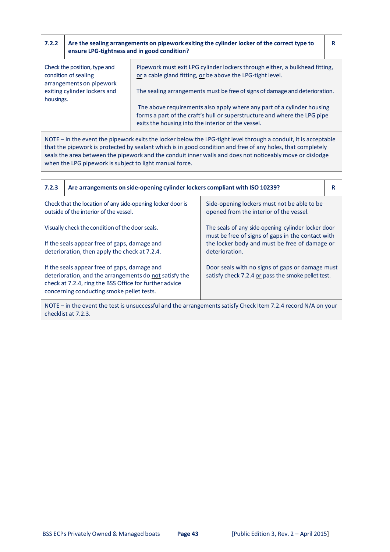| 7.2.2     | ensure LPG-tightness and in good condition?                                      | Are the sealing arrangements on pipework exiting the cylinder locker of the correct type to                                                                                                               | R |
|-----------|----------------------------------------------------------------------------------|-----------------------------------------------------------------------------------------------------------------------------------------------------------------------------------------------------------|---|
|           | Check the position, type and<br>condition of sealing<br>arrangements on pipework | Pipework must exit LPG cylinder lockers through either, a bulkhead fitting,<br>or a cable gland fitting, or be above the LPG-tight level.                                                                 |   |
| housings. | exiting cylinder lockers and                                                     | The sealing arrangements must be free of signs of damage and deterioration.                                                                                                                               |   |
|           |                                                                                  | The above requirements also apply where any part of a cylinder housing<br>forms a part of the craft's hull or superstructure and where the LPG pipe<br>exits the housing into the interior of the vessel. |   |

NOTE – in the event the pipework exits the locker below the LPG‐tight level through a conduit, it is acceptable that the pipework is protected by sealant which is in good condition and free of any holes, that completely seals the area between the pipework and the conduit inner walls and does not noticeably move or dislodge when the LPG pipework is subject to light manual force.

| 7.2.3                                                                                                                                                                                                         | Are arrangements on side-opening cylinder lockers compliant with ISO 10239? |                                                                                                         | R |
|---------------------------------------------------------------------------------------------------------------------------------------------------------------------------------------------------------------|-----------------------------------------------------------------------------|---------------------------------------------------------------------------------------------------------|---|
| Check that the location of any side-opening locker door is<br>outside of the interior of the vessel.                                                                                                          |                                                                             | Side-opening lockers must not be able to be<br>opened from the interior of the vessel.                  |   |
| Visually check the condition of the door seals.                                                                                                                                                               |                                                                             | The seals of any side-opening cylinder locker door<br>must be free of signs of gaps in the contact with |   |
| If the seals appear free of gaps, damage and<br>deterioration, then apply the check at 7.2.4.                                                                                                                 |                                                                             | the locker body and must be free of damage or<br>deterioration.                                         |   |
| If the seals appear free of gaps, damage and<br>deterioration, and the arrangements do not satisfy the<br>check at 7.2.4, ring the BSS Office for further advice<br>concerning conducting smoke pellet tests. |                                                                             | Door seals with no signs of gaps or damage must<br>satisfy check 7.2.4 or pass the smoke pellet test.   |   |
| NOTE – in the event the test is unsuccessful and the arrangements satisfy Check Item 7.2.4 record $N/A$ on your                                                                                               |                                                                             |                                                                                                         |   |

checklist at 7.2.3.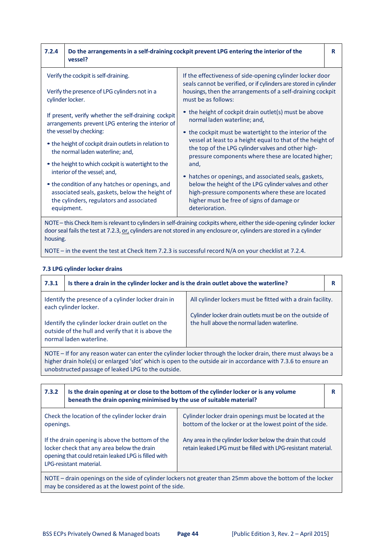| 7.2.4 | vessel?                                                                                                                                                                                                                                                                                                                                                                                                                                                                               | Do the arrangements in a self-draining cockpit prevent LPG entering the interior of the                                                                                                                                                                                                                                                                                                                                                                                                                                                                                  | R |
|-------|---------------------------------------------------------------------------------------------------------------------------------------------------------------------------------------------------------------------------------------------------------------------------------------------------------------------------------------------------------------------------------------------------------------------------------------------------------------------------------------|--------------------------------------------------------------------------------------------------------------------------------------------------------------------------------------------------------------------------------------------------------------------------------------------------------------------------------------------------------------------------------------------------------------------------------------------------------------------------------------------------------------------------------------------------------------------------|---|
|       | Verify the cockpit is self-draining.<br>Verify the presence of LPG cylinders not in a<br>cylinder locker.                                                                                                                                                                                                                                                                                                                                                                             | If the effectiveness of side-opening cylinder locker door<br>seals cannot be verified, or if cylinders are stored in cylinder<br>housings, then the arrangements of a self-draining cockpit<br>must be as follows:                                                                                                                                                                                                                                                                                                                                                       |   |
|       | If present, verify whether the self-draining cockpit<br>arrangements prevent LPG entering the interior of<br>the vessel by checking:<br>• the height of cockpit drain outlets in relation to<br>the normal laden waterline; and,<br>• the height to which cockpit is watertight to the<br>interior of the vessel; and,<br>• the condition of any hatches or openings, and<br>associated seals, gaskets, below the height of<br>the cylinders, regulators and associated<br>equipment. | • the height of cockpit drain outlet(s) must be above<br>normal laden waterline; and,<br>• the cockpit must be watertight to the interior of the<br>vessel at least to a height equal to that of the height of<br>the top of the LPG cylinder valves and other high-<br>pressure components where these are located higher;<br>and,<br>• hatches or openings, and associated seals, gaskets,<br>below the height of the LPG cylinder valves and other<br>high-pressure components where these are located<br>higher must be free of signs of damage or<br>deterioration. |   |
|       |                                                                                                                                                                                                                                                                                                                                                                                                                                                                                       | NOTE - this Check Item is relevant to cylinders in self-draining cockpits where, either the side-opening cylinder locker<br>door seal fails the test at 7.2.3, or, cylinders are not stored in any enclosure or, cylinders are stored in a cylinder                                                                                                                                                                                                                                                                                                                      |   |

housing.

NOTE – in the event the test at Check Item 7.2.3 is successful record N/A on your checklist at 7.2.4.

# **7.3 LPG cylinder locker drains**

| 7.3.1                                                                                                                                                                                                                           | Is there a drain in the cylinder locker and is the drain outlet above the waterline?                                                                                                                               |                                                                                                                                                                     | R |
|---------------------------------------------------------------------------------------------------------------------------------------------------------------------------------------------------------------------------------|--------------------------------------------------------------------------------------------------------------------------------------------------------------------------------------------------------------------|---------------------------------------------------------------------------------------------------------------------------------------------------------------------|---|
|                                                                                                                                                                                                                                 | Identify the presence of a cylinder locker drain in<br>each cylinder locker.<br>Identify the cylinder locker drain outlet on the<br>outside of the hull and verify that it is above the<br>normal laden waterline. | All cylinder lockers must be fitted with a drain facility.<br>Cylinder locker drain outlets must be on the outside of<br>the hull above the normal laden waterline. |   |
| NOTE – If for any reason water can enter the cylinder locker through the locker drain, there must always be a<br>higher drain hole(s) or enlarged 'slot' which is open to the outside air in accordance with 7.3.6 to ensure an |                                                                                                                                                                                                                    |                                                                                                                                                                     |   |

unobstructed passage of leaked LPG to the outside.

| 7.3.2                                                                                                                                                                           | Is the drain opening at or close to the bottom of the cylinder locker or is any volume<br>beneath the drain opening minimised by the use of suitable material? |                                                                                                                             | R |
|---------------------------------------------------------------------------------------------------------------------------------------------------------------------------------|----------------------------------------------------------------------------------------------------------------------------------------------------------------|-----------------------------------------------------------------------------------------------------------------------------|---|
| Check the location of the cylinder locker drain<br>openings.                                                                                                                    |                                                                                                                                                                | Cylinder locker drain openings must be located at the<br>bottom of the locker or at the lowest point of the side.           |   |
| If the drain opening is above the bottom of the<br>locker check that any area below the drain<br>opening that could retain leaked LPG is filled with<br>LPG-resistant material. |                                                                                                                                                                | Any area in the cylinder locker below the drain that could<br>retain leaked LPG must be filled with LPG-resistant material. |   |
| NOTE – drain openings on the side of cylinder lockers not greater than 25mm above the bottom of the locker<br>may be considered as at the lowest point of the side.             |                                                                                                                                                                |                                                                                                                             |   |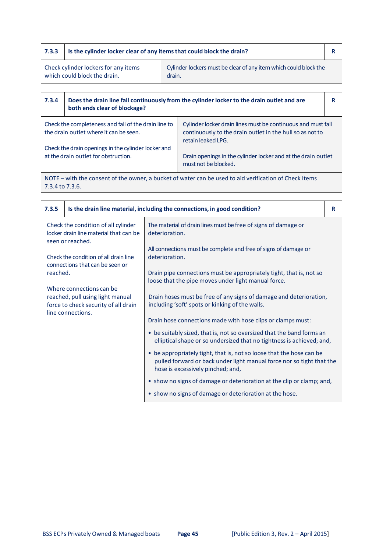| 7.3.3                        | Is the cylinder locker clear of any items that could block the drain? |                                                                  |  |
|------------------------------|-----------------------------------------------------------------------|------------------------------------------------------------------|--|
|                              | Check cylinder lockers for any items                                  | Cylinder lockers must be clear of any item which could block the |  |
| which could block the drain. |                                                                       | drain.                                                           |  |

| 7.3.4                                                                                       | Does the drain line fall continuously from the cylinder locker to the drain outlet and are<br>both ends clear of blockage? |                                                                                                                                                 |  |
|---------------------------------------------------------------------------------------------|----------------------------------------------------------------------------------------------------------------------------|-------------------------------------------------------------------------------------------------------------------------------------------------|--|
|                                                                                             | Check the completeness and fall of the drain line to<br>the drain outlet where it can be seen.                             | Cylinder locker drain lines must be continuous and must fall<br>continuously to the drain outlet in the hull so as not to<br>retain leaked LPG. |  |
| Check the drain openings in the cylinder locker and<br>at the drain outlet for obstruction. |                                                                                                                            | Drain openings in the cylinder locker and at the drain outlet<br>must not be blocked.                                                           |  |

NOTE – with the consent of the owner, a bucket of water can be used to aid verification of Check Items 7.3.4 to 7.3.6.

| 7.3.5                                                                                             |                                                                                                                           | Is the drain line material, including the connections, in good condition?                                                                                                          | R |
|---------------------------------------------------------------------------------------------------|---------------------------------------------------------------------------------------------------------------------------|------------------------------------------------------------------------------------------------------------------------------------------------------------------------------------|---|
| Check the condition of all cylinder<br>locker drain line material that can be<br>seen or reached. |                                                                                                                           | The material of drain lines must be free of signs of damage or<br>deterioration.                                                                                                   |   |
| Check the condition of all drain line<br>connections that can be seen or                          |                                                                                                                           | All connections must be complete and free of signs of damage or<br>deterioration.                                                                                                  |   |
| reached.                                                                                          |                                                                                                                           | Drain pipe connections must be appropriately tight, that is, not so<br>loose that the pipe moves under light manual force.                                                         |   |
|                                                                                                   | Where connections can be<br>reached, pull using light manual<br>force to check security of all drain<br>line connections. | Drain hoses must be free of any signs of damage and deterioration,<br>including 'soft' spots or kinking of the walls.                                                              |   |
|                                                                                                   |                                                                                                                           | Drain hose connections made with hose clips or clamps must:                                                                                                                        |   |
|                                                                                                   |                                                                                                                           | • be suitably sized, that is, not so oversized that the band forms an<br>elliptical shape or so undersized that no tightness is achieved; and,                                     |   |
|                                                                                                   |                                                                                                                           | • be appropriately tight, that is, not so loose that the hose can be<br>pulled forward or back under light manual force nor so tight that the<br>hose is excessively pinched; and, |   |
|                                                                                                   |                                                                                                                           | • show no signs of damage or deterioration at the clip or clamp; and,                                                                                                              |   |
|                                                                                                   |                                                                                                                           | • show no signs of damage or deterioration at the hose.                                                                                                                            |   |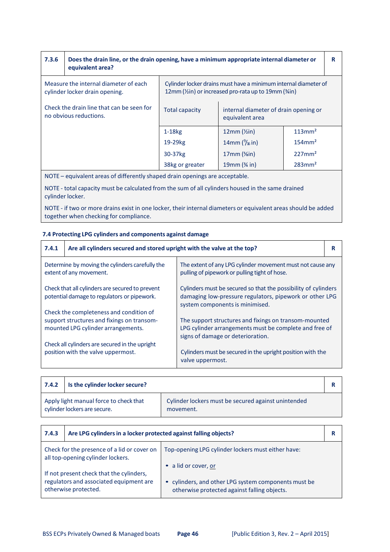| 7.3.6 | Does the drain line, or the drain opening, have a minimum appropriate internal diameter or<br>equivalent area? |                       |                                                                                                                          | R                     |  |
|-------|----------------------------------------------------------------------------------------------------------------|-----------------------|--------------------------------------------------------------------------------------------------------------------------|-----------------------|--|
|       | Measure the internal diameter of each<br>cylinder locker drain opening.                                        |                       | Cylinder locker drains must have a minimum internal diameter of<br>12mm (1/2in) or increased pro-rata up to 19mm (3/4in) |                       |  |
|       | Check the drain line that can be seen for<br>no obvious reductions.                                            | <b>Total capacity</b> | internal diameter of drain opening or<br>equivalent area                                                                 |                       |  |
|       |                                                                                                                | $1-18kg$              | $12mm$ ( $\frac{\text{V}}{\text{2}}$ in)                                                                                 | 113mm <sup>2</sup>    |  |
|       |                                                                                                                | 19-29 <sub>kg</sub>   | 14mm $\frac{9}{16}$ in)                                                                                                  | $154$ mm <sup>2</sup> |  |
|       |                                                                                                                | 30-37 <sub>kg</sub>   | $17mm$ ( $\frac{5}{sin}$ )                                                                                               | 227mm <sup>2</sup>    |  |
|       |                                                                                                                | 38kg or greater       | 19mm (% in)                                                                                                              | $283$ mm <sup>2</sup> |  |
|       | $\sim$ $\sim$ $\sim$                                                                                           |                       |                                                                                                                          |                       |  |

NOTE – equivalent areas of differently shaped drain openings are acceptable.

NOTE ‐ total capacity must be calculated from the sum of all cylinders housed in the same drained cylinder locker.

NOTE ‐ if two or more drains exist in one locker, their internal diameters or equivalent areas should be added together when checking for compliance.

# **7.4 Protecting LPG cylinders and components against damage**

| 7.4.1                                                                            | Are all cylinders secured and stored upright with the valve at the top?                        |                                                                                                                                                              | R |
|----------------------------------------------------------------------------------|------------------------------------------------------------------------------------------------|--------------------------------------------------------------------------------------------------------------------------------------------------------------|---|
|                                                                                  | Determine by moving the cylinders carefully the<br>extent of any movement.                     | The extent of any LPG cylinder movement must not cause any<br>pulling of pipework or pulling tight of hose.                                                  |   |
|                                                                                  | Check that all cylinders are secured to prevent<br>potential damage to regulators or pipework. | Cylinders must be secured so that the possibility of cylinders<br>damaging low-pressure regulators, pipework or other LPG<br>system components is minimised. |   |
|                                                                                  | Check the completeness and condition of                                                        |                                                                                                                                                              |   |
| support structures and fixings on transom-<br>mounted LPG cylinder arrangements. |                                                                                                | The support structures and fixings on transom-mounted<br>LPG cylinder arrangements must be complete and free of<br>signs of damage or deterioration.         |   |
|                                                                                  | Check all cylinders are secured in the upright                                                 |                                                                                                                                                              |   |
|                                                                                  | position with the valve uppermost.                                                             | Cylinders must be secured in the upright position with the<br>valve uppermost.                                                                               |   |

| 7.4.2 | Is the cylinder locker secure?                                         |                                                                  |  |
|-------|------------------------------------------------------------------------|------------------------------------------------------------------|--|
|       | Apply light manual force to check that<br>cylinder lockers are secure. | Cylinder lockers must be secured against unintended<br>movement. |  |

| 7.4.3 | Are LPG cylinders in a locker protected against falling objects?                 |                                                                                                      |  |
|-------|----------------------------------------------------------------------------------|------------------------------------------------------------------------------------------------------|--|
|       | Check for the presence of a lid or cover on<br>all top-opening cylinder lockers. | Top-opening LPG cylinder lockers must either have:                                                   |  |
|       | If not present check that the cylinders,                                         | • a lid or cover, or                                                                                 |  |
|       | regulators and associated equipment are<br>otherwise protected.                  | • cylinders, and other LPG system components must be<br>otherwise protected against falling objects. |  |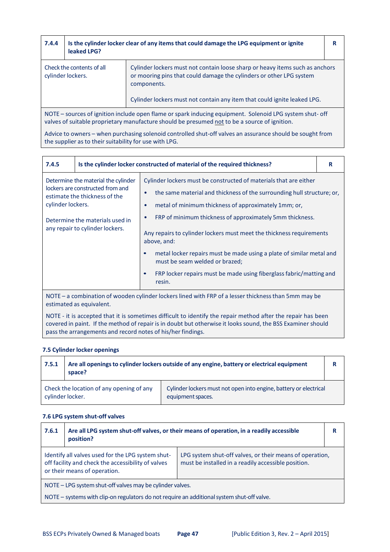| 7.4.4 | leaked LPG?                                                                                                                                                                                               | Is the cylinder locker clear of any items that could damage the LPG equipment or ignite                                                                            | R |
|-------|-----------------------------------------------------------------------------------------------------------------------------------------------------------------------------------------------------------|--------------------------------------------------------------------------------------------------------------------------------------------------------------------|---|
|       | Check the contents of all<br>cylinder lockers.                                                                                                                                                            | Cylinder lockers must not contain loose sharp or heavy items such as anchors<br>or mooring pins that could damage the cylinders or other LPG system<br>components. |   |
|       |                                                                                                                                                                                                           | Cylinder lockers must not contain any item that could ignite leaked LPG.                                                                                           |   |
|       | NOTE - sources of ignition include open flame or spark inducing equipment. Solenoid LPG system shut- off<br>valves of suitable proprietary manufacture should be presumed not to be a source of ignition. |                                                                                                                                                                    |   |
|       | Advice to owners – when purchasing solenoid controlled shut-off valves an assurance should be sought from<br>the supplier as to their suitability for use with LPG.                                       |                                                                                                                                                                    |   |

| 7.4.5                                                                                                                            |                                                                                                                                                                                | Is the cylinder locker constructed of material of the required thickness?                                                                                                                                                                                                                                                                                                                                                                                                                                                                                                | R |
|----------------------------------------------------------------------------------------------------------------------------------|--------------------------------------------------------------------------------------------------------------------------------------------------------------------------------|--------------------------------------------------------------------------------------------------------------------------------------------------------------------------------------------------------------------------------------------------------------------------------------------------------------------------------------------------------------------------------------------------------------------------------------------------------------------------------------------------------------------------------------------------------------------------|---|
| cylinder lockers.                                                                                                                | Determine the material the cylinder<br>lockers are constructed from and<br>estimate the thickness of the<br>Determine the materials used in<br>any repair to cylinder lockers. | Cylinder lockers must be constructed of materials that are either<br>the same material and thickness of the surrounding hull structure; or,<br>٠<br>metal of minimum thickness of approximately 1mm; or,<br>c<br>FRP of minimum thickness of approximately 5mm thickness.<br>Any repairs to cylinder lockers must meet the thickness requirements<br>above, and:<br>metal locker repairs must be made using a plate of similar metal and<br>must be seam welded or brazed;<br>FRP locker repairs must be made using fiberglass fabric/matting and<br>$\bullet$<br>resin. |   |
| NOTE – a combination of wooden cylinder lockers lined with FRP of a lesser thickness than 5mm may be<br>estimated as equivalent. |                                                                                                                                                                                |                                                                                                                                                                                                                                                                                                                                                                                                                                                                                                                                                                          |   |

NOTE ‐ it is accepted that it is sometimes difficult to identify the repair method after the repair has been covered in paint. If the method of repair is in doubt but otherwise it looks sound, the BSS Examiner should pass the arrangements and record notes of his/her findings.

#### **7.5 Cylinder locker openings**

| 7.5.1            | Are all openings to cylinder lockers outside of any engine, battery or electrical equipment<br>space? |                                                                                        |  |
|------------------|-------------------------------------------------------------------------------------------------------|----------------------------------------------------------------------------------------|--|
| cylinder locker. | Check the location of any opening of any                                                              | Cylinder lockers must not open into engine, battery or electrical<br>equipment spaces. |  |

#### **7.6 LPG system shut‐off valves**

| 7.6.1 | Are all LPG system shut-off valves, or their means of operation, in a readily accessible<br>position?                                   |                                                                                                                 | R |
|-------|-----------------------------------------------------------------------------------------------------------------------------------------|-----------------------------------------------------------------------------------------------------------------|---|
|       | Identify all valves used for the LPG system shut-<br>off facility and check the accessibility of valves<br>or their means of operation. | LPG system shut-off valves, or their means of operation,<br>must be installed in a readily accessible position. |   |
|       | NOTE - LPG system shut-off valves may be cylinder valves.                                                                               |                                                                                                                 |   |
|       | NOTE - systems with clip-on regulators do not require an additional system shut-off valve.                                              |                                                                                                                 |   |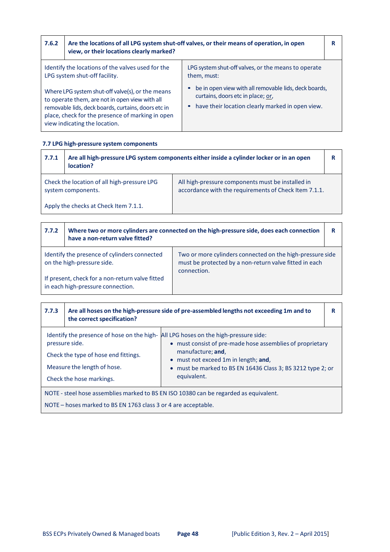| 7.6.2 | Are the locations of all LPG system shut-off valves, or their means of operation, in open<br>view, or their locations clearly marked?                                                                                                          |                                                                                                                                                             | R |
|-------|------------------------------------------------------------------------------------------------------------------------------------------------------------------------------------------------------------------------------------------------|-------------------------------------------------------------------------------------------------------------------------------------------------------------|---|
|       | Identify the locations of the valves used for the<br>LPG system shut-off facility.                                                                                                                                                             | LPG system shut-off valves, or the means to operate<br>them, must:                                                                                          |   |
|       | Where LPG system shut-off valve(s), or the means<br>to operate them, are not in open view with all<br>removable lids, deck boards, curtains, doors etc in<br>place, check for the presence of marking in open<br>view indicating the location. | be in open view with all removable lids, deck boards,<br>curtains, doors etc in place; or,<br>have their location clearly marked in open view.<br>$\bullet$ |   |

# **7.7 LPG high‐pressure system components**

**r** 

٦

| 7.7.1                                 | Are all high-pressure LPG system components either inside a cylinder locker or in an open<br>location? |                                                                                                            |  |
|---------------------------------------|--------------------------------------------------------------------------------------------------------|------------------------------------------------------------------------------------------------------------|--|
|                                       | Check the location of all high-pressure LPG<br>system components.                                      | All high-pressure components must be installed in<br>accordance with the requirements of Check Item 7.1.1. |  |
| Apply the checks at Check Item 7.1.1. |                                                                                                        |                                                                                                            |  |
|                                       |                                                                                                        |                                                                                                            |  |

| 7.7.2                                                                                | have a non-return valve fitted?                                            | Where two or more cylinders are connected on the high-pressure side, does each connection                                          | R |
|--------------------------------------------------------------------------------------|----------------------------------------------------------------------------|------------------------------------------------------------------------------------------------------------------------------------|---|
|                                                                                      | Identify the presence of cylinders connected<br>on the high-pressure side. | Two or more cylinders connected on the high-pressure side<br>must be protected by a non-return valve fitted in each<br>connection. |   |
| If present, check for a non-return valve fitted<br>in each high-pressure connection. |                                                                            |                                                                                                                                    |   |

| 7.7.3                                                                                                                                                   | the correct specification?                                                                                        | Are all hoses on the high-pressure side of pre-assembled lengths not exceeding 1m and to                                                                                                                                                                                                            |  |
|---------------------------------------------------------------------------------------------------------------------------------------------------------|-------------------------------------------------------------------------------------------------------------------|-----------------------------------------------------------------------------------------------------------------------------------------------------------------------------------------------------------------------------------------------------------------------------------------------------|--|
|                                                                                                                                                         | pressure side.<br>Check the type of hose end fittings.<br>Measure the length of hose.<br>Check the hose markings. | Identify the presence of hose on the high- All LPG hoses on the high-pressure side:<br>• must consist of pre-made hose assemblies of proprietary<br>manufacture; and,<br>$\bullet$ must not exceed 1m in length; and,<br>• must be marked to BS EN 16436 Class 3; BS 3212 type 2; or<br>equivalent. |  |
| NOTE - steel hose assemblies marked to BS EN ISO 10380 can be regarded as equivalent.<br>NOTE – hoses marked to BS EN 1763 class 3 or 4 are acceptable. |                                                                                                                   |                                                                                                                                                                                                                                                                                                     |  |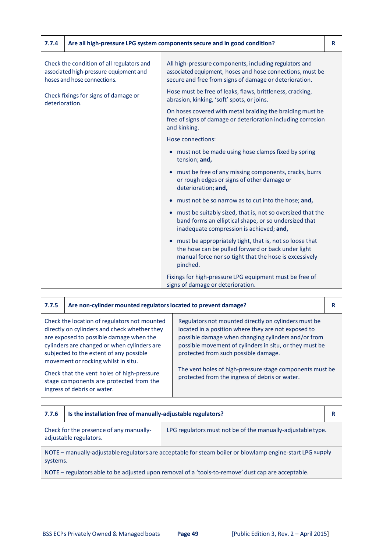| 7.7.4          |                                                                                                                    | Are all high-pressure LPG system components secure and in good condition?                                                                                                                        | R |
|----------------|--------------------------------------------------------------------------------------------------------------------|--------------------------------------------------------------------------------------------------------------------------------------------------------------------------------------------------|---|
|                | Check the condition of all regulators and<br>associated high-pressure equipment and<br>hoses and hose connections. | All high-pressure components, including regulators and<br>associated equipment, hoses and hose connections, must be<br>secure and free from signs of damage or deterioration.                    |   |
|                | Check fixings for signs of damage or                                                                               | Hose must be free of leaks, flaws, brittleness, cracking,<br>abrasion, kinking, 'soft' spots, or joins.                                                                                          |   |
| deterioration. |                                                                                                                    | On hoses covered with metal braiding the braiding must be<br>free of signs of damage or deterioration including corrosion<br>and kinking.                                                        |   |
|                |                                                                                                                    | Hose connections:                                                                                                                                                                                |   |
|                |                                                                                                                    | • must not be made using hose clamps fixed by spring<br>tension; and,                                                                                                                            |   |
|                |                                                                                                                    | must be free of any missing components, cracks, burrs<br>or rough edges or signs of other damage or<br>deterioration; and,                                                                       |   |
|                |                                                                                                                    | must not be so narrow as to cut into the hose; and,                                                                                                                                              |   |
|                |                                                                                                                    | must be suitably sized, that is, not so oversized that the<br>$\bullet$<br>band forms an elliptical shape, or so undersized that<br>inadequate compression is achieved; and,                     |   |
|                |                                                                                                                    | must be appropriately tight, that is, not so loose that<br>$\bullet$<br>the hose can be pulled forward or back under light<br>manual force nor so tight that the hose is excessively<br>pinched. |   |
|                |                                                                                                                    | Fixings for high-pressure LPG equipment must be free of<br>signs of damage or deterioration.                                                                                                     |   |

| 7.7.5                                                                                                                                                                                                                                                                     | Are non-cylinder mounted regulators located to prevent damage?                                                                                                                                                                    |                                                                                                                                                                                                                                                                       | R |
|---------------------------------------------------------------------------------------------------------------------------------------------------------------------------------------------------------------------------------------------------------------------------|-----------------------------------------------------------------------------------------------------------------------------------------------------------------------------------------------------------------------------------|-----------------------------------------------------------------------------------------------------------------------------------------------------------------------------------------------------------------------------------------------------------------------|---|
|                                                                                                                                                                                                                                                                           | Check the location of regulators not mounted<br>directly on cylinders and check whether they<br>are exposed to possible damage when the<br>cylinders are changed or when cylinders are<br>subjected to the extent of any possible | Regulators not mounted directly on cylinders must be<br>located in a position where they are not exposed to<br>possible damage when changing cylinders and/or from<br>possible movement of cylinders in situ, or they must be<br>protected from such possible damage. |   |
| movement or rocking whilst in situ.<br>The vent holes of high-pressure stage components must be<br>Check that the vent holes of high-pressure<br>protected from the ingress of debris or water.<br>stage components are protected from the<br>ingress of debris or water. |                                                                                                                                                                                                                                   |                                                                                                                                                                                                                                                                       |   |

| 7.7.6                                                                                                                            | Is the installation free of manually-adjustable regulators? |  | R |
|----------------------------------------------------------------------------------------------------------------------------------|-------------------------------------------------------------|--|---|
| Check for the presence of any manually-<br>LPG regulators must not be of the manually-adjustable type.<br>adjustable regulators. |                                                             |  |   |
| NOTE – manually-adjustable regulators are acceptable for steam boiler or blowlamp engine-start LPG supply<br>systems.            |                                                             |  |   |
| NOTE – regulators able to be adjusted upon removal of a 'tools-to-remove' dust cap are acceptable.                               |                                                             |  |   |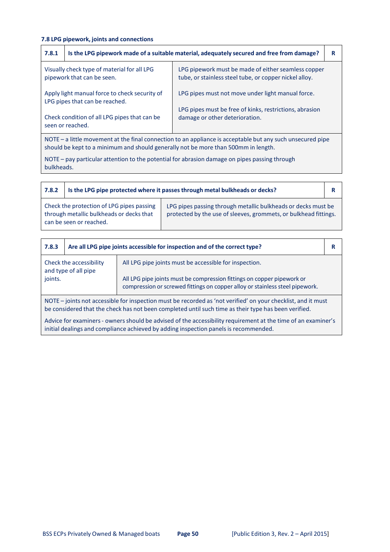# **7.8 LPG pipework, joints and connections**

| 7.8.1 |                                                                                 | Is the LPG pipework made of a suitable material, adequately secured and free from damage?                     | R |
|-------|---------------------------------------------------------------------------------|---------------------------------------------------------------------------------------------------------------|---|
|       | Visually check type of material for all LPG<br>pipework that can be seen.       | LPG pipework must be made of either seamless copper<br>tube, or stainless steel tube, or copper nickel alloy. |   |
|       | Apply light manual force to check security of<br>LPG pipes that can be reached. | LPG pipes must not move under light manual force.                                                             |   |
|       | Check condition of all LPG pipes that can be<br>seen or reached.                | LPG pipes must be free of kinks, restrictions, abrasion<br>damage or other deterioration.                     |   |
|       |                                                                                 |                                                                                                               |   |

NOTE – a little movement at the final connection to an appliance is acceptable but any such unsecured pipe should be kept to a minimum and should generally not be more than 500mm in length.

NOTE – pay particular attention to the potential for abrasion damage on pipes passing through bulkheads.

| 7.8.2 | Is the LPG pipe protected where it passes through metal bulkheads or decks?                                      |                                                                                                                                   |  |
|-------|------------------------------------------------------------------------------------------------------------------|-----------------------------------------------------------------------------------------------------------------------------------|--|
|       | Check the protection of LPG pipes passing<br>through metallic bulkheads or decks that<br>can be seen or reached. | LPG pipes passing through metallic bulkheads or decks must be<br>protected by the use of sleeves, grommets, or bulkhead fittings. |  |

| 7.8.3                                                                                                                                                                                                                 | Are all LPG pipe joints accessible for inspection and of the correct type? |                                                                                                                                                        | R |
|-----------------------------------------------------------------------------------------------------------------------------------------------------------------------------------------------------------------------|----------------------------------------------------------------------------|--------------------------------------------------------------------------------------------------------------------------------------------------------|---|
| Check the accessibility<br>and type of all pipe                                                                                                                                                                       |                                                                            | All LPG pipe joints must be accessible for inspection.                                                                                                 |   |
| joints.                                                                                                                                                                                                               |                                                                            | All LPG pipe joints must be compression fittings on copper pipework or<br>compression or screwed fittings on copper alloy or stainless steel pipework. |   |
| NOTE - joints not accessible for inspection must be recorded as 'not verified' on your checklist, and it must<br>be considered that the check has not been completed until such time as their type has been verified. |                                                                            |                                                                                                                                                        |   |

Advice for examiners - owners should be advised of the accessibility requirement at the time of an examiner's initial dealings and compliance achieved by adding inspection panels is recommended.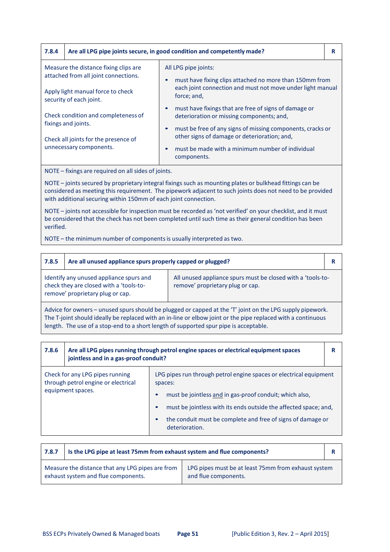| 7.8.4                                                                                                              | Are all LPG pipe joints secure, in good condition and competently made? |                                                                                                                                                                               | R |  |
|--------------------------------------------------------------------------------------------------------------------|-------------------------------------------------------------------------|-------------------------------------------------------------------------------------------------------------------------------------------------------------------------------|---|--|
| Measure the distance fixing clips are<br>attached from all joint connections.<br>Apply light manual force to check |                                                                         | All LPG pipe joints:<br>must have fixing clips attached no more than 150mm from<br>each joint connection and must not move under light manual<br>force; and,                  |   |  |
|                                                                                                                    | security of each joint.<br>Check condition and completeness of          | must have fixings that are free of signs of damage or<br>deterioration or missing components; and,                                                                            |   |  |
| fixings and joints.<br>Check all joints for the presence of<br>unnecessary components.                             |                                                                         | must be free of any signs of missing components, cracks or<br>other signs of damage or deterioration; and,<br>must be made with a minimum number of individual<br>components. |   |  |
|                                                                                                                    | $MOTE - fivinge$ are required on all sides of joints                    |                                                                                                                                                                               |   |  |

- fixings are required on all sides of joints.

NOTE – joints secured by proprietary integral fixings such as mounting plates or bulkhead fittings can be considered as meeting this requirement. The pipework adjacent to such joints does not need to be provided with additional securing within 150mm of each joint connection.

NOTE – joints not accessible for inspection must be recorded as 'not verified' on your checklist, and it must be considered that the check has not been completed until such time as their general condition has been verified.

NOTE – the minimum number of componentsis usually interpreted as two.

| 7.8.5                                                                                                                                                                                                                     | Are all unused appliance spurs properly capped or plugged?                                                                                                                                                                                                                                                         |  | R |  |  |
|---------------------------------------------------------------------------------------------------------------------------------------------------------------------------------------------------------------------------|--------------------------------------------------------------------------------------------------------------------------------------------------------------------------------------------------------------------------------------------------------------------------------------------------------------------|--|---|--|--|
| All unused appliance spurs must be closed with a 'tools-to-<br>Identify any unused appliance spurs and<br>check they are closed with a 'tools-to-<br>remove' proprietary plug or cap.<br>remove' proprietary plug or cap. |                                                                                                                                                                                                                                                                                                                    |  |   |  |  |
|                                                                                                                                                                                                                           | Advice for owners - unused spurs should be plugged or capped at the 'T' joint on the LPG supply pipework.<br>The T-joint should ideally be replaced with an in-line or elbow joint or the pipe replaced with a continuous<br>length. The use of a stop-end to a short length of supported spur pipe is acceptable. |  |   |  |  |

| 7.8.6 | Are all LPG pipes running through petrol engine spaces or electrical equipment spaces<br>jointless and in a gas-proof conduit? |                                                                                                                                                                                                                                                                                                            | R |
|-------|--------------------------------------------------------------------------------------------------------------------------------|------------------------------------------------------------------------------------------------------------------------------------------------------------------------------------------------------------------------------------------------------------------------------------------------------------|---|
|       | Check for any LPG pipes running<br>through petrol engine or electrical<br>equipment spaces.                                    | LPG pipes run through petrol engine spaces or electrical equipment<br>spaces:<br>must be jointless and in gas-proof conduit; which also,<br>must be jointless with its ends outside the affected space; and,<br>the conduit must be complete and free of signs of damage or<br>$\bullet$<br>deterioration. |   |

| 7.8.7 | Is the LPG pipe at least 75mm from exhaust system and flue components?                  |                                                                             |  |
|-------|-----------------------------------------------------------------------------------------|-----------------------------------------------------------------------------|--|
|       | Measure the distance that any LPG pipes are from<br>exhaust system and flue components. | LPG pipes must be at least 75mm from exhaust system<br>and flue components. |  |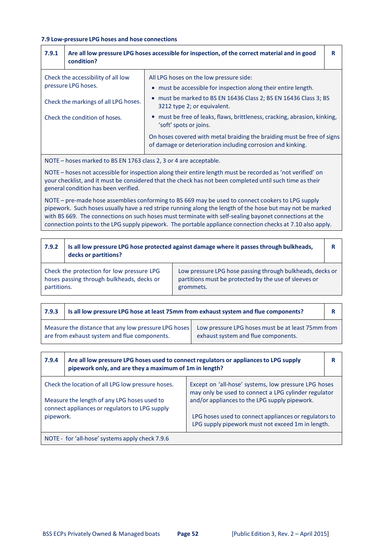#### **7.9 Low‐pressure LPG hoses and hose connections**

| 7.9.1                                                     | Are all low pressure LPG hoses accessible for inspection, of the correct material and in good<br>condition?                                                                                                                                                                                                                        |                                                                                                                                        |  |
|-----------------------------------------------------------|------------------------------------------------------------------------------------------------------------------------------------------------------------------------------------------------------------------------------------------------------------------------------------------------------------------------------------|----------------------------------------------------------------------------------------------------------------------------------------|--|
| Check the accessibility of all low<br>pressure LPG hoses. |                                                                                                                                                                                                                                                                                                                                    | All LPG hoses on the low pressure side:<br>• must be accessible for inspection along their entire length.                              |  |
| Check the markings of all LPG hoses.                      |                                                                                                                                                                                                                                                                                                                                    | • must be marked to BS EN 16436 Class 2; BS EN 16436 Class 3; BS<br>3212 type 2; or equivalent.                                        |  |
| Check the condition of hoses.                             |                                                                                                                                                                                                                                                                                                                                    | • must be free of leaks, flaws, brittleness, cracking, abrasion, kinking,<br>'soft' spots or joins.                                    |  |
|                                                           |                                                                                                                                                                                                                                                                                                                                    | On hoses covered with metal braiding the braiding must be free of signs<br>of damage or deterioration including corrosion and kinking. |  |
|                                                           | $\mathbf{1}$ $\mathbf{1}$ $\mathbf{1}$ $\mathbf{1}$ $\mathbf{1}$ $\mathbf{1}$ $\mathbf{1}$ $\mathbf{1}$ $\mathbf{1}$ $\mathbf{1}$ $\mathbf{1}$ $\mathbf{1}$ $\mathbf{1}$ $\mathbf{1}$ $\mathbf{1}$ $\mathbf{1}$ $\mathbf{1}$ $\mathbf{1}$ $\mathbf{1}$ $\mathbf{1}$ $\mathbf{1}$ $\mathbf{1}$ $\mathbf{1}$ $\mathbf{1}$ $\mathbf{$ |                                                                                                                                        |  |

NOTE – hoses marked to BS EN 1763 class 2, 3 or 4 are acceptable.

NOTE – hoses not accessible for inspection along their entire length must be recorded as 'not verified' on your checklist, and it must be considered that the check has not been completed until such time as their general condition has been verified.

NOTE – pre-made hose assemblies conforming to BS 669 may be used to connect cookers to LPG supply pipework. Such hoses usually have a red stripe running along the length of the hose but may not be marked with BS 669. The connections on such hoses must terminate with self-sealing bayonet connections at the connection points to the LPG supply pipework. The portable appliance connection checks at 7.10 also apply.

| 7.9.2       | Is all low pressure LPG hose protected against damage where it passes through bulkheads,<br>decks or partitions? |                                                                                                                                 | R |
|-------------|------------------------------------------------------------------------------------------------------------------|---------------------------------------------------------------------------------------------------------------------------------|---|
| partitions. | Check the protection for low pressure LPG<br>hoses passing through bulkheads, decks or                           | Low pressure LPG hose passing through bulkheads, decks or<br>partitions must be protected by the use of sleeves or<br>grommets. |   |

| 7.9.3 | Is all low pressure LPG hose at least 75mm from exhaust system and flue components?                  |                                                                                          |  |
|-------|------------------------------------------------------------------------------------------------------|------------------------------------------------------------------------------------------|--|
|       | Measure the distance that any low pressure LPG hoses<br>are from exhaust system and flue components. | Low pressure LPG hoses must be at least 75mm from<br>exhaust system and flue components. |  |

| 7.9.4                                                                                                                                          | Are all low pressure LPG hoses used to connect regulators or appliances to LPG supply<br>pipework only, and are they a maximum of 1m in length? |                                                                                                              |  |
|------------------------------------------------------------------------------------------------------------------------------------------------|-------------------------------------------------------------------------------------------------------------------------------------------------|--------------------------------------------------------------------------------------------------------------|--|
| Check the location of all LPG low pressure hoses.                                                                                              |                                                                                                                                                 | Except on 'all-hose' systems, low pressure LPG hoses<br>may only be used to connect a LPG cylinder regulator |  |
| and/or appliances to the LPG supply pipework.<br>Measure the length of any LPG hoses used to<br>connect appliances or regulators to LPG supply |                                                                                                                                                 |                                                                                                              |  |
| pipework.                                                                                                                                      |                                                                                                                                                 | LPG hoses used to connect appliances or regulators to<br>LPG supply pipework must not exceed 1m in length.   |  |
|                                                                                                                                                | NOTE - for 'all-hose' systems apply check 7.9.6                                                                                                 |                                                                                                              |  |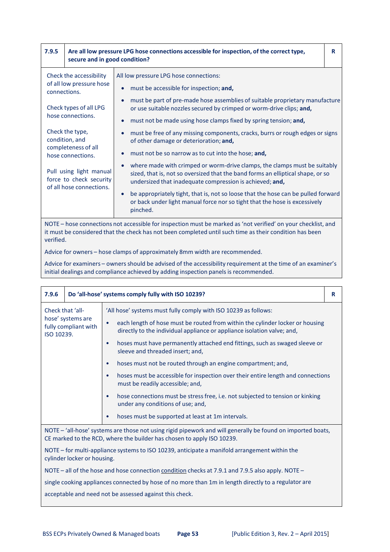| 7.9.5                                                                                                         |                                                                                | Are all low pressure LPG hose connections accessible for inspection, of the correct type,<br>secure and in good condition?                                                                                               |  |
|---------------------------------------------------------------------------------------------------------------|--------------------------------------------------------------------------------|--------------------------------------------------------------------------------------------------------------------------------------------------------------------------------------------------------------------------|--|
| connections.                                                                                                  | Check the accessibility<br>of all low pressure hose                            | All low pressure LPG hose connections:<br>must be accessible for inspection; and,                                                                                                                                        |  |
|                                                                                                               | Check types of all LPG                                                         | must be part of pre-made hose assemblies of suitable proprietary manufacture<br>or use suitable nozzles secured by crimped or worm-drive clips; and,                                                                     |  |
|                                                                                                               | hose connections.                                                              | must not be made using hose clamps fixed by spring tension; and,                                                                                                                                                         |  |
| Check the type,<br>condition, and                                                                             |                                                                                | must be free of any missing components, cracks, burrs or rough edges or signs<br>of other damage or deterioration; and,                                                                                                  |  |
|                                                                                                               | completeness of all<br>hose connections.                                       | must not be so narrow as to cut into the hose; and,                                                                                                                                                                      |  |
|                                                                                                               | Pull using light manual<br>force to check security<br>of all hose connections. | where made with crimped or worm-drive clamps, the clamps must be suitably<br>sized, that is, not so oversized that the band forms an elliptical shape, or so<br>undersized that inadequate compression is achieved; and, |  |
|                                                                                                               |                                                                                | be appropriately tight, that is, not so loose that the hose can be pulled forward<br>$\bullet$<br>or back under light manual force nor so tight that the hose is excessively<br>pinched.                                 |  |
| NOTE – hose connections not accessible for inspection must be marked as 'not verified' on your checklist, and |                                                                                |                                                                                                                                                                                                                          |  |

NOTE – hose connections not accessible for inspection must be marked as 'not verified' on your checklist, and it must be considered that the check has not been completed until such time as their condition has been verified.

Advice for owners – hose clamps of approximately 8mm width are recommended.

Advice for examiners – owners should be advised of the accessibility requirement at the time of an examiner's initial dealings and compliance achieved by adding inspection panels is recommended.

| 7.9.6                                                                                                                        |                                                                                                                                                                                       | Do 'all-hose' systems comply fully with ISO 10239?                                                                                                                    | R |
|------------------------------------------------------------------------------------------------------------------------------|---------------------------------------------------------------------------------------------------------------------------------------------------------------------------------------|-----------------------------------------------------------------------------------------------------------------------------------------------------------------------|---|
| Check that 'all-                                                                                                             |                                                                                                                                                                                       | 'All hose' systems must fully comply with ISO 10239 as follows:                                                                                                       |   |
| ISO 10239.                                                                                                                   | hose' systems are<br>fully compliant with                                                                                                                                             | each length of hose must be routed from within the cylinder locker or housing<br>$\bullet$<br>directly to the individual appliance or appliance isolation valve; and, |   |
|                                                                                                                              |                                                                                                                                                                                       | hoses must have permanently attached end fittings, such as swaged sleeve or<br>$\bullet$<br>sleeve and threaded insert; and,                                          |   |
|                                                                                                                              |                                                                                                                                                                                       | hoses must not be routed through an engine compartment; and,<br>$\bullet$                                                                                             |   |
|                                                                                                                              |                                                                                                                                                                                       | hoses must be accessible for inspection over their entire length and connections<br>$\bullet$<br>must be readily accessible; and,                                     |   |
|                                                                                                                              |                                                                                                                                                                                       | hose connections must be stress free, i.e. not subjected to tension or kinking<br>$\bullet$<br>under any conditions of use; and,                                      |   |
|                                                                                                                              |                                                                                                                                                                                       | hoses must be supported at least at 1m intervals.<br>$\bullet$                                                                                                        |   |
|                                                                                                                              | NOTE - 'all-hose' systems are those not using rigid pipework and will generally be found on imported boats,<br>CE marked to the RCD, where the builder has chosen to apply ISO 10239. |                                                                                                                                                                       |   |
| NOTE - for multi-appliance systems to ISO 10239, anticipate a manifold arrangement within the<br>cylinder locker or housing. |                                                                                                                                                                                       |                                                                                                                                                                       |   |
|                                                                                                                              | NOTE - all of the hose and hose connection condition checks at 7.9.1 and 7.9.5 also apply. NOTE -                                                                                     |                                                                                                                                                                       |   |
|                                                                                                                              |                                                                                                                                                                                       | single cooking appliances connected by hose of no more than 1m in length directly to a regulator are                                                                  |   |
|                                                                                                                              |                                                                                                                                                                                       | acceptable and need not be assessed against this check.                                                                                                               |   |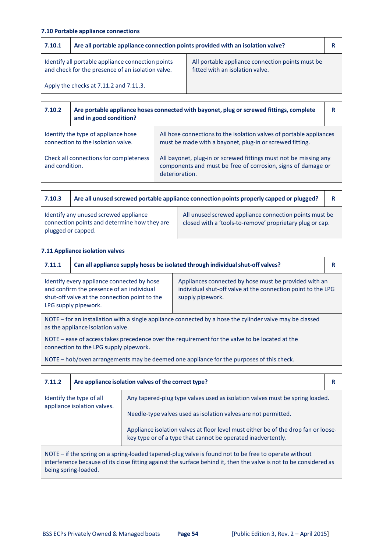# **7.10 Portable appliance connections**

| 7.10.1                                 | Are all portable appliance connection points provided with an isolation valve?                         |                                                                                     |  |
|----------------------------------------|--------------------------------------------------------------------------------------------------------|-------------------------------------------------------------------------------------|--|
|                                        | Identify all portable appliance connection points<br>and check for the presence of an isolation valve. | All portable appliance connection points must be<br>fitted with an isolation valve. |  |
| Apply the checks at 7.11.2 and 7.11.3. |                                                                                                        |                                                                                     |  |

| 7.10.2                                                   | Are portable appliance hoses connected with bayonet, plug or screwed fittings, complete<br>and in good condition? |                                                                                                                                                    | R |
|----------------------------------------------------------|-------------------------------------------------------------------------------------------------------------------|----------------------------------------------------------------------------------------------------------------------------------------------------|---|
|                                                          | Identify the type of appliance hose<br>connection to the isolation valve.                                         | All hose connections to the isolation valves of portable appliances<br>must be made with a bayonet, plug-in or screwed fitting.                    |   |
| Check all connections for completeness<br>and condition. |                                                                                                                   | All bayonet, plug-in or screwed fittings must not be missing any<br>components and must be free of corrosion, signs of damage or<br>deterioration. |   |

| 7.10.3                                                                                                      | Are all unused screwed portable appliance connection points properly capped or plugged? |                                                                                                                    | R |
|-------------------------------------------------------------------------------------------------------------|-----------------------------------------------------------------------------------------|--------------------------------------------------------------------------------------------------------------------|---|
| Identify any unused screwed appliance<br>connection points and determine how they are<br>plugged or capped. |                                                                                         | All unused screwed appliance connection points must be<br>closed with a 'tools-to-remove' proprietary plug or cap. |   |

# **7.11 Appliance isolation valves**

| 7.11.1                                                                                                                                                                                                                                                                                                        | Can all appliance supply hoses be isolated through individual shut-off valves?                    |  |  |
|---------------------------------------------------------------------------------------------------------------------------------------------------------------------------------------------------------------------------------------------------------------------------------------------------------------|---------------------------------------------------------------------------------------------------|--|--|
| Identify every appliance connected by hose<br>Appliances connected by hose must be provided with an<br>individual shut-off valve at the connection point to the LPG<br>and confirm the presence of an individual<br>shut-off valve at the connection point to the<br>supply pipework.<br>LPG supply pipework. |                                                                                                   |  |  |
| NOTE – for an installation with a single appliance connected by a hose the cylinder valve may be classed<br>as the appliance isolation valve.                                                                                                                                                                 |                                                                                                   |  |  |
| NOTE – ease of access takes precedence over the requirement for the valve to be located at the<br>connection to the LPG supply pipework.                                                                                                                                                                      |                                                                                                   |  |  |
|                                                                                                                                                                                                                                                                                                               | NOTE - habitar personan personal marita dependence per la personalista primera de la personalista |  |  |

NOTE – hob/oven arrangements may be deemed one appliance for the purposes of this check.

| 7.11.2                                                                                                                                                                                                                                              | Are appliance isolation valves of the correct type? |                                                                                                                                                    | R |
|-----------------------------------------------------------------------------------------------------------------------------------------------------------------------------------------------------------------------------------------------------|-----------------------------------------------------|----------------------------------------------------------------------------------------------------------------------------------------------------|---|
| Identify the type of all<br>appliance isolation valves.                                                                                                                                                                                             |                                                     | Any tapered-plug type valves used as isolation valves must be spring loaded.                                                                       |   |
|                                                                                                                                                                                                                                                     |                                                     | Needle-type valves used as isolation valves are not permitted.                                                                                     |   |
|                                                                                                                                                                                                                                                     |                                                     | Appliance isolation valves at floor level must either be of the drop fan or loose-<br>key type or of a type that cannot be operated inadvertently. |   |
| NOTE – if the spring on a spring-loaded tapered-plug valve is found not to be free to operate without<br>interference because of its close fitting against the surface behind it, then the valve is not to be considered as<br>being spring-loaded. |                                                     |                                                                                                                                                    |   |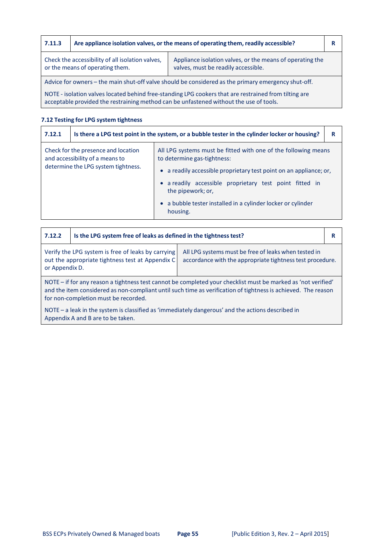| 7.11.3                                                                                                                                                                                  | Are appliance isolation valves, or the means of operating them, readily accessible? |                                                                                                       |  |
|-----------------------------------------------------------------------------------------------------------------------------------------------------------------------------------------|-------------------------------------------------------------------------------------|-------------------------------------------------------------------------------------------------------|--|
| Check the accessibility of all isolation valves,<br>Appliance isolation valves, or the means of operating the<br>or the means of operating them.<br>valves, must be readily accessible. |                                                                                     |                                                                                                       |  |
| Advice for owners – the main shut-off valve should be considered as the primary emergency shut-off.                                                                                     |                                                                                     |                                                                                                       |  |
|                                                                                                                                                                                         |                                                                                     | NOTE - isolation valves located behind free-standing LPG cookers that are restrained from tilting are |  |

acceptable provided the restraining method can be unfastened without the use of tools.

# **7.12 Testing for LPG system tightness**

| 7.12.1                                                                 | Is there a LPG test point in the system, or a bubble tester in the cylinder locker or housing? |                                                                                               | R |
|------------------------------------------------------------------------|------------------------------------------------------------------------------------------------|-----------------------------------------------------------------------------------------------|---|
| Check for the presence and location<br>and accessibility of a means to |                                                                                                | All LPG systems must be fitted with one of the following means<br>to determine gas-tightness: |   |
| determine the LPG system tightness.                                    | • a readily accessible proprietary test point on an appliance; or,                             |                                                                                               |   |
|                                                                        |                                                                                                | • a readily accessible proprietary test point fitted in<br>the pipework; or,                  |   |
|                                                                        |                                                                                                | • a bubble tester installed in a cylinder locker or cylinder<br>housing.                      |   |

| 7.12.2                                                                                                                                                                                                                                                                 | Is the LPG system free of leaks as defined in the tightness test? |  | R |
|------------------------------------------------------------------------------------------------------------------------------------------------------------------------------------------------------------------------------------------------------------------------|-------------------------------------------------------------------|--|---|
| Verify the LPG system is free of leaks by carrying<br>All LPG systems must be free of leaks when tested in<br>out the appropriate tightness test at Appendix C<br>accordance with the appropriate tightness test procedure.<br>or Appendix D.                          |                                                                   |  |   |
| NOTE - if for any reason a tightness test cannot be completed your checklist must be marked as 'not verified'<br>and the item considered as non-compliant until such time as verification of tightness is achieved. The reason<br>for non-completion must be recorded. |                                                                   |  |   |
| NOTE - a leak in the system is classified as 'immediately dangerous' and the actions described in<br>Appendix A and B are to be taken.                                                                                                                                 |                                                                   |  |   |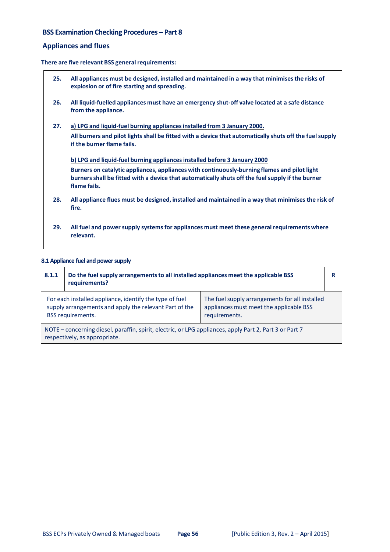# **BSS Examination Checking Procedures – Part 8**

# **Appliances and flues**

**There are five relevant BSS general requirements:**

| 25. | All appliances must be designed, installed and maintained in a way that minimises the risks of<br>explosion or of fire starting and spreading.                                                                                                                                                |
|-----|-----------------------------------------------------------------------------------------------------------------------------------------------------------------------------------------------------------------------------------------------------------------------------------------------|
| 26. | All liquid-fuelled appliances must have an emergency shut-off valve located at a safe distance<br>from the appliance.                                                                                                                                                                         |
| 27. | a) LPG and liquid-fuel burning appliances installed from 3 January 2000.<br>All burners and pilot lights shall be fitted with a device that automatically shuts off the fuel supply<br>if the burner flame fails.                                                                             |
|     | b) LPG and liquid-fuel burning appliances installed before 3 January 2000<br>Burners on catalytic appliances, appliances with continuously-burning flames and pilot light<br>burners shall be fitted with a device that automatically shuts off the fuel supply if the burner<br>flame fails. |
| 28. | All appliance flues must be designed, installed and maintained in a way that minimises the risk of<br>fire.                                                                                                                                                                                   |
| 29. | All fuel and power supply systems for appliances must meet these general requirements where<br>relevant.                                                                                                                                                                                      |

## **8.1Appliance fuel and powersupply**

| 8.1.1                                                                                                                                                                                                                                                       | Do the fuel supply arrangements to all installed appliances meet the applicable BSS<br>requirements? |  | R |
|-------------------------------------------------------------------------------------------------------------------------------------------------------------------------------------------------------------------------------------------------------------|------------------------------------------------------------------------------------------------------|--|---|
| For each installed appliance, identify the type of fuel<br>The fuel supply arrangements for all installed<br>supply arrangements and apply the relevant Part of the<br>appliances must meet the applicable BSS<br><b>BSS</b> requirements.<br>requirements. |                                                                                                      |  |   |
| NOTE - concerning diesel, paraffin, spirit, electric, or LPG appliances, apply Part 2, Part 3 or Part 7<br>respectively, as appropriate.                                                                                                                    |                                                                                                      |  |   |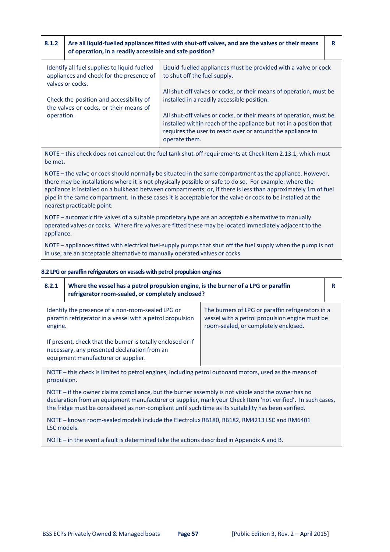| 8.1.2                                                                             | Are all liquid-fuelled appliances fitted with shut-off valves, and are the valves or their means<br>of operation, in a readily accessible and safe position? |                                                                                                                                                                                                                         | R |
|-----------------------------------------------------------------------------------|--------------------------------------------------------------------------------------------------------------------------------------------------------------|-------------------------------------------------------------------------------------------------------------------------------------------------------------------------------------------------------------------------|---|
|                                                                                   | Identify all fuel supplies to liquid-fuelled<br>appliances and check for the presence of<br>valves or cocks.                                                 | Liquid-fuelled appliances must be provided with a valve or cock<br>to shut off the fuel supply.                                                                                                                         |   |
| Check the position and accessibility of<br>the valves or cocks, or their means of |                                                                                                                                                              | All shut-off valves or cocks, or their means of operation, must be<br>installed in a readily accessible position.                                                                                                       |   |
| operation.                                                                        |                                                                                                                                                              | All shut-off valves or cocks, or their means of operation, must be<br>installed within reach of the appliance but not in a position that<br>requires the user to reach over or around the appliance to<br>operate them. |   |

NOTE – this check does not cancel out the fuel tank shut‐off requirements at Check Item 2.13.1, which must be met.

NOTE – the valve or cock should normally be situated in the same compartment as the appliance. However, there may be installations where it is not physically possible or safe to do so. For example: where the appliance is installed on a bulkhead between compartments; or, if there is less than approximately 1m of fuel pipe in the same compartment. In these cases it is acceptable for the valve or cock to be installed at the nearest practicable point.

NOTE – automatic fire valves of a suitable proprietary type are an acceptable alternative to manually operated valves or cocks. Where fire valves are fitted these may be located immediately adjacent to the appliance.

NOTE – appliances fitted with electrical fuel-supply pumps that shut off the fuel supply when the pump is not in use, are an acceptable alternative to manually operated valves or cocks.

#### **8.2 LPG or paraffin refrigerators on vessels with petrol propulsion engines**

| 8.2.1                                                                                                                                                                                                                                                                                                                     | Where the vessel has a petrol propulsion engine, is the burner of a LPG or paraffin<br>refrigerator room-sealed, or completely enclosed? |                                                                                                                                             | R |
|---------------------------------------------------------------------------------------------------------------------------------------------------------------------------------------------------------------------------------------------------------------------------------------------------------------------------|------------------------------------------------------------------------------------------------------------------------------------------|---------------------------------------------------------------------------------------------------------------------------------------------|---|
| Identify the presence of a non-room-sealed LPG or<br>paraffin refrigerator in a vessel with a petrol propulsion<br>engine.<br>If present, check that the burner is totally enclosed or if<br>necessary, any presented declaration from an<br>equipment manufacturer or supplier.                                          |                                                                                                                                          | The burners of LPG or paraffin refrigerators in a<br>vessel with a petrol propulsion engine must be<br>room-sealed, or completely enclosed. |   |
| NOTE – this check is limited to petrol engines, including petrol outboard motors, used as the means of<br>propulsion.                                                                                                                                                                                                     |                                                                                                                                          |                                                                                                                                             |   |
| NOTE – if the owner claims compliance, but the burner assembly is not visible and the owner has no<br>declaration from an equipment manufacturer or supplier, mark your Check Item 'not verified'. In such cases,<br>the fridge must be considered as non-compliant until such time as its suitability has been verified. |                                                                                                                                          |                                                                                                                                             |   |

NOTE – known room-sealed models include the Electrolux RB180, RB182, RM4213 LSC and RM6401 LSC models.

NOTE – in the event a fault is determined take the actions described in Appendix A and B.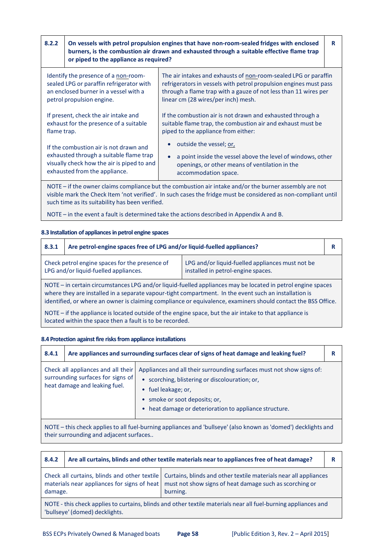| 8.2.2                                                                                                                                                            | On vessels with petrol propulsion engines that have non-room-sealed fridges with enclosed<br>burners, is the combustion air drawn and exhausted through a suitable effective flame trap<br>or piped to the appliance as required? |                                                                                                                                                                                                                                                        | R |
|------------------------------------------------------------------------------------------------------------------------------------------------------------------|-----------------------------------------------------------------------------------------------------------------------------------------------------------------------------------------------------------------------------------|--------------------------------------------------------------------------------------------------------------------------------------------------------------------------------------------------------------------------------------------------------|---|
| Identify the presence of a non-room-<br>sealed LPG or paraffin refrigerator with<br>an enclosed burner in a vessel with a<br>petrol propulsion engine.           |                                                                                                                                                                                                                                   | The air intakes and exhausts of <u>non-</u> room-sealed LPG or paraffin<br>refrigerators in vessels with petrol propulsion engines must pass<br>through a flame trap with a gauze of not less than 11 wires per<br>linear cm (28 wires/per inch) mesh. |   |
| If present, check the air intake and<br>exhaust for the presence of a suitable<br>flame trap.                                                                    |                                                                                                                                                                                                                                   | If the combustion air is not drawn and exhausted through a<br>suitable flame trap, the combustion air and exhaust must be<br>piped to the appliance from either:                                                                                       |   |
| If the combustion air is not drawn and<br>exhausted through a suitable flame trap<br>visually check how the air is piped to and<br>exhausted from the appliance. |                                                                                                                                                                                                                                   | outside the vessel; or,<br>a point inside the vessel above the level of windows, other<br>openings, or other means of ventilation in the<br>accommodation space.                                                                                       |   |
|                                                                                                                                                                  |                                                                                                                                                                                                                                   | NOTE – if the owner claims compliance but the combustion air intake and/or the burner assembly are not                                                                                                                                                 |   |

visible mark the Check Item 'not verified'. In such casesthe fridge must be considered as non‐compliant until such time as its suitability has been verified.

NOTE – in the event a fault is determined take the actions described in Appendix A and B.

#### **8.3 Installation of appliancesinpetrol engine spaces**

| 8.3.1                                                                                                                                                                                                                                                                                                                                 | Are petrol-engine spaces free of LPG and/or liquid-fuelled appliances? |  | R |
|---------------------------------------------------------------------------------------------------------------------------------------------------------------------------------------------------------------------------------------------------------------------------------------------------------------------------------------|------------------------------------------------------------------------|--|---|
| Check petrol engine spaces for the presence of<br>LPG and/or liquid-fuelled appliances must not be<br>LPG and/or liquid-fuelled appliances.<br>installed in petrol-engine spaces.                                                                                                                                                     |                                                                        |  |   |
| NOTE – in certain circumstances LPG and/or liquid-fuelled appliances may be located in petrol engine spaces<br>where they are installed in a separate vapour-tight compartment. In the event such an installation is<br>identified, or where an owner is claiming compliance or equivalence, examiners should contact the BSS Office. |                                                                        |  |   |
| NOTE – if the appliance is located outside of the engine space, but the air intake to that appliance is<br>located within the space then a fault is to be recorded.                                                                                                                                                                   |                                                                        |  |   |

## **8.4 Protection against fire risksfrom appliance installations**

| 8.4.1                                                                                                                                                     |                                                                                                          | Are appliances and surrounding surfaces clear of signs of heat damage and leaking fuel?                                                                                                                                                   | R |
|-----------------------------------------------------------------------------------------------------------------------------------------------------------|----------------------------------------------------------------------------------------------------------|-------------------------------------------------------------------------------------------------------------------------------------------------------------------------------------------------------------------------------------------|---|
|                                                                                                                                                           | Check all appliances and all their<br>surrounding surfaces for signs of<br>heat damage and leaking fuel. | Appliances and all their surrounding surfaces must not show signs of:<br>• scorching, blistering or discolouration; or,<br>• fuel leakage; or,<br>• smoke or soot deposits; or,<br>• heat damage or deterioration to appliance structure. |   |
| NOTE – this check applies to all fuel-burning appliances and 'bullseye' (also known as 'domed') decklights and<br>their surrounding and adjacent surfaces |                                                                                                          |                                                                                                                                                                                                                                           |   |

| 8.4.2                                                                                                                                            | Are all curtains, blinds and other textile materials near to appliances free of heat damage? |                                                                                                                                                                                        |  |
|--------------------------------------------------------------------------------------------------------------------------------------------------|----------------------------------------------------------------------------------------------|----------------------------------------------------------------------------------------------------------------------------------------------------------------------------------------|--|
| materials near appliances for signs of heat<br>damage.                                                                                           |                                                                                              | Check all curtains, blinds and other textile   Curtains, blinds and other textile materials near all appliances<br>must not show signs of heat damage such as scorching or<br>burning. |  |
| NOTE - this check applies to curtains, blinds and other textile materials near all fuel-burning appliances and<br>'bullseye' (domed) decklights. |                                                                                              |                                                                                                                                                                                        |  |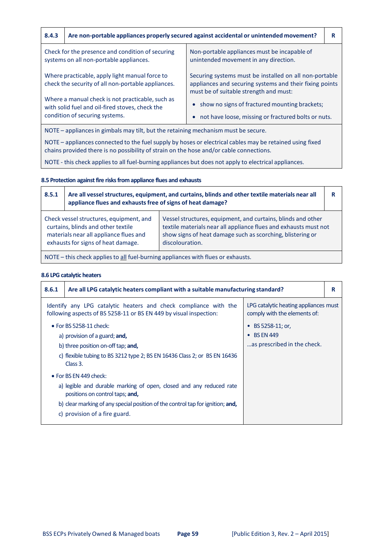| 8.4.3                                                                                                                                                                                               |                                                                                                       | Are non-portable appliances properly secured against accidental or unintended movement?                                                                     | R |
|-----------------------------------------------------------------------------------------------------------------------------------------------------------------------------------------------------|-------------------------------------------------------------------------------------------------------|-------------------------------------------------------------------------------------------------------------------------------------------------------------|---|
| Check for the presence and condition of securing<br>systems on all non-portable appliances.                                                                                                         |                                                                                                       | Non-portable appliances must be incapable of<br>unintended movement in any direction.                                                                       |   |
| Where practicable, apply light manual force to<br>check the security of all non-portable appliances.                                                                                                |                                                                                                       | Securing systems must be installed on all non-portable<br>appliances and securing systems and their fixing points<br>must be of suitable strength and must: |   |
| Where a manual check is not practicable, such as<br>with solid fuel and oil-fired stoves, check the<br>condition of securing systems.                                                               |                                                                                                       | • show no signs of fractured mounting brackets;<br>not have loose, missing or fractured bolts or nuts.                                                      |   |
|                                                                                                                                                                                                     | NOTE – appliances in gimbals may tilt, but the retaining mechanism must be secure.                    |                                                                                                                                                             |   |
| NOTE – appliances connected to the fuel supply by hoses or electrical cables may be retained using fixed<br>chains provided there is no possibility of strain on the hose and/or cable connections. |                                                                                                       |                                                                                                                                                             |   |
|                                                                                                                                                                                                     | NOTE - this check applies to all fuel-burning appliances but does not apply to electrical appliances. |                                                                                                                                                             |   |

## **8.5 Protection against fire risksfrom appliance flues and exhausts**

| 8.5.1                                                                                                                                                                                                                                                                                                                                                                              | Are all vessel structures, equipment, and curtains, blinds and other textile materials near all<br>appliance flues and exhausts free of signs of heat damage? |  | R |
|------------------------------------------------------------------------------------------------------------------------------------------------------------------------------------------------------------------------------------------------------------------------------------------------------------------------------------------------------------------------------------|---------------------------------------------------------------------------------------------------------------------------------------------------------------|--|---|
| Check vessel structures, equipment, and<br>Vessel structures, equipment, and curtains, blinds and other<br>curtains, blinds and other textile<br>textile materials near all appliance flues and exhausts must not<br>show signs of heat damage such as scorching, blistering or<br>materials near all appliance flues and<br>exhausts for signs of heat damage.<br>discolouration. |                                                                                                                                                               |  |   |
|                                                                                                                                                                                                                                                                                                                                                                                    | NOTE - this check applies to all fuel-burning appliances with flues or exhausts.                                                                              |  |   |

## **8.6 LPG catalytic heaters**

| 8.6.1                                                                                                                                                                                                   | Are all LPG catalytic heaters compliant with a suitable manufacturing standard?                                                                                                                                                                             |                                                                                              | R |
|---------------------------------------------------------------------------------------------------------------------------------------------------------------------------------------------------------|-------------------------------------------------------------------------------------------------------------------------------------------------------------------------------------------------------------------------------------------------------------|----------------------------------------------------------------------------------------------|---|
|                                                                                                                                                                                                         | Identify any LPG catalytic heaters and check compliance with the<br>following aspects of BS 5258-11 or BS EN 449 by visual inspection:                                                                                                                      | LPG catalytic heating appliances must<br>comply with the elements of:                        |   |
| $\bullet$ For BS 5258-11 check:<br>a) provision of a guard; <b>and</b> ,<br>b) three position on-off tap; and,<br>c) flexible tubing to BS 3212 type 2; BS EN 16436 Class 2; or BS EN 16436<br>Class 3. |                                                                                                                                                                                                                                                             | BS 5258-11; or,<br>$\bullet$<br><b>BS EN 449</b><br>$\bullet$<br>as prescribed in the check. |   |
|                                                                                                                                                                                                         | $\bullet$ For BS EN 449 check:<br>a) legible and durable marking of open, closed and any reduced rate<br>positions on control taps; and,<br>b) clear marking of any special position of the control tap for ignition; and,<br>c) provision of a fire guard. |                                                                                              |   |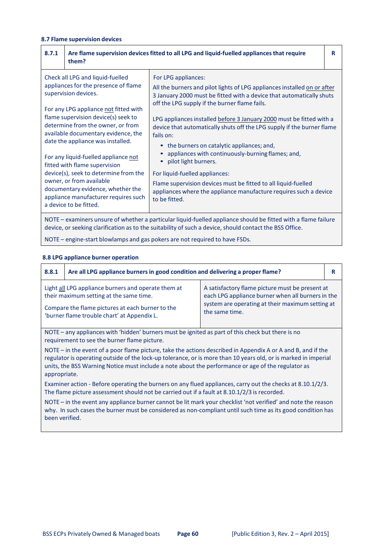# **8.7 Flame supervision devices**

| 8.7.1                                                                                                                                                                                                                                                                                                                                                                                                                                                                                                                                                                                                                                                                                                                                                                                                                                                                                                                                                                                                                                                                                                                                                                                                                                                                              | Are flame supervision devices fitted to all LPG and liquid-fuelled appliances that require<br>them?                                                                                                                       |  | R |
|------------------------------------------------------------------------------------------------------------------------------------------------------------------------------------------------------------------------------------------------------------------------------------------------------------------------------------------------------------------------------------------------------------------------------------------------------------------------------------------------------------------------------------------------------------------------------------------------------------------------------------------------------------------------------------------------------------------------------------------------------------------------------------------------------------------------------------------------------------------------------------------------------------------------------------------------------------------------------------------------------------------------------------------------------------------------------------------------------------------------------------------------------------------------------------------------------------------------------------------------------------------------------------|---------------------------------------------------------------------------------------------------------------------------------------------------------------------------------------------------------------------------|--|---|
| Check all LPG and liquid-fuelled<br>For LPG appliances:<br>appliances for the presence of flame<br>All the burners and pilot lights of LPG appliances installed on or after<br>supervision devices.<br>3 January 2000 must be fitted with a device that automatically shuts<br>off the LPG supply if the burner flame fails.<br>For any LPG appliance not fitted with<br>flame supervision device(s) seek to<br>LPG appliances installed before 3 January 2000 must be fitted with a<br>determine from the owner, or from<br>device that automatically shuts off the LPG supply if the burner flame<br>available documentary evidence, the<br>fails on:<br>date the appliance was installed.<br>the burners on catalytic appliances; and,<br>$\bullet$<br>appliances with continuously-burning flames; and,<br>For any liquid-fuelled appliance not<br>pilot light burners.<br>fitted with flame supervision<br>device(s), seek to determine from the<br>For liquid-fuelled appliances:<br>owner, or from available<br>Flame supervision devices must be fitted to all liquid-fuelled<br>documentary evidence, whether the<br>appliances where the appliance manufacture requires such a device<br>appliance manufacturer requires such<br>to be fitted.<br>a device to be fitted. |                                                                                                                                                                                                                           |  |   |
|                                                                                                                                                                                                                                                                                                                                                                                                                                                                                                                                                                                                                                                                                                                                                                                                                                                                                                                                                                                                                                                                                                                                                                                                                                                                                    | NOTE - examiners unsure of whether a particular liquid-fuelled appliance should be fitted with a flame failure<br>device, or seeking clarification as to the suitability of such a device, should contact the BSS Office. |  |   |
|                                                                                                                                                                                                                                                                                                                                                                                                                                                                                                                                                                                                                                                                                                                                                                                                                                                                                                                                                                                                                                                                                                                                                                                                                                                                                    | NOTE - engine-start blowlamps and gas pokers are not required to have FSDs.                                                                                                                                               |  |   |

#### **8.8 LPG appliance burner operation**

| 8.8.1                                                                                                                                                                                                                                                                                                                                                                           | Are all LPG appliance burners in good condition and delivering a proper flame? |  | R |
|---------------------------------------------------------------------------------------------------------------------------------------------------------------------------------------------------------------------------------------------------------------------------------------------------------------------------------------------------------------------------------|--------------------------------------------------------------------------------|--|---|
| Light all LPG appliance burners and operate them at<br>A satisfactory flame picture must be present at<br>each LPG appliance burner when all burners in the<br>their maximum setting at the same time.<br>system are operating at their maximum setting at<br>Compare the flame pictures at each burner to the<br>the same time.<br>'burner flame trouble chart' at Appendix L. |                                                                                |  |   |
| NOTE – any appliances with 'hidden' burners must be ignited as part of this check but there is no<br>requirement to see the burner flame picture.                                                                                                                                                                                                                               |                                                                                |  |   |
| NOTE – in the event of a poor flame picture, take the actions described in Appendix A or A and B, and if the<br>regulator is operating outside of the lock-up tolerance, or is more than 10 years old, or is marked in imperial<br>units, the BSS Warning Notice must include a note about the performance or age of the regulator as<br>appropriate.                           |                                                                                |  |   |

Examiner action - Before operating the burners on any flued appliances, carry out the checks at 8.10.1/2/3. The flame picture assessment should not be carried out if a fault at 8.10.1/2/3 is recorded.

NOTE – in the event any appliance burner cannot be lit mark your checklist 'not verified' and note the reason why. In such cases the burner must be considered as non-compliant until such time as its good condition has been verified.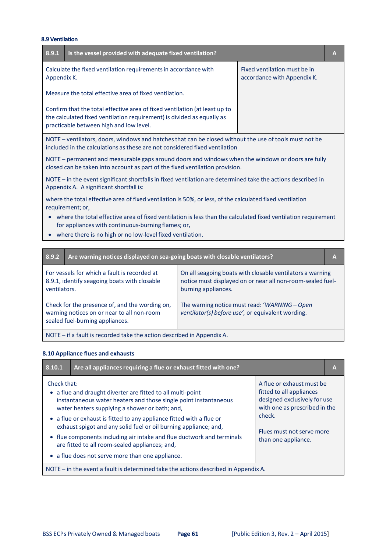## **8.9 Ventilation**

| 8.9.1                                                                                                                                                                                | Is the vessel provided with adequate fixed ventilation?                                                                                                                                         |                                                             | A            |
|--------------------------------------------------------------------------------------------------------------------------------------------------------------------------------------|-------------------------------------------------------------------------------------------------------------------------------------------------------------------------------------------------|-------------------------------------------------------------|--------------|
| Appendix K.                                                                                                                                                                          | Calculate the fixed ventilation requirements in accordance with                                                                                                                                 | Fixed ventilation must be in<br>accordance with Appendix K. |              |
|                                                                                                                                                                                      | Measure the total effective area of fixed ventilation.                                                                                                                                          |                                                             |              |
|                                                                                                                                                                                      | Confirm that the total effective area of fixed ventilation (at least up to<br>the calculated fixed ventilation requirement) is divided as equally as<br>practicable between high and low level. |                                                             |              |
| NOTE - ventilators, doors, windows and hatches that can be closed without the use of tools must not be<br>included in the calculations as these are not considered fixed ventilation |                                                                                                                                                                                                 |                                                             |              |
| NOTE - permanent and measurable gaps around doors and windows when the windows or doors are fully<br>closed can be taken into account as part of the fixed ventilation provision.    |                                                                                                                                                                                                 |                                                             |              |
| NOTE - in the event significant shortfalls in fixed ventilation are determined take the actions described in<br>Appendix A. A significant shortfall is:                              |                                                                                                                                                                                                 |                                                             |              |
| where the total effective area of fixed ventilation is 50%, or less, of the calculated fixed ventilation<br>requirement; or,                                                         |                                                                                                                                                                                                 |                                                             |              |
| where the total effective area of fixed ventilation is less than the calculated fixed ventilation requirement<br>for appliances with continuous-burning flames; or,                  |                                                                                                                                                                                                 |                                                             |              |
|                                                                                                                                                                                      | where there is no high or no low-level fixed ventilation.                                                                                                                                       |                                                             |              |
|                                                                                                                                                                                      |                                                                                                                                                                                                 |                                                             |              |
| 8.9.2                                                                                                                                                                                | Are warning notices displayed on sea-going boats with closable ventilators?                                                                                                                     |                                                             | $\mathbf{A}$ |

| For vessels for which a fault is recorded at<br>8.9.1, identify seagoing boats with closable<br>ventilators.                    | On all seagoing boats with closable ventilators a warning<br>notice must displayed on or near all non-room-sealed fuel-<br>burning appliances. |
|---------------------------------------------------------------------------------------------------------------------------------|------------------------------------------------------------------------------------------------------------------------------------------------|
| Check for the presence of, and the wording on,<br>warning notices on or near to all non-room<br>sealed fuel-burning appliances. | The warning notice must read: 'WARNING - Open<br>ventilator(s) before use', or equivalent wording.                                             |
| $M$ OTE $\rightarrow$ fould in recent of take the continual occurs of $\Lambda$ on $\Lambda$ or $\Lambda$                       |                                                                                                                                                |

NOTE – if a fault is recorded take the action described in Appendix A.

# **8.10 Appliance flues and exhausts**

| 8.10.1                                                                                                                                                                                                                                                                                                                               | Are all appliances requiring a flue or exhaust fitted with one?                                                                          |  | A |
|--------------------------------------------------------------------------------------------------------------------------------------------------------------------------------------------------------------------------------------------------------------------------------------------------------------------------------------|------------------------------------------------------------------------------------------------------------------------------------------|--|---|
| Check that:<br>A flue or exhaust must be<br>fitted to all appliances<br>• a flue and draught diverter are fitted to all multi-point<br>designed exclusively for use<br>instantaneous water heaters and those single point instantaneous<br>with one as prescribed in the<br>water heaters supplying a shower or bath; and,<br>check. |                                                                                                                                          |  |   |
|                                                                                                                                                                                                                                                                                                                                      | • a flue or exhaust is fitted to any appliance fitted with a flue or<br>exhaust spigot and any solid fuel or oil burning appliance; and, |  |   |
| Flues must not serve more<br>• flue components including air intake and flue ductwork and terminals<br>than one appliance.<br>are fitted to all room-sealed appliances; and,                                                                                                                                                         |                                                                                                                                          |  |   |
| • a flue does not serve more than one appliance.                                                                                                                                                                                                                                                                                     |                                                                                                                                          |  |   |
| NOTE – in the event a fault is determined take the actions described in Appendix A.                                                                                                                                                                                                                                                  |                                                                                                                                          |  |   |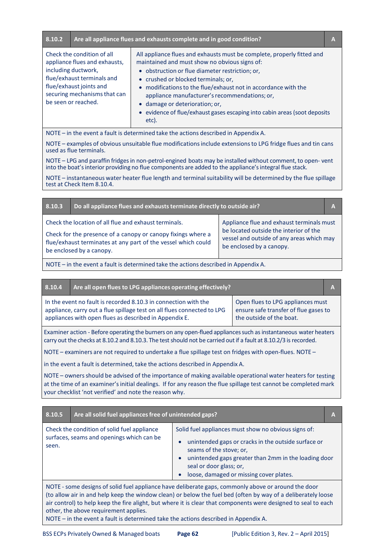| 8.10.2 |                                                                                                                                                                                                    | Are all appliance flues and exhausts complete and in good condition?                                                                                                                                                                                                                                                                                                                                                                                         | A |
|--------|----------------------------------------------------------------------------------------------------------------------------------------------------------------------------------------------------|--------------------------------------------------------------------------------------------------------------------------------------------------------------------------------------------------------------------------------------------------------------------------------------------------------------------------------------------------------------------------------------------------------------------------------------------------------------|---|
|        | Check the condition of all<br>appliance flues and exhausts,<br>including ductwork,<br>flue/exhaust terminals and<br>flue/exhaust joints and<br>securing mechanisms that can<br>be seen or reached. | All appliance flues and exhausts must be complete, properly fitted and<br>maintained and must show no obvious signs of:<br>• obstruction or flue diameter restriction; or,<br>• crushed or blocked terminals; or,<br>• modifications to the flue/exhaust not in accordance with the<br>appliance manufacturer's recommendations; or,<br>• damage or deterioration; or,<br>• evidence of flue/exhaust gases escaping into cabin areas (soot deposits<br>etc). |   |
|        |                                                                                                                                                                                                    | NOTE – in the event a fault is determined take the actions described in Appendix A.                                                                                                                                                                                                                                                                                                                                                                          |   |

NOTE – examples of obvious unsuitable flue modificationsinclude extensionsto LPG fridge flues and tin cans used as flue terminals.

NOTE – LPG and paraffin fridges in non-petrol-engined boats may be installed without comment, to open-vent into the boat's interior providing no flue components are added to the appliance's integral flue stack.

NOTE – instantaneous water heater flue length and terminal suitability will be determined by the flue spillage test at Check Item 8.10.4.

| Do all appliance flues and exhausts terminate directly to outside air?<br>8.10.3                                                                                                                                   |                                                                                                                                                              | A |
|--------------------------------------------------------------------------------------------------------------------------------------------------------------------------------------------------------------------|--------------------------------------------------------------------------------------------------------------------------------------------------------------|---|
| Check the location of all flue and exhaust terminals.<br>Check for the presence of a canopy or canopy fixings where a<br>flue/exhaust terminates at any part of the vessel which could<br>be enclosed by a canopy. | Appliance flue and exhaust terminals must<br>be located outside the interior of the<br>vessel and outside of any areas which may<br>be enclosed by a canopy. |   |

NOTE – in the event a fault is determined take the actions described in Appendix A.

| 8.10.4 | Are all open flues to LPG appliances operating effectively?                                                                                                                                          |                                                                                                        | A |
|--------|------------------------------------------------------------------------------------------------------------------------------------------------------------------------------------------------------|--------------------------------------------------------------------------------------------------------|---|
|        | In the event no fault is recorded 8.10.3 in connection with the<br>appliance, carry out a flue spillage test on all flues connected to LPG<br>appliances with open flues as described in Appendix E. | Open flues to LPG appliances must<br>ensure safe transfer of flue gases to<br>the outside of the boat. |   |

Examiner action - Before operating the burners on any open-flued appliances such as instantaneous water heaters carry out the checks at 8.10.2 and 8.10.3. The test should not be carried out if a fault at 8.10.2/3 is recorded.

NOTE – examiners are not required to undertake a flue spillage test on fridges with open‐flues. NOTE –

in the event a fault is determined, take the actions described in Appendix A.

NOTE – owners should be advised of the importance of making available operational water heaters for testing at the time of an examiner'sinitial dealings. If for any reason the flue spillage test cannot be completed mark your checklist 'not verified' and note the reason why.

| 8.10.5 | Are all solid fuel appliances free of unintended gaps?                                   |                                                                                                                                                                                                                                                                                                                                       | A |
|--------|------------------------------------------------------------------------------------------|---------------------------------------------------------------------------------------------------------------------------------------------------------------------------------------------------------------------------------------------------------------------------------------------------------------------------------------|---|
| seen.  | Check the condition of solid fuel appliance<br>surfaces, seams and openings which can be | Solid fuel appliances must show no obvious signs of:<br>unintended gaps or cracks in the outside surface or<br>$\bullet$<br>seams of the stove; or,<br>unintended gaps greater than 2mm in the loading door<br>$\bullet$<br>seal or door glass; or,<br>loose, damaged or missing cover plates.<br>$\bullet$                           |   |
|        | other, the above requirement applies.                                                    | NOTE - some designs of solid fuel appliance have deliberate gaps, commonly above or around the door<br>(to allow air in and help keep the window clean) or below the fuel bed (often by way of a deliberately loose<br>air control) to help keep the fire alight, but where it is clear that components were designed to seal to each |   |

NOTE – in the event a fault is determined take the actions described in Appendix A.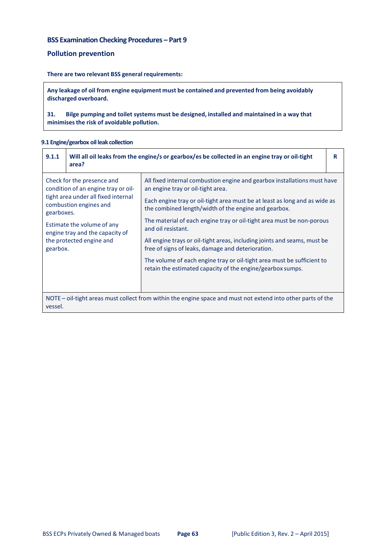# **BSS Examination Checking Procedures – Part 9**

# **Pollution prevention**

## **There are two relevant BSS general requirements:**

**Any leakage of oil from engine equipment must be contained and prevented from being avoidably discharged overboard.**

**31. Bilge pumping and toilet systems must be designed, installed and maintained in a way that minimisesthe risk of avoidable pollution.**

## **9.1 Engine/gearbox oil leak collection**

| 9.1.1                                                                                                                                            | area? | Will all oil leaks from the engine/s or gearbox/es be collected in an engine tray or oil-tight                                       | R |
|--------------------------------------------------------------------------------------------------------------------------------------------------|-------|--------------------------------------------------------------------------------------------------------------------------------------|---|
| Check for the presence and<br>condition of an engine tray or oil-<br>tight area under all fixed internal<br>combustion engines and<br>gearboxes. |       | All fixed internal combustion engine and gearbox installations must have<br>an engine tray or oil-tight area.                        |   |
|                                                                                                                                                  |       | Each engine tray or oil-tight area must be at least as long and as wide as<br>the combined length/width of the engine and gearbox.   |   |
| Estimate the volume of any<br>engine tray and the capacity of<br>the protected engine and<br>gearbox.                                            |       | The material of each engine tray or oil-tight area must be non-porous<br>and oil resistant.                                          |   |
|                                                                                                                                                  |       | All engine trays or oil-tight areas, including joints and seams, must be<br>free of signs of leaks, damage and deterioration.        |   |
|                                                                                                                                                  |       | The volume of each engine tray or oil-tight area must be sufficient to<br>retain the estimated capacity of the engine/gearbox sumps. |   |
| NOTE – oil-tight areas must collect from within the engine space and must not extend into other parts of the<br>vessel.                          |       |                                                                                                                                      |   |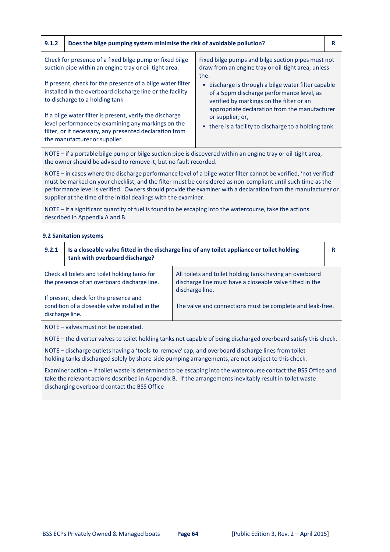# **9.1.2 Does the bilge pumping system minimise the risk of avoidable pollution? R**

| Check for presence of a fixed bilge pump or fixed bilge<br>suction pipe within an engine tray or oil-tight area.                                                                                           | Fixed bilge pumps and bilge suction pipes must not<br>draw from an engine tray or oil-tight area, unless<br>the:                                                                                         |
|------------------------------------------------------------------------------------------------------------------------------------------------------------------------------------------------------------|----------------------------------------------------------------------------------------------------------------------------------------------------------------------------------------------------------|
| If present, check for the presence of a bilge water filter<br>installed in the overboard discharge line or the facility<br>to discharge to a holding tank.                                                 | discharge is through a bilge water filter capable<br>$\bullet$<br>of a 5ppm discharge performance level, as<br>verified by markings on the filter or an<br>appropriate declaration from the manufacturer |
| If a bilge water filter is present, verify the discharge<br>level performance by examining any markings on the<br>filter, or if necessary, any presented declaration from<br>the manufacturer or supplier. | or supplier; or,<br>• there is a facility to discharge to a holding tank.                                                                                                                                |

NOTE – if a portable bilge pump or bilge suction pipe is discovered within an engine tray or oil‐tight area, the owner should be advised to remove it, but no fault recorded.

NOTE – in cases where the discharge performance level of a bilge water filter cannot be verified, 'not verified' must be marked on your checklist, and the filter must be considered as non-compliant until such time as the performance level is verified. Owners should provide the examiner with a declaration from the manufacturer or supplier at the time of the initial dealings with the examiner.

NOTE – if a significant quantity of fuel is found to be escaping into the watercourse, take the actions described in Appendix A and B.

## **9.2 Sanitation systems**

| 9.2.1                               | tank with overboard discharge?                                                                 | Is a closeable valve fitted in the discharge line of any toilet appliance or toilet holding                                             |  |
|-------------------------------------|------------------------------------------------------------------------------------------------|-----------------------------------------------------------------------------------------------------------------------------------------|--|
|                                     | Check all toilets and toilet holding tanks for<br>the presence of an overboard discharge line. | All toilets and toilet holding tanks having an overboard<br>discharge line must have a closeable valve fitted in the<br>discharge line. |  |
| discharge line.                     | If present, check for the presence and<br>condition of a closeable valve installed in the      | The valve and connections must be complete and leak-free.                                                                               |  |
| NOTE - valves must not be operated. |                                                                                                |                                                                                                                                         |  |

NOTE – the diverter valves to toilet holding tanks not capable of being discharged overboard satisfy this check.

NOTE – discharge outlets having a 'tools-to-remove' cap, and overboard discharge lines from toilet holding tanks discharged solely by shore‐side pumping arrangements, are not subject to this check.

Examiner action – if toilet waste is determined to be escaping into the watercourse contact the BSS Office and take the relevant actions described in Appendix B. If the arrangementsinevitably result in toilet waste discharging overboard contact the BSS Office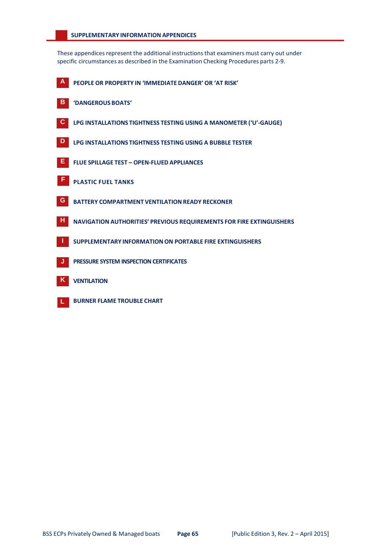#### **SUPPLEMENTARY INFORMATION APPENDICES**

These appendices represent the additional instructions that examiners must carry out under specific circumstances as described in the Examination Checking Procedures parts 2‐9.

- **A PEOPLE OR PROPERTY IN 'IMMEDIATE DANGER' OR 'AT RISK' B 'DANGEROUS BOATS' C LPG INSTALLATIONS TIGHTNESS TESTING USING A MANOMETER ('U'‐GAUGE) D LPG INSTALLATIONS TIGHTNESS TESTING USING A BUBBLE TESTER E FLUE SPILLAGE TEST – OPEN‐FLUED APPLIANCES <sup>F</sup> PLASTIC FUEL TANKS G BATTERY COMPARTMENT VENTILATION READY RECKONER H NAVIGATION AUTHORITIES' PREVIOUS REQUIREMENTS FOR FIRE EXTINGUISHERS I SUPPLEMENTARY INFORMATIONON PORTABLE FIRE EXTINGUISHERS J PRESSURE SYSTEM INSPECTION CERTIFICATES K VENTILATION**
- **L BURNER FLAME TROUBLE CHART**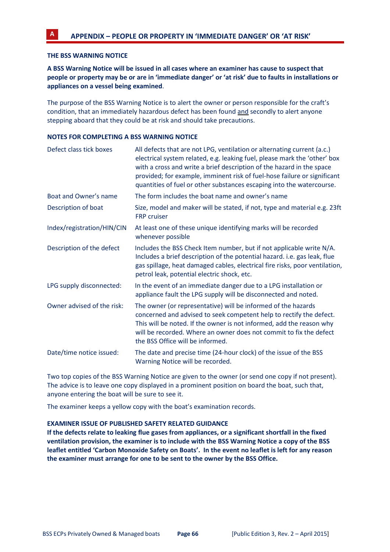# **THE BSS WARNING NOTICE**

**A BSS Warning Notice will be issued in all cases where an examiner has cause to suspect that** people or property may be or are in 'immediate danger' or 'at risk' due to faults in installations or **appliances on a vessel being examined**.

The purpose of the BSS Warning Notice is to alert the owner or person responsible for the craft's condition, that an immediately hazardous defect has been found and secondly to alert anyone stepping aboard that they could be at risk and should take precautions.

#### **NOTES FOR COMPLETING A BSS WARNING NOTICE**

| Defect class tick boxes    | All defects that are not LPG, ventilation or alternating current (a.c.)<br>electrical system related, e.g. leaking fuel, please mark the 'other' box<br>with a cross and write a brief description of the hazard in the space<br>provided; for example, imminent risk of fuel-hose failure or significant<br>quantities of fuel or other substances escaping into the watercourse. |
|----------------------------|------------------------------------------------------------------------------------------------------------------------------------------------------------------------------------------------------------------------------------------------------------------------------------------------------------------------------------------------------------------------------------|
| Boat and Owner's name      | The form includes the boat name and owner's name                                                                                                                                                                                                                                                                                                                                   |
| Description of boat        | Size, model and maker will be stated, if not, type and material e.g. 23ft<br><b>FRP</b> cruiser                                                                                                                                                                                                                                                                                    |
| Index/registration/HIN/CIN | At least one of these unique identifying marks will be recorded<br>whenever possible                                                                                                                                                                                                                                                                                               |
| Description of the defect  | Includes the BSS Check Item number, but if not applicable write N/A.<br>Includes a brief description of the potential hazard. i.e. gas leak, flue<br>gas spillage, heat damaged cables, electrical fire risks, poor ventilation,<br>petrol leak, potential electric shock, etc.                                                                                                    |
| LPG supply disconnected:   | In the event of an immediate danger due to a LPG installation or<br>appliance fault the LPG supply will be disconnected and noted.                                                                                                                                                                                                                                                 |
| Owner advised of the risk: | The owner (or representative) will be informed of the hazards<br>concerned and advised to seek competent help to rectify the defect.<br>This will be noted. If the owner is not informed, add the reason why<br>will be recorded. Where an owner does not commit to fix the defect<br>the BSS Office will be informed.                                                             |
| Date/time notice issued:   | The date and precise time (24-hour clock) of the issue of the BSS<br>Warning Notice will be recorded.                                                                                                                                                                                                                                                                              |

Two top copies of the BSS Warning Notice are given to the owner (or send one copy if not present). The advice is to leave one copy displayed in a prominent position on board the boat, such that, anyone entering the boat will be sure to see it.

The examiner keeps a yellow copy with the boat's examination records.

#### **EXAMINER ISSUE OF PUBLISHED SAFETY RELATED GUIDANCE**

**If the defects relate to leaking flue gases from appliances, or a significant shortfall in the fixed ventilation provision, the examiner is to include with the BSS Warning Notice a copy of the BSS leaflet entitled 'Carbon Monoxide Safety on Boats'. In the event no leaflet is left for any reason the examiner must arrange for one to be sent to the owner by the BSS Office.**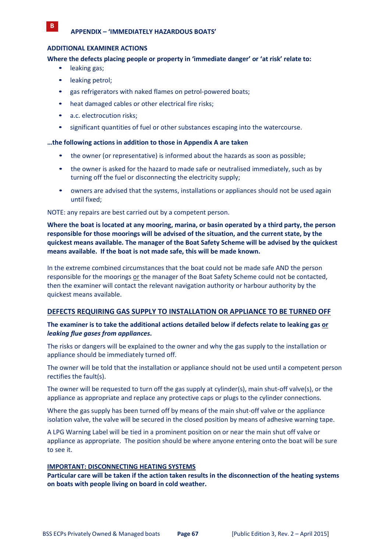## **ADDITIONAL EXAMINER ACTIONS**

## **Where the defects placing people or property in 'immediate danger' or 'at risk' relate to:**

• leaking gas;

**B**

- leaking petrol;
- gas refrigerators with naked flames on petrol-powered boats;
- heat damaged cables or other electrical fire risks;
- a.c. electrocution risks;
- significant quantities of fuel or other substances escaping into the watercourse.

#### **…the following actions in addition to those in Appendix A are taken**

- the owner (or representative) is informed about the hazards as soon as possible;
- the owner is asked for the hazard to made safe or neutralised immediately, such as by turning off the fuel or disconnecting the electricity supply;
- owners are advised that the systems, installations or appliances should not be used again until fixed;

#### NOTE: any repairs are best carried out by a competent person.

**Where the boat is located at any mooring, marina, or basin operated by a third party, the person responsible for those moorings will be advised of the situation, and the current state, by the quickest means available. The manager of the Boat Safety Scheme will be advised by the quickest means available. If the boat is not made safe, this will be made known.**

In the extreme combined circumstances that the boat could not be made safe AND the person responsible for the moorings or the manager of the Boat Safety Scheme could not be contacted, then the examiner will contact the relevant navigation authority or harbour authority by the quickest means available.

# **DEFECTS REQUIRING GAS SUPPLY TO INSTALLATION OR APPLIANCE TO BE TURNED OFF**

# **The examiner is to take the additional actions detailed below if defects relate to leaking gas or** *leaking flue gases from appliances***.**

The risks or dangers will be explained to the owner and why the gas supply to the installation or appliance should be immediately turned off.

The owner will be told that the installation or appliance should not be used until a competent person rectifies the fault(s).

The owner will be requested to turn off the gas supply at cylinder(s), main shut‐off valve(s), or the appliance as appropriate and replace any protective caps or plugs to the cylinder connections.

Where the gas supply has been turned off by means of the main shut-off valve or the appliance isolation valve, the valve will be secured in the closed position by means of adhesive warning tape.

A LPG Warning Label will be tied in a prominent position on or near the main shut off valve or appliance as appropriate. The position should be where anyone entering onto the boat will be sure to see it.

#### **IMPORTANT: DISCONNECTING HEATING SYSTEMS**

**Particular care will be taken if the action taken results in the disconnection of the heating systems on boats with people living on board in cold weather.**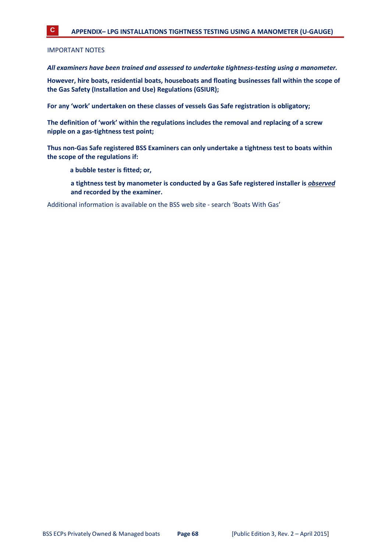IMPORTANT NOTES

*All examiners have been trained and assessed to undertake tightness‐testing using a manometer.*

**However, hire boats, residential boats, houseboats and floating businesses fall within the scope of the Gas Safety (Installation and Use) Regulations (GSIUR);**

**For any 'work' undertaken on these classes of vessels Gas Safe registration is obligatory;**

**The definition of 'work' within the regulations includes the removal and replacing of a screw nipple on a gas‐tightness test point;**

**Thus non‐Gas Safe registered BSS Examiners can only undertake a tightness test to boats within the scope of the regulations if:**

**a bubble tester is fitted; or,**

**a tightness test by manometer is conducted by a Gas Safe registered installer is** *observed* **and recorded by the examiner.**

Additional information is available on the BSS web site ‐ search 'Boats With Gas'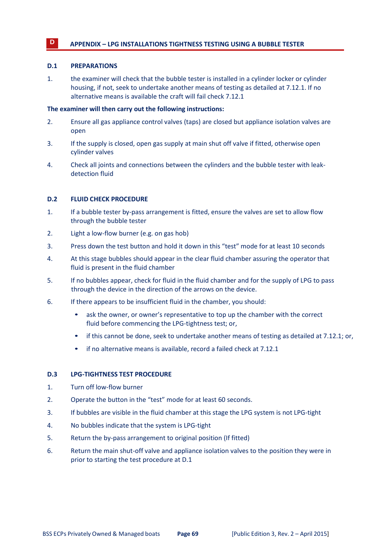# **<sup>D</sup> APPENDIX – LPG INSTALLATIONS TIGHTNESS TESTING USING A BUBBLE TESTER**

#### **D.1 PREPARATIONS**

1. the examiner will check that the bubble tester is installed in a cylinder locker or cylinder housing, if not, seek to undertake another means of testing as detailed at 7.12.1. If no alternative means is available the craft will fail check 7.12.1

## **The examiner will then carry out the following instructions:**

- 2. Ensure all gas appliance control valves (taps) are closed but appliance isolation valves are open
- 3. If the supply is closed, open gas supply at main shut off valve if fitted, otherwise open cylinder valves
- 4. Check all joints and connections between the cylinders and the bubble tester with leak‐ detection fluid

## **D.2 FLUID CHECK PROCEDURE**

- 1. If a bubble tester by‐pass arrangement is fitted, ensure the valves are set to allow flow through the bubble tester
- 2. Light a low‐flow burner (e.g. on gas hob)
- 3. Press down the test button and hold it down in this "test" mode for at least 10 seconds
- 4. At this stage bubbles should appear in the clear fluid chamber assuring the operator that fluid is present in the fluid chamber
- 5. If no bubbles appear, check for fluid in the fluid chamber and for the supply of LPG to pass through the device in the direction of the arrows on the device.
- 6. If there appears to be insufficient fluid in the chamber, you should:
	- ask the owner, or owner's representative to top up the chamber with the correct fluid before commencing the LPG‐tightness test; or,
	- if this cannot be done, seek to undertake another means of testing as detailed at 7.12.1; or,
	- if no alternative means is available, record a failed check at 7.12.1

#### **D.3 LPG‐TIGHTNESS TEST PROCEDURE**

- 1. Turn off low-flow burner
- 2. Operate the button in the "test" mode for at least 60 seconds.
- 3. If bubbles are visible in the fluid chamber at this stage the LPG system is not LPG‐tight
- 4. No bubbles indicate that the system is LPG‐tight
- 5. Return the by-pass arrangement to original position (If fitted)
- 6. Return the main shut‐off valve and appliance isolation valves to the position they were in prior to starting the test procedure at D.1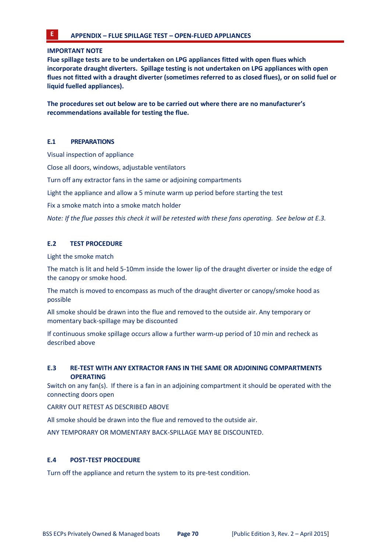#### **IMPORTANT NOTE**

**Flue spillage tests are to be undertaken on LPG appliances fitted with open flues which incorporate draught diverters. Spillage testing is not undertaken on LPG appliances with open** flues not fitted with a draught diverter (sometimes referred to as closed flues), or on solid fuel or **liquid fuelled appliances).**

**The procedures set out below are to be carried out where there are no manufacturer's recommendations available for testing the flue.**

## **E.1 PREPARATIONS**

Visual inspection of appliance

Close all doors, windows, adjustable ventilators

Turn off any extractor fans in the same or adjoining compartments

Light the appliance and allow a 5 minute warm up period before starting the test

Fix a smoke match into a smoke match holder

Note: If the flue passes this check it will be retested with these fans operating. See below at E.3.

# **E.2 TEST PROCEDURE**

Light the smoke match

The match is lit and held 5‐10mm inside the lower lip of the draught diverter or inside the edge of the canopy or smoke hood.

The match is moved to encompass as much of the draught diverter or canopy/smoke hood as possible

All smoke should be drawn into the flue and removed to the outside air. Any temporary or momentary back‐spillage may be discounted

If continuous smoke spillage occurs allow a further warm-up period of 10 min and recheck as described above

# **E.3 RE‐TEST WITH ANY EXTRACTOR FANS IN THE SAME OR ADJOINING COMPARTMENTS OPERATING**

Switch on any fan(s). If there is a fan in an adjoining compartment it should be operated with the connecting doors open

CARRY OUT RETEST AS DESCRIBED ABOVE

All smoke should be drawn into the flue and removed to the outside air.

ANY TEMPORARY OR MOMENTARY BACK‐SPILLAGE MAY BE DISCOUNTED.

# **E.4 POST‐TEST PROCEDURE**

Turn off the appliance and return the system to its pre‐test condition.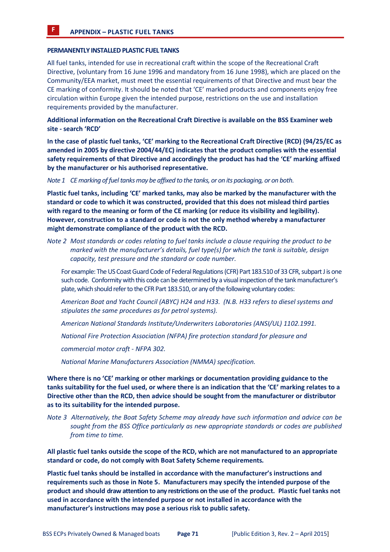**F APPENDIX – PLASTIC FUEL TANKS**

#### **PERMANENTLY INSTALLED PLASTIC FUEL TANKS**

All fuel tanks, intended for use in recreational craft within the scope of the Recreational Craft Directive, (voluntary from 16 June 1996 and mandatory from 16 June 1998), which are placed on the Community/EEA market, must meet the essential requirements of that Directive and must bear the CE marking of conformity. It should be noted that 'CE' marked products and components enjoy free circulation within Europe given the intended purpose, restrictions on the use and installation requirements provided by the manufacturer.

**Additional information on the Recreational Craft Directive is available on the BSS Examiner web site ‐ search 'RCD'**

**In the case of plastic fuel tanks, 'CE' marking to the Recreational Craft Directive (RCD) (94/25/EC as amended in 2005 by directive 2004/44/EC) indicates that the product complies with the essential safety requirements of that Directive and accordingly the product has had the 'CE' marking affixed by the manufacturer or his authorised representative.**

*Note 1 CEmarking of fueltanksmay be affixed to the tanks, or on its packaging, or on both*.

**Plastic fuel tanks, including 'CE' marked tanks, may also be marked by the manufacturer with the standard or code to which it was constructed, provided that this does not mislead third parties with regard to the meaning or form of the CE marking (or reduce its visibility and legibility). However, construction to a standard or code is not the only method whereby a manufacturer might demonstrate compliance of the product with the RCD.**

Note 2 Most standards or codes relating to fuel tanks include a clause requiring the product to be *marked with the manufacturer's details, fuel type(s) for which the tank is suitable, design capacity, test pressure and the standard or code number.*

For example: The US Coast Guard Code of Federal Regulations (CFR) Part 183.510 of 33 CFR, subpart J is one such code. Conformity with this code can be determined by a visual inspection of the tank manufacturer's plate, which should refer to the CFR Part 183.510, or any of the following voluntary codes:

*American Boat and Yacht Council (ABYC) H24 and H33. (N.B. H33 refers to diesel systems and stipulates the same procedures as for petrol systems).*

*American National Standards Institute/Underwriters Laboratories (ANSI/UL) 1102.1991.*

*National Fire Protection Association (NFPA) fire protection standard for pleasure and*

*commercial motor craft ‐ NFPA 302.*

*National Marine Manufacturers Association (NMMA) specification.*

**Where there is no 'CE' marking or other markings or documentation providing guidance to the** tanks suitability for the fuel used, or where there is an indication that the 'CE' marking relates to a **Directive other than the RCD, then advice should be sought from the manufacturer or distributor as to its suitability for the intended purpose.**

*Note 3 Alternatively, the Boat Safety Scheme may already have such information and advice can be sought from the BSS Office particularly as new appropriate standards or codes are published from time to time.*

**All plastic fuel tanks outside the scope of the RCD, which are not manufactured to an appropriate standard or code, do not comply with Boat Safety Scheme requirements***.*

**Plastic fuel tanks should be installed in accordance with the manufacturer's instructions and requirements such as those in Note 5. Manufacturers may specify the intended purpose of the** product and should draw attention to any restrictions on the use of the product. Plastic fuel tanks not **used in accordance with the intended purpose or not installed in accordance with the manufacturer's instructions may pose a serious risk to public safety.**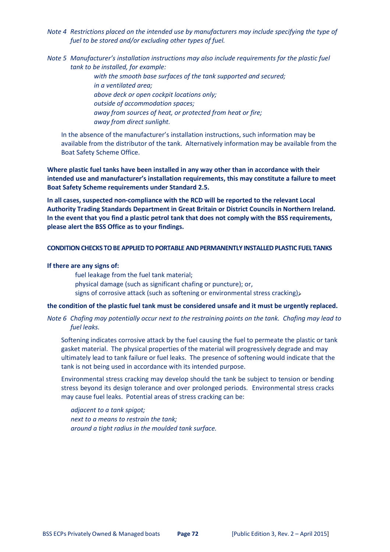*Note 4 Restrictions placed on the intended use by manufacturers may include specifying the type of fuel to be stored and/or excluding other types of fuel.*

*Note 5 Manufacturer's installation instructions may also include requirements for the plastic fuel tank to be installed, for example:*

> *with the smooth base surfaces of the tank supported and secured; in a ventilated area; above deck or open cockpit locations only; outside of accommodation spaces; away from sources of heat, or protected from heat or fire; away from direct sunlight.*

In the absence of the manufacturer's installation instructions, such information may be available from the distributor of the tank. Alternatively information may be available from the Boat Safety Scheme Office.

**Where plastic fuel tanks have been installed in any way other than in accordance with their intended use and manufacturer's installation requirements, this may constitute a failure to meet Boat Safety Scheme requirements under Standard 2.5.**

**In all cases, suspected non‐compliance with the RCD will be reported to the relevant Local Authority Trading Standards Department in Great Britain or District Councils in Northern Ireland. In the event that you find a plastic petrol tank that does not comply with the BSS requirements, please alert the BSS Office as to your findings.**

#### **CONDITIONCHECKS TOBEAPPLIEDTOPORTABLE ANDPERMANENTLY INSTALLEDPLASTIC FUEL TANKS**

#### **If there are any signs of:**

fuel leakage from the fuel tank material;

- physical damage (such as significant chafing or puncture); or,
- signs of corrosive attack (such as softening or environmental stress cracking);

#### **the condition of the plastic fuel tank must be considered unsafe and it must be urgently replaced.**

Note 6 Chafing may potentially occur next to the restraining points on the tank. Chafing may lead to *fuel leaks.*

Softening indicates corrosive attack by the fuel causing the fuel to permeate the plastic or tank gasket material. The physical properties of the material will progressively degrade and may ultimately lead to tank failure or fuel leaks. The presence of softening would indicate that the tank is not being used in accordance with its intended purpose.

Environmental stress cracking may develop should the tank be subject to tension or bending stress beyond its design tolerance and over prolonged periods. Environmental stress cracks may cause fuel leaks. Potential areas of stress cracking can be:

*adjacent to a tank spigot; next to a means to restrain the tank; around a tight radius in the moulded tank surface.*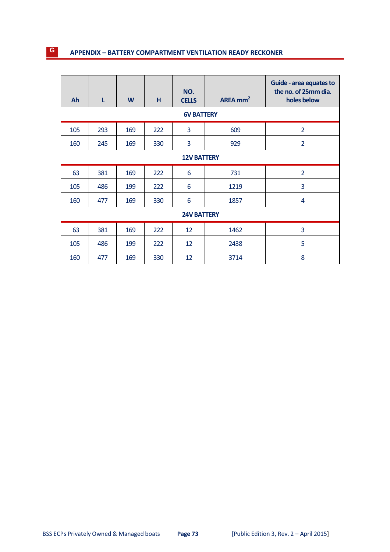# **<sup>G</sup> APPENDIX – BATTERY COMPARTMENT VENTILATION READY RECKONER**

| Ah  | L   | W   | H   | NO.<br><b>CELLS</b> | AREA $mm2$ | Guide - area equates to<br>the no. of 25mm dia.<br>holes below |
|-----|-----|-----|-----|---------------------|------------|----------------------------------------------------------------|
|     |     |     |     | <b>6V BATTERY</b>   |            |                                                                |
| 105 | 293 | 169 | 222 | 3                   | 609        | $\overline{2}$                                                 |
| 160 | 245 | 169 | 330 | 3                   | 929        | $\overline{2}$                                                 |
|     |     |     |     | <b>12V BATTERY</b>  |            |                                                                |
| 63  | 381 | 169 | 222 | 6                   | 731        | $\overline{2}$                                                 |
| 105 | 486 | 199 | 222 | 6                   | 1219       | 3                                                              |
| 160 | 477 | 169 | 330 | 6                   | 1857       | $\overline{4}$                                                 |
|     |     |     |     | <b>24V BATTERY</b>  |            |                                                                |
| 63  | 381 | 169 | 222 | 12                  | 1462       | 3                                                              |
| 105 | 486 | 199 | 222 | 12                  | 2438       | 5                                                              |
| 160 | 477 | 169 | 330 | 12                  | 3714       | 8                                                              |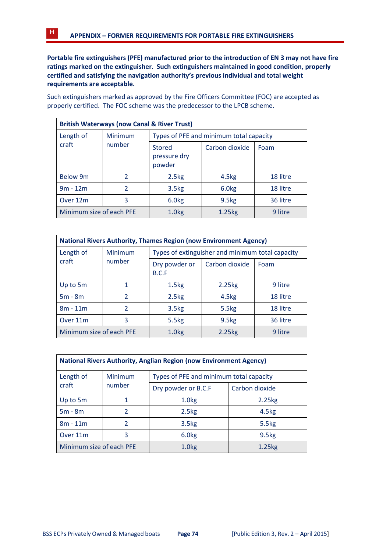**Portable fire extinguishers (PFE) manufactured prior to the introduction of EN 3 may not have fire ratings marked on the extinguisher. Such extinguishers maintained in good condition, properly certified and satisfying the navigation authority's previous individual and total weight requirements are acceptable.**

Such extinguishers marked as approved by the Fire Officers Committee (FOC) are accepted as properly certified. The FOC scheme was the predecessor to the LPCB scheme.

| <b>British Waterways (now Canal &amp; River Trust)</b> |               |                                         |                   |          |  |
|--------------------------------------------------------|---------------|-----------------------------------------|-------------------|----------|--|
| Length of                                              | Minimum       | Types of PFE and minimum total capacity |                   |          |  |
| craft                                                  | number        | <b>Stored</b><br>pressure dry<br>powder | Carbon dioxide    | Foam     |  |
| <b>Below 9m</b>                                        | $\mathcal{L}$ | 2.5 <sub>kg</sub>                       | 4.5kg             | 18 litre |  |
| $9m - 12m$                                             | 2             | 3.5 <sub>kg</sub>                       | 6.0kg             | 18 litre |  |
| Over 12m                                               | 3             | 6.0kg                                   | 9.5 <sub>kg</sub> | 36 litre |  |
| Minimum size of each PFE                               |               | 1.0 <sub>kg</sub>                       | 1.25kg            | 9 litre  |  |

| <b>National Rivers Authority, Thames Region (now Environment Agency)</b> |                |                                                  |                   |          |  |
|--------------------------------------------------------------------------|----------------|--------------------------------------------------|-------------------|----------|--|
| Length of                                                                | Minimum        | Types of extinguisher and minimum total capacity |                   |          |  |
| craft                                                                    | number         | Dry powder or<br>B.C.F                           | Carbon dioxide    | Foam     |  |
| Up to 5m                                                                 | 1              | 1.5 <sub>kg</sub>                                | 2.25kg            | 9 litre  |  |
| $5m - 8m$                                                                | $\mathcal{P}$  | 2.5 <sub>kg</sub>                                | 4.5 <sub>kg</sub> | 18 litre |  |
| $8m - 11m$                                                               | $\overline{2}$ | 3.5 <sub>kg</sub>                                | 5.5kg             | 18 litre |  |
| Over 11m                                                                 | 3              | 5.5kg                                            | 9.5 <sub>kg</sub> | 36 litre |  |
| Minimum size of each PFE                                                 |                | 1.0 <sub>kg</sub>                                | 2.25kg            | 9 litre  |  |

| <b>National Rivers Authority, Anglian Region (now Environment Agency)</b> |               |                                         |                   |  |
|---------------------------------------------------------------------------|---------------|-----------------------------------------|-------------------|--|
| Length of                                                                 | Minimum       | Types of PFE and minimum total capacity |                   |  |
| craft                                                                     | number        | Dry powder or B.C.F                     | Carbon dioxide    |  |
| Up to 5m                                                                  | 1             | 1.0 <sub>kg</sub>                       | 2.25kg            |  |
| $5m - 8m$                                                                 | $\mathcal{P}$ | 2.5 <sub>kg</sub>                       | 4.5 <sub>kg</sub> |  |
| $8m - 11m$                                                                | $\mathcal{P}$ | 3.5 <sub>kg</sub>                       | 5.5 <sub>kg</sub> |  |
| Over 11 <sub>m</sub>                                                      | 3             | 6.0kg                                   | 9.5 <sub>kg</sub> |  |
| Minimum size of each PFE                                                  |               | 1.0 <sub>kg</sub>                       | 1.25kg            |  |

BSS ECPs Privately Owned & Managed boats **Page 74** [Public Edition 3, Rev. 2 – April 2015]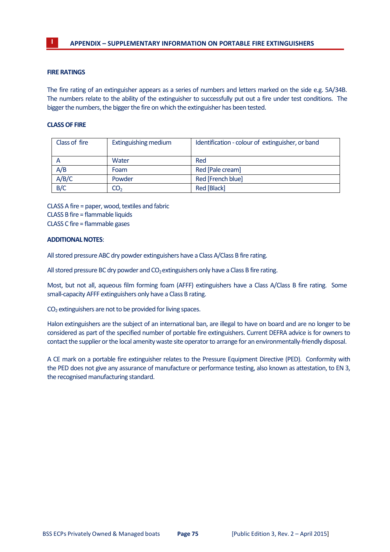#### **FIRE RATINGS**

The fire rating of an extinguisher appears as a series of numbers and letters marked on the side e.g. 5A/34B. The numbers relate to the ability of the extinguisher to successfully put out a fire under test conditions. The bigger the numbers, the bigger the fire on which the extinguisher has been tested.

#### **CLASSOF FIRE**

| Class of fire | Extinguishing medium | Identification - colour of extinguisher, or band |
|---------------|----------------------|--------------------------------------------------|
| А             | Water                | Red                                              |
| A/B           | Foam                 | Red [Pale cream]                                 |
| A/B/C         | Powder               | Red [French blue]                                |
| B/C           | CO <sub>2</sub>      | Red [Black]                                      |

CLASS A fire = paper, wood, textiles and fabric CLASS B fire = flammable liquids CLASS C fire = flammable gases

#### **ADDITIONALNOTES**:

All stored pressure ABC dry powder extinguishers have a Class A/Class B fire rating.

All stored pressure BC dry powder and  $CO<sub>2</sub>$  extinguishers only have a Class B fire rating.

Most, but not all, aqueous film forming foam (AFFF) extinguishers have a Class A/Class B fire rating. Some small-capacity AFFF extinguishers only have a Class B rating.

 $CO<sub>2</sub>$  extinguishers are not to be provided for living spaces.

Halon extinguishers are the subject of an international ban, are illegal to have on board and are no longer to be considered as part of the specified number of portable fire extinguishers. Current DEFRA advice is for owners to contact the supplier or the local amenity waste site operator to arrange for an environmentally-friendly disposal.

A CE mark on a portable fire extinguisher relates to the Pressure Equipment Directive (PED). Conformity with the PED does not give any assurance of manufacture or performance testing, also known as attestation, to EN 3, the recognised manufacturing standard.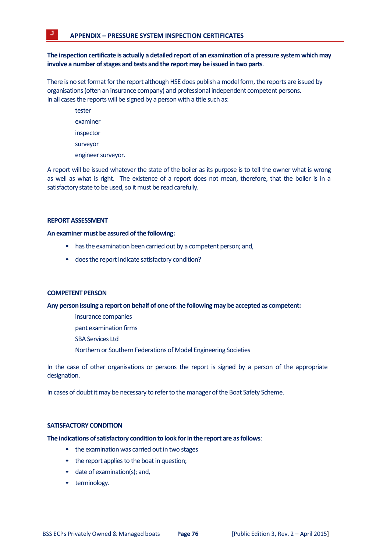# **The inspectioncertificate is actually a detailedreport of an examination of a pressure system which may involve a number ofstages and tests and the report may be issued in two parts**.

There is no set format for the report although HSE does publish a model form, the reports are issued by organisations(often an insurance company) and professional independent competent persons. In all cases the reports will be signed by a person with a title such as:

> tester examiner

inspector

surveyor

engineer surveyor.

A report will be issued whatever the state of the boiler as its purpose is to tell the owner what is wrong as well as what is right. The existence of a report does not mean, therefore, that the boiler is in a satisfactory state to be used, so it must be read carefully.

#### **REPORT ASSESSMENT**

#### **An examiner must be assured ofthe following:**

- has the examination been carried out by a competent person; and,
- does the report indicate satisfactory condition?

#### **COMPETENT PERSON**

#### **Any person issuing a report on behalf of one ofthe following may be accepted as competent:**

insurance companies

pant examination firms

SBA Services Ltd

Northern or Southern Federations of Model Engineering Societies

In the case of other organisations or persons the report is signed by a person of the appropriate designation.

In cases of doubt it may be necessary to refer to the manager of the Boat Safety Scheme.

#### **SATISFACTORY CONDITION**

#### **The indications ofsatisfactory condition tolook forin the report are asfollows**:

- the examination was carried out in two stages
- the report applies to the boat in question;
- date of examination(s); and,
- terminology.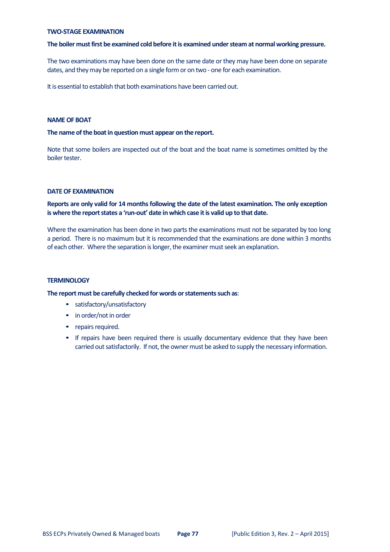#### **TWO‐STAGE EXAMINATION**

#### **The boiler mustfirst be examined cold before itis examined understeam at normalworking pressure.**

The two examinations may have been done on the same date or they may have been done on separate dates, and they may be reported on a single form or on two - one for each examination.

It is essential to establish that both examinations have been carried out.

#### **NAMEOF BOAT**

#### **The name ofthe boatin question must appear on the report.**

Note that some boilers are inspected out of the boat and the boat name is sometimes omitted by the boiler tester.

#### **DATEOF EXAMINATION**

## **Reports are only valid for 14 monthsfollowing the date of the latest examination. The only exception is where the reportstates a 'run‐out' date inwhich case itis valid up to that date.**

Where the examination has been done in two parts the examinations must not be separated by too long a period. There is no maximum but it is recommended that the examinations are done within 3 months of each other. Where the separation is longer, the examiner must seek an explanation.

#### **TERMINOLOGY**

**The report must be carefully checked for words orstatementssuch as**:

- satisfactory/unsatisfactory
- in order/not in order
- repairs required.
- If repairs have been required there is usually documentary evidence that they have been carried out satisfactorily. If not, the owner must be asked to supply the necessary information.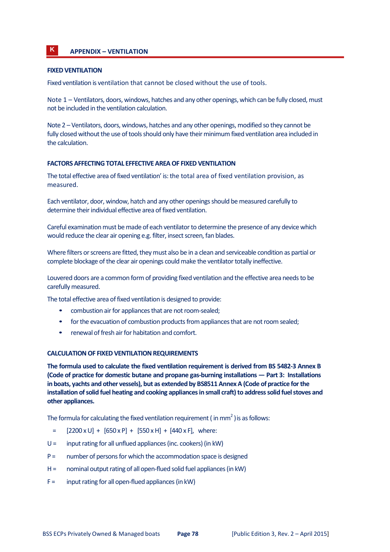# **K APPENDIX – VENTILATION**

### **FIXED VENTILATION**

Fixed ventilation is ventilation that cannot be closed without the use of tools.

Note 1 – Ventilators, doors, windows, hatches and any other openings, which can be fully closed, must not be included in the ventilation calculation.

Note 2 – Ventilators, doors, windows, hatches and any other openings, modified so they cannot be fully closed without the use of tools should only have their minimum fixed ventilation area included in the calculation.

#### **FACTORS AFFECTING TOTAL EFFECTIVEAREAOF FIXED VENTILATION**

The total effective area of fixed ventilation' is:the total area of fixed ventilation provision, as measured.

Each ventilator, door, window, hatch and any other openingsshould bemeasured carefully to determine their individual effective area of fixed ventilation.

Careful examination must be made of each ventilator to determine the presence of any device which would reduce the clear air opening e.g. filter, insect screen, fan blades.

Where filters or screens are fitted, they must also be in a clean and serviceable condition as partial or complete blockage of the clear air openings could make the ventilator totally ineffective.

Louvered doors are a common form of providing fixed ventilation and the effective area needs to be carefully measured.

The total effective area of fixed ventilation is designed to provide:

- combustion air for appliances that are not room-sealed;
- for the evacuation of combustion products from appliances that are not room sealed;
- renewal of fresh air for habitation and comfort.

#### **CALCULATION OF FIXED VENTILATION REQUIREMENTS**

**The formula used to calculate the fixed ventilation requirement is derived from BS 5482‐3 Annex B (Code of practice for domestic butane and propane gas‐burning installations — Part 3: Installations in boats, yachts and other vessels), but as extended by BS8511AnnexA (Code of practice forthe installation ofsolid fuel heating and cooking appliancesin small craft)to addresssolid fuelstoves and other appliances.**

The formula for calculating the fixed ventilation requirement ( $\text{in mm}^2$ ) is as follows:

- $=$  [2200 x U] + [650 x P] + [550 x H] + [440 x F], where:
- $U =$  input rating for all unflued appliances (inc. cookers) (in kW)
- $P =$  number of persons for which the accommodation space is designed
- $H =$  nominal output rating of all open-flued solid fuel appliances (in kW)
- $F =$  input rating for all open-flued appliances (in kW)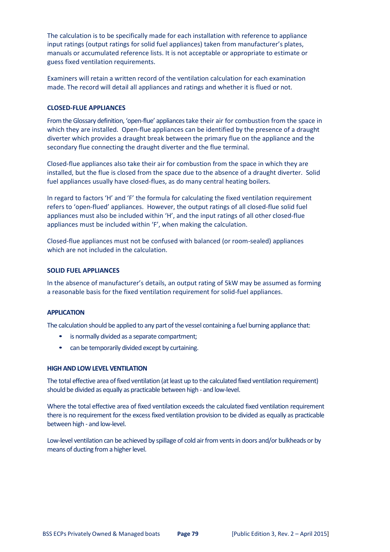The calculation is to be specifically made for each installation with reference to appliance input ratings (output ratings for solid fuel appliances) taken from manufacturer's plates, manuals or accumulated reference lists. It is not acceptable or appropriate to estimate or guess fixed ventilation requirements.

Examiners will retain a written record of the ventilation calculation for each examination made. The record will detail all appliances and ratings and whether it is flued or not.

#### **CLOSED‐FLUE APPLIANCES**

From the Glossary definition, 'open-flue' appliances take their air for combustion from the space in which they are installed. Open-flue appliances can be identified by the presence of a draught diverter which provides a draught break between the primary flue on the appliance and the secondary flue connecting the draught diverter and the flue terminal.

Closed‐flue appliances also take their air for combustion from the space in which they are installed, but the flue is closed from the space due to the absence of a draught diverter. Solid fuel appliances usually have closed‐flues, as do many central heating boilers.

In regard to factors 'H' and 'F' the formula for calculating the fixed ventilation requirement refers to 'open‐flued' appliances. However, the output ratings of all closed‐flue solid fuel appliances must also be included within 'H', and the input ratings of all other closed-flue appliances must be included within 'F', when making the calculation.

Closed‐flue appliances must not be confused with balanced (or room‐sealed) appliances which are not included in the calculation.

#### **SOLID FUEL APPLIANCES**

In the absence of manufacturer's details, an output rating of 5kW may be assumed as forming a reasonable basis for the fixed ventilation requirement for solid-fuel appliances.

#### **APPLICATION**

The calculation should be applied to any part of the vessel containing a fuel burning appliance that:

- is normally divided as a separate compartment;
- can be temporarily divided except by curtaining.

#### **HIGHANDLOWLEVEL VENTILATION**

The total effective area of fixed ventilation (at least up to the calculated fixed ventilation requirement) should be divided as equally as practicable between high ‐ and low‐level.

Where the total effective area of fixed ventilation exceeds the calculated fixed ventilation requirement there is no requirement for the excess fixed ventilation provision to be divided as equally as practicable between high ‐ and low‐level.

Low-level ventilation can be achieved by spillage of cold air from vents in doors and/or bulkheads or by means of ducting from a higher level.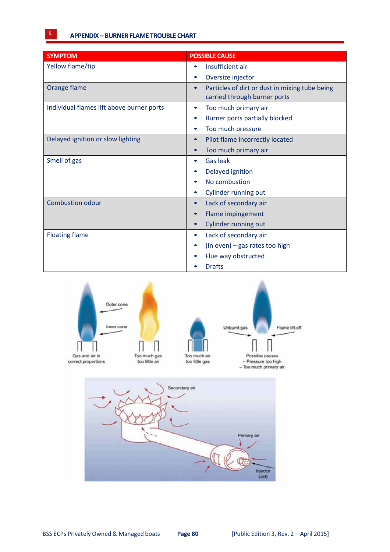| <b>SYMPTOM</b>                            | <b>POSSIBLE CAUSE</b>                                                                       |
|-------------------------------------------|---------------------------------------------------------------------------------------------|
| Yellow flame/tip                          | Insufficient air                                                                            |
|                                           | Oversize injector                                                                           |
| Orange flame                              | Particles of dirt or dust in mixing tube being<br>$\bullet$<br>carried through burner ports |
| Individual flames lift above burner ports | Too much primary air<br>$\bullet$                                                           |
|                                           | Burner ports partially blocked                                                              |
|                                           | Too much pressure                                                                           |
| Delayed ignition or slow lighting         | Pilot flame incorrectly located<br>$\bullet$                                                |
|                                           | Too much primary air                                                                        |
| Smell of gas                              | <b>Gas leak</b>                                                                             |
|                                           | Delayed ignition                                                                            |
|                                           | No combustion                                                                               |
|                                           | Cylinder running out                                                                        |
| <b>Combustion odour</b>                   | Lack of secondary air<br>$\bullet$                                                          |
|                                           | Flame impingement                                                                           |
|                                           | Cylinder running out                                                                        |
| <b>Floating flame</b>                     | Lack of secondary air<br>$\bullet$                                                          |
|                                           | (In oven) - gas rates too high                                                              |
|                                           | Flue way obstructed                                                                         |
|                                           | <b>Drafts</b>                                                                               |

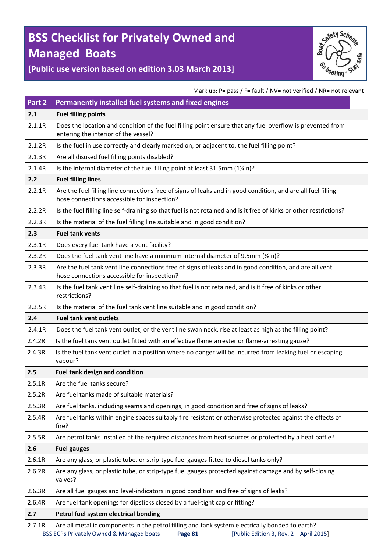# **BSS Checklist for Privately Owned and Managed Boats**



**[Public use version based on edition 3.03 March 2013]**

Mark up: P= pass / F= fault / NV= not verified / NR= not relevant

| Part 2 | Permanently installed fuel systems and fixed engines                                                                                                        |  |
|--------|-------------------------------------------------------------------------------------------------------------------------------------------------------------|--|
| 2.1    | <b>Fuel filling points</b>                                                                                                                                  |  |
| 2.1.1R | Does the location and condition of the fuel filling point ensure that any fuel overflow is prevented from<br>entering the interior of the vessel?           |  |
| 2.1.2R | Is the fuel in use correctly and clearly marked on, or adjacent to, the fuel filling point?                                                                 |  |
| 2.1.3R | Are all disused fuel filling points disabled?                                                                                                               |  |
| 2.1.4R | Is the internal diameter of the fuel filling point at least 31.5mm (1¼in)?                                                                                  |  |
| 2.2    | <b>Fuel filling lines</b>                                                                                                                                   |  |
| 2.2.1R | Are the fuel filling line connections free of signs of leaks and in good condition, and are all fuel filling<br>hose connections accessible for inspection? |  |
| 2.2.2R | Is the fuel filling line self-draining so that fuel is not retained and is it free of kinks or other restrictions?                                          |  |
| 2.2.3R | Is the material of the fuel filling line suitable and in good condition?                                                                                    |  |
| 2.3    | <b>Fuel tank vents</b>                                                                                                                                      |  |
| 2.3.1R | Does every fuel tank have a vent facility?                                                                                                                  |  |
| 2.3.2R | Does the fuel tank vent line have a minimum internal diameter of 9.5mm (%in)?                                                                               |  |
| 2.3.3R | Are the fuel tank vent line connections free of signs of leaks and in good condition, and are all vent<br>hose connections accessible for inspection?       |  |
| 2.3.4R | Is the fuel tank vent line self-draining so that fuel is not retained, and is it free of kinks or other<br>restrictions?                                    |  |
| 2.3.5R | Is the material of the fuel tank vent line suitable and in good condition?                                                                                  |  |
| 2.4    | <b>Fuel tank vent outlets</b>                                                                                                                               |  |
| 2.4.1R | Does the fuel tank vent outlet, or the vent line swan neck, rise at least as high as the filling point?                                                     |  |
| 2.4.2R | Is the fuel tank vent outlet fitted with an effective flame arrester or flame-arresting gauze?                                                              |  |
| 2.4.3R | Is the fuel tank vent outlet in a position where no danger will be incurred from leaking fuel or escaping<br>vapour?                                        |  |
| 2.5    | <b>Fuel tank design and condition</b>                                                                                                                       |  |
| 2.5.1R | Are the fuel tanks secure?                                                                                                                                  |  |
| 2.5.2R | Are fuel tanks made of suitable materials?                                                                                                                  |  |
| 2.5.3R | Are fuel tanks, including seams and openings, in good condition and free of signs of leaks?                                                                 |  |
| 2.5.4R | Are fuel tanks within engine spaces suitably fire resistant or otherwise protected against the effects of<br>fire?                                          |  |
| 2.5.5R | Are petrol tanks installed at the required distances from heat sources or protected by a heat baffle?                                                       |  |
| 2.6    | <b>Fuel gauges</b>                                                                                                                                          |  |
| 2.6.1R | Are any glass, or plastic tube, or strip-type fuel gauges fitted to diesel tanks only?                                                                      |  |
| 2.6.2R | Are any glass, or plastic tube, or strip-type fuel gauges protected against damage and by self-closing<br>valves?                                           |  |
| 2.6.3R | Are all fuel gauges and level-indicators in good condition and free of signs of leaks?                                                                      |  |
| 2.6.4R | Are fuel tank openings for dipsticks closed by a fuel-tight cap or fitting?                                                                                 |  |
| 2.7    | Petrol fuel system electrical bonding                                                                                                                       |  |
| 2.7.1R | Are all metallic components in the petrol filling and tank system electrically bonded to earth?                                                             |  |
|        | [Public Edition 3, Rev. 2 - April 2015]<br><b>BSS ECPs Privately Owned &amp; Managed boats</b><br>Page 81                                                   |  |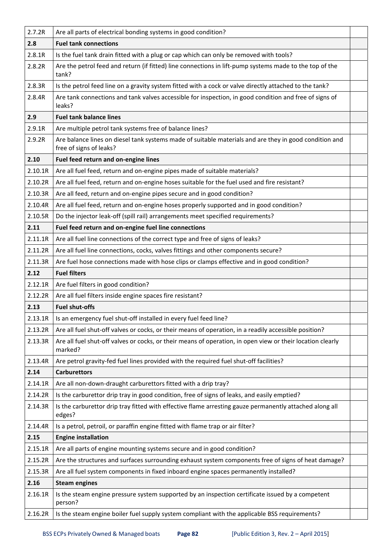| 2.7.2R  | Are all parts of electrical bonding systems in good condition?                                                                    |  |
|---------|-----------------------------------------------------------------------------------------------------------------------------------|--|
| 2.8     | <b>Fuel tank connections</b>                                                                                                      |  |
| 2.8.1R  | Is the fuel tank drain fitted with a plug or cap which can only be removed with tools?                                            |  |
| 2.8.2R  | Are the petrol feed and return (if fitted) line connections in lift-pump systems made to the top of the<br>tank?                  |  |
| 2.8.3R  | Is the petrol feed line on a gravity system fitted with a cock or valve directly attached to the tank?                            |  |
| 2.8.4R  | Are tank connections and tank valves accessible for inspection, in good condition and free of signs of<br>leaks?                  |  |
| 2.9     | <b>Fuel tank balance lines</b>                                                                                                    |  |
| 2.9.1R  | Are multiple petrol tank systems free of balance lines?                                                                           |  |
| 2.9.2R  | Are balance lines on diesel tank systems made of suitable materials and are they in good condition and<br>free of signs of leaks? |  |
| 2.10    | Fuel feed return and on-engine lines                                                                                              |  |
| 2.10.1R | Are all fuel feed, return and on-engine pipes made of suitable materials?                                                         |  |
| 2.10.2R | Are all fuel feed, return and on-engine hoses suitable for the fuel used and fire resistant?                                      |  |
| 2.10.3R | Are all feed, return and on-engine pipes secure and in good condition?                                                            |  |
| 2.10.4R | Are all fuel feed, return and on-engine hoses properly supported and in good condition?                                           |  |
| 2.10.5R | Do the injector leak-off (spill rail) arrangements meet specified requirements?                                                   |  |
| 2.11    | Fuel feed return and on-engine fuel line connections                                                                              |  |
| 2.11.1R | Are all fuel line connections of the correct type and free of signs of leaks?                                                     |  |
| 2.11.2R | Are all fuel line connections, cocks, valves fittings and other components secure?                                                |  |
| 2.11.3R | Are fuel hose connections made with hose clips or clamps effective and in good condition?                                         |  |
| 2.12    | <b>Fuel filters</b>                                                                                                               |  |
| 2.12.1R | Are fuel filters in good condition?                                                                                               |  |
| 2.12.2R | Are all fuel filters inside engine spaces fire resistant?                                                                         |  |
| 2.13    | <b>Fuel shut-offs</b>                                                                                                             |  |
| 2.13.1R | Is an emergency fuel shut-off installed in every fuel feed line?                                                                  |  |
| 2.13.2R | Are all fuel shut-off valves or cocks, or their means of operation, in a readily accessible position?                             |  |
| 2.13.3R | Are all fuel shut-off valves or cocks, or their means of operation, in open view or their location clearly<br>marked?             |  |
| 2.13.4R | Are petrol gravity-fed fuel lines provided with the required fuel shut-off facilities?                                            |  |
| 2.14    | <b>Carburettors</b>                                                                                                               |  |
| 2.14.1R | Are all non-down-draught carburettors fitted with a drip tray?                                                                    |  |
| 2.14.2R | Is the carburettor drip tray in good condition, free of signs of leaks, and easily emptied?                                       |  |
| 2.14.3R | Is the carburettor drip tray fitted with effective flame arresting gauze permanently attached along all<br>edges?                 |  |
| 2.14.4R | Is a petrol, petroil, or paraffin engine fitted with flame trap or air filter?                                                    |  |
| 2.15    | <b>Engine installation</b>                                                                                                        |  |
| 2.15.1R | Are all parts of engine mounting systems secure and in good condition?                                                            |  |
| 2.15.2R | Are the structures and surfaces surrounding exhaust system components free of signs of heat damage?                               |  |
| 2.15.3R | Are all fuel system components in fixed inboard engine spaces permanently installed?                                              |  |
| 2.16    | <b>Steam engines</b>                                                                                                              |  |
| 2.16.1R | Is the steam engine pressure system supported by an inspection certificate issued by a competent<br>person?                       |  |
| 2.16.2R | Is the steam engine boiler fuel supply system compliant with the applicable BSS requirements?                                     |  |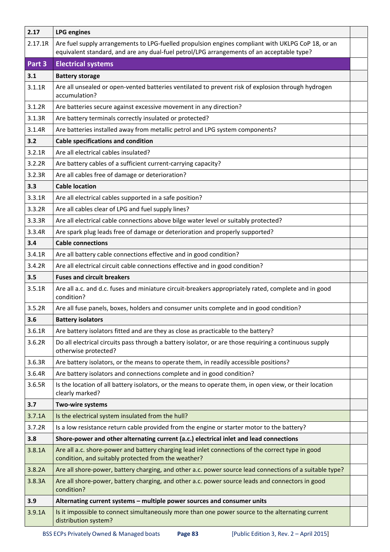| 2.17    | <b>LPG engines</b>                                                                                                                                                                             |  |
|---------|------------------------------------------------------------------------------------------------------------------------------------------------------------------------------------------------|--|
| 2.17.1R | Are fuel supply arrangements to LPG-fuelled propulsion engines compliant with UKLPG CoP 18, or an<br>equivalent standard, and are any dual-fuel petrol/LPG arrangements of an acceptable type? |  |
| Part 3  | <b>Electrical systems</b>                                                                                                                                                                      |  |
| 3.1     | <b>Battery storage</b>                                                                                                                                                                         |  |
| 3.1.1R  | Are all unsealed or open-vented batteries ventilated to prevent risk of explosion through hydrogen<br>accumulation?                                                                            |  |
| 3.1.2R  | Are batteries secure against excessive movement in any direction?                                                                                                                              |  |
| 3.1.3R  | Are battery terminals correctly insulated or protected?                                                                                                                                        |  |
| 3.1.4R  | Are batteries installed away from metallic petrol and LPG system components?                                                                                                                   |  |
| 3.2     | <b>Cable specifications and condition</b>                                                                                                                                                      |  |
| 3.2.1R  | Are all electrical cables insulated?                                                                                                                                                           |  |
| 3.2.2R  | Are battery cables of a sufficient current-carrying capacity?                                                                                                                                  |  |
| 3.2.3R  | Are all cables free of damage or deterioration?                                                                                                                                                |  |
| 3.3     | <b>Cable location</b>                                                                                                                                                                          |  |
| 3.3.1R  | Are all electrical cables supported in a safe position?                                                                                                                                        |  |
| 3.3.2R  | Are all cables clear of LPG and fuel supply lines?                                                                                                                                             |  |
| 3.3.3R  | Are all electrical cable connections above bilge water level or suitably protected?                                                                                                            |  |
| 3.3.4R  | Are spark plug leads free of damage or deterioration and properly supported?                                                                                                                   |  |
| 3.4     | <b>Cable connections</b>                                                                                                                                                                       |  |
| 3.4.1R  | Are all battery cable connections effective and in good condition?                                                                                                                             |  |
| 3.4.2R  | Are all electrical circuit cable connections effective and in good condition?                                                                                                                  |  |
| 3.5     | <b>Fuses and circuit breakers</b>                                                                                                                                                              |  |
| 3.5.1R  | Are all a.c. and d.c. fuses and miniature circuit-breakers appropriately rated, complete and in good<br>condition?                                                                             |  |
| 3.5.2R  | Are all fuse panels, boxes, holders and consumer units complete and in good condition?                                                                                                         |  |
| 3.6     | <b>Battery isolators</b>                                                                                                                                                                       |  |
| 3.6.1R  | Are battery isolators fitted and are they as close as practicable to the battery?                                                                                                              |  |
| 3.6.2R  | Do all electrical circuits pass through a battery isolator, or are those requiring a continuous supply<br>otherwise protected?                                                                 |  |
| 3.6.3R  | Are battery isolators, or the means to operate them, in readily accessible positions?                                                                                                          |  |
| 3.6.4R  | Are battery isolators and connections complete and in good condition?                                                                                                                          |  |
| 3.6.5R  | Is the location of all battery isolators, or the means to operate them, in open view, or their location<br>clearly marked?                                                                     |  |
| 3.7     | Two-wire systems                                                                                                                                                                               |  |
| 3.7.1A  | Is the electrical system insulated from the hull?                                                                                                                                              |  |
| 3.7.2R  | Is a low resistance return cable provided from the engine or starter motor to the battery?                                                                                                     |  |
| 3.8     | Shore-power and other alternating current (a.c.) electrical inlet and lead connections                                                                                                         |  |
| 3.8.1A  | Are all a.c. shore-power and battery charging lead inlet connections of the correct type in good<br>condition, and suitably protected from the weather?                                        |  |
| 3.8.2A  | Are all shore-power, battery charging, and other a.c. power source lead connections of a suitable type?                                                                                        |  |
| 3.8.3A  | Are all shore-power, battery charging, and other a.c. power source leads and connectors in good<br>condition?                                                                                  |  |
| 3.9     | Alternating current systems - multiple power sources and consumer units                                                                                                                        |  |
| 3.9.1A  | Is it impossible to connect simultaneously more than one power source to the alternating current<br>distribution system?                                                                       |  |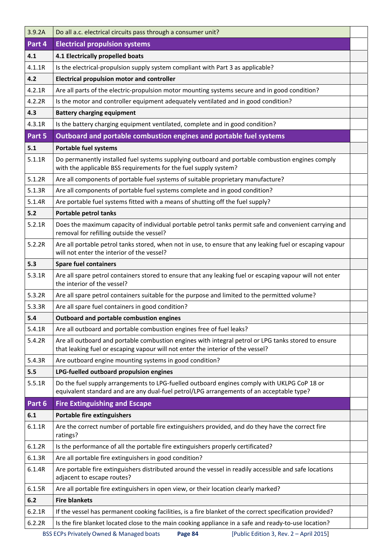| 3.9.2A | Do all a.c. electrical circuits pass through a consumer unit?                                                                                                                           |  |
|--------|-----------------------------------------------------------------------------------------------------------------------------------------------------------------------------------------|--|
| Part 4 | <b>Electrical propulsion systems</b>                                                                                                                                                    |  |
| 4.1    | 4.1 Electrically propelled boats                                                                                                                                                        |  |
| 4.1.1R | Is the electrical-propulsion supply system compliant with Part 3 as applicable?                                                                                                         |  |
| 4.2    | <b>Electrical propulsion motor and controller</b>                                                                                                                                       |  |
| 4.2.1R | Are all parts of the electric-propulsion motor mounting systems secure and in good condition?                                                                                           |  |
| 4.2.2R | Is the motor and controller equipment adequately ventilated and in good condition?                                                                                                      |  |
| 4.3    | <b>Battery charging equipment</b>                                                                                                                                                       |  |
| 4.3.1R | Is the battery charging equipment ventilated, complete and in good condition?                                                                                                           |  |
| Part 5 | Outboard and portable combustion engines and portable fuel systems                                                                                                                      |  |
| 5.1    | <b>Portable fuel systems</b>                                                                                                                                                            |  |
| 5.1.1R | Do permanently installed fuel systems supplying outboard and portable combustion engines comply<br>with the applicable BSS requirements for the fuel supply system?                     |  |
| 5.1.2R | Are all components of portable fuel systems of suitable proprietary manufacture?                                                                                                        |  |
| 5.1.3R | Are all components of portable fuel systems complete and in good condition?                                                                                                             |  |
| 5.1.4R | Are portable fuel systems fitted with a means of shutting off the fuel supply?                                                                                                          |  |
| $5.2$  | <b>Portable petrol tanks</b>                                                                                                                                                            |  |
| 5.2.1R | Does the maximum capacity of individual portable petrol tanks permit safe and convenient carrying and<br>removal for refilling outside the vessel?                                      |  |
| 5.2.2R | Are all portable petrol tanks stored, when not in use, to ensure that any leaking fuel or escaping vapour<br>will not enter the interior of the vessel?                                 |  |
| 5.3    | <b>Spare fuel containers</b>                                                                                                                                                            |  |
| 5.3.1R | Are all spare petrol containers stored to ensure that any leaking fuel or escaping vapour will not enter<br>the interior of the vessel?                                                 |  |
| 5.3.2R | Are all spare petrol containers suitable for the purpose and limited to the permitted volume?                                                                                           |  |
| 5.3.3R | Are all spare fuel containers in good condition?                                                                                                                                        |  |
| 5.4    | <b>Outboard and portable combustion engines</b>                                                                                                                                         |  |
| 5.4.1R | Are all outboard and portable combustion engines free of fuel leaks?                                                                                                                    |  |
| 5.4.2R | Are all outboard and portable combustion engines with integral petrol or LPG tanks stored to ensure                                                                                     |  |
|        | that leaking fuel or escaping vapour will not enter the interior of the vessel?                                                                                                         |  |
| 5.4.3R | Are outboard engine mounting systems in good condition?                                                                                                                                 |  |
| 5.5    | LPG-fuelled outboard propulsion engines                                                                                                                                                 |  |
| 5.5.1R | Do the fuel supply arrangements to LPG-fuelled outboard engines comply with UKLPG CoP 18 or<br>equivalent standard and are any dual-fuel petrol/LPG arrangements of an acceptable type? |  |
| Part 6 | <b>Fire Extinguishing and Escape</b>                                                                                                                                                    |  |
| 6.1    | <b>Portable fire extinguishers</b>                                                                                                                                                      |  |
| 6.1.1R | Are the correct number of portable fire extinguishers provided, and do they have the correct fire<br>ratings?                                                                           |  |
| 6.1.2R | Is the performance of all the portable fire extinguishers properly certificated?                                                                                                        |  |
| 6.1.3R | Are all portable fire extinguishers in good condition?                                                                                                                                  |  |
| 6.1.4R | Are portable fire extinguishers distributed around the vessel in readily accessible and safe locations<br>adjacent to escape routes?                                                    |  |
| 6.1.5R | Are all portable fire extinguishers in open view, or their location clearly marked?                                                                                                     |  |
| 6.2    | <b>Fire blankets</b>                                                                                                                                                                    |  |
| 6.2.1R | If the vessel has permanent cooking facilities, is a fire blanket of the correct specification provided?                                                                                |  |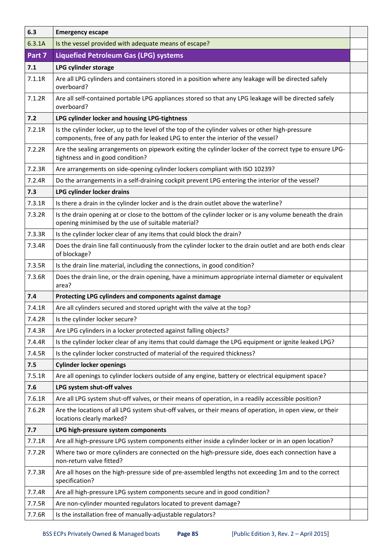| 6.3    | <b>Emergency escape</b>                                                                                                                                                              |  |
|--------|--------------------------------------------------------------------------------------------------------------------------------------------------------------------------------------|--|
| 6.3.1A | Is the vessel provided with adequate means of escape?                                                                                                                                |  |
| Part 7 | <b>Liquefied Petroleum Gas (LPG) systems</b>                                                                                                                                         |  |
| 7.1    | LPG cylinder storage                                                                                                                                                                 |  |
| 7.1.1R | Are all LPG cylinders and containers stored in a position where any leakage will be directed safely<br>overboard?                                                                    |  |
| 7.1.2R | Are all self-contained portable LPG appliances stored so that any LPG leakage will be directed safely<br>overboard?                                                                  |  |
| 7.2    | LPG cylinder locker and housing LPG-tightness                                                                                                                                        |  |
| 7.2.1R | Is the cylinder locker, up to the level of the top of the cylinder valves or other high-pressure<br>components, free of any path for leaked LPG to enter the interior of the vessel? |  |
| 7.2.2R | Are the sealing arrangements on pipework exiting the cylinder locker of the correct type to ensure LPG-<br>tightness and in good condition?                                          |  |
| 7.2.3R | Are arrangements on side-opening cylinder lockers compliant with ISO 10239?                                                                                                          |  |
| 7.2.4R | Do the arrangements in a self-draining cockpit prevent LPG entering the interior of the vessel?                                                                                      |  |
| 7.3    | LPG cylinder locker drains                                                                                                                                                           |  |
| 7.3.1R | Is there a drain in the cylinder locker and is the drain outlet above the waterline?                                                                                                 |  |
| 7.3.2R | Is the drain opening at or close to the bottom of the cylinder locker or is any volume beneath the drain<br>opening minimised by the use of suitable material?                       |  |
| 7.3.3R | Is the cylinder locker clear of any items that could block the drain?                                                                                                                |  |
| 7.3.4R | Does the drain line fall continuously from the cylinder locker to the drain outlet and are both ends clear<br>of blockage?                                                           |  |
| 7.3.5R | Is the drain line material, including the connections, in good condition?                                                                                                            |  |
| 7.3.6R | Does the drain line, or the drain opening, have a minimum appropriate internal diameter or equivalent<br>area?                                                                       |  |
| 7.4    | Protecting LPG cylinders and components against damage                                                                                                                               |  |
| 7.4.1R | Are all cylinders secured and stored upright with the valve at the top?                                                                                                              |  |
| 7.4.2R | Is the cylinder locker secure?                                                                                                                                                       |  |
| 7.4.3R | Are LPG cylinders in a locker protected against falling objects?                                                                                                                     |  |
| 7.4.4R | Is the cylinder locker clear of any items that could damage the LPG equipment or ignite leaked LPG?                                                                                  |  |
| 7.4.5R | Is the cylinder locker constructed of material of the required thickness?                                                                                                            |  |
| 7.5    | <b>Cylinder locker openings</b>                                                                                                                                                      |  |
| 7.5.1R | Are all openings to cylinder lockers outside of any engine, battery or electrical equipment space?                                                                                   |  |
| 7.6    | LPG system shut-off valves                                                                                                                                                           |  |
| 7.6.1R | Are all LPG system shut-off valves, or their means of operation, in a readily accessible position?                                                                                   |  |
| 7.6.2R | Are the locations of all LPG system shut-off valves, or their means of operation, in open view, or their<br>locations clearly marked?                                                |  |
| 7.7    | LPG high-pressure system components                                                                                                                                                  |  |
| 7.7.1R | Are all high-pressure LPG system components either inside a cylinder locker or in an open location?                                                                                  |  |
| 7.7.2R | Where two or more cylinders are connected on the high-pressure side, does each connection have a<br>non-return valve fitted?                                                         |  |
| 7.7.3R | Are all hoses on the high-pressure side of pre-assembled lengths not exceeding 1m and to the correct<br>specification?                                                               |  |
| 7.7.4R | Are all high-pressure LPG system components secure and in good condition?                                                                                                            |  |
| 7.7.5R | Are non-cylinder mounted regulators located to prevent damage?                                                                                                                       |  |
| 7.7.6R | Is the installation free of manually-adjustable regulators?                                                                                                                          |  |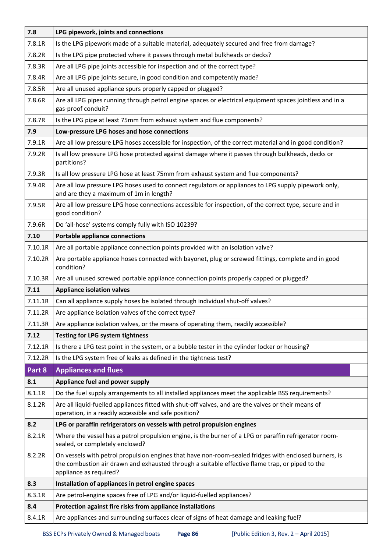| 7.8     | LPG pipework, joints and connections                                                                                                                                                                                               |  |
|---------|------------------------------------------------------------------------------------------------------------------------------------------------------------------------------------------------------------------------------------|--|
| 7.8.1R  | Is the LPG pipework made of a suitable material, adequately secured and free from damage?                                                                                                                                          |  |
| 7.8.2R  | Is the LPG pipe protected where it passes through metal bulkheads or decks?                                                                                                                                                        |  |
| 7.8.3R  | Are all LPG pipe joints accessible for inspection and of the correct type?                                                                                                                                                         |  |
| 7.8.4R  | Are all LPG pipe joints secure, in good condition and competently made?                                                                                                                                                            |  |
| 7.8.5R  | Are all unused appliance spurs properly capped or plugged?                                                                                                                                                                         |  |
| 7.8.6R  | Are all LPG pipes running through petrol engine spaces or electrical equipment spaces jointless and in a<br>gas-proof conduit?                                                                                                     |  |
| 7.8.7R  | Is the LPG pipe at least 75mm from exhaust system and flue components?                                                                                                                                                             |  |
| 7.9     | Low-pressure LPG hoses and hose connections                                                                                                                                                                                        |  |
| 7.9.1R  | Are all low pressure LPG hoses accessible for inspection, of the correct material and in good condition?                                                                                                                           |  |
| 7.9.2R  | Is all low pressure LPG hose protected against damage where it passes through bulkheads, decks or<br>partitions?                                                                                                                   |  |
| 7.9.3R  | Is all low pressure LPG hose at least 75mm from exhaust system and flue components?                                                                                                                                                |  |
| 7.9.4R  | Are all low pressure LPG hoses used to connect regulators or appliances to LPG supply pipework only,<br>and are they a maximum of 1m in length?                                                                                    |  |
| 7.9.5R  | Are all low pressure LPG hose connections accessible for inspection, of the correct type, secure and in<br>good condition?                                                                                                         |  |
| 7.9.6R  | Do 'all-hose' systems comply fully with ISO 10239?                                                                                                                                                                                 |  |
| 7.10    | <b>Portable appliance connections</b>                                                                                                                                                                                              |  |
| 7.10.1R | Are all portable appliance connection points provided with an isolation valve?                                                                                                                                                     |  |
| 7.10.2R | Are portable appliance hoses connected with bayonet, plug or screwed fittings, complete and in good<br>condition?                                                                                                                  |  |
| 7.10.3R | Are all unused screwed portable appliance connection points properly capped or plugged?                                                                                                                                            |  |
| 7.11    | <b>Appliance isolation valves</b>                                                                                                                                                                                                  |  |
| 7.11.1R | Can all appliance supply hoses be isolated through individual shut-off valves?                                                                                                                                                     |  |
| 7.11.2R | Are appliance isolation valves of the correct type?                                                                                                                                                                                |  |
| 7.11.3R | Are appliance isolation valves, or the means of operating them, readily accessible?                                                                                                                                                |  |
| 7.12    | <b>Testing for LPG system tightness</b>                                                                                                                                                                                            |  |
| 7.12.1R | Is there a LPG test point in the system, or a bubble tester in the cylinder locker or housing?                                                                                                                                     |  |
| 7.12.2R | Is the LPG system free of leaks as defined in the tightness test?                                                                                                                                                                  |  |
| Part 8  | <b>Appliances and flues</b>                                                                                                                                                                                                        |  |
| 8.1     | Appliance fuel and power supply                                                                                                                                                                                                    |  |
| 8.1.1R  | Do the fuel supply arrangements to all installed appliances meet the applicable BSS requirements?                                                                                                                                  |  |
| 8.1.2R  | Are all liquid-fuelled appliances fitted with shut-off valves, and are the valves or their means of<br>operation, in a readily accessible and safe position?                                                                       |  |
| 8.2     | LPG or paraffin refrigerators on vessels with petrol propulsion engines                                                                                                                                                            |  |
| 8.2.1R  | Where the vessel has a petrol propulsion engine, is the burner of a LPG or paraffin refrigerator room-<br>sealed, or completely enclosed?                                                                                          |  |
| 8.2.2R  | On vessels with petrol propulsion engines that have non-room-sealed fridges with enclosed burners, is<br>the combustion air drawn and exhausted through a suitable effective flame trap, or piped to the<br>appliance as required? |  |
| 8.3     | Installation of appliances in petrol engine spaces                                                                                                                                                                                 |  |
| 8.3.1R  | Are petrol-engine spaces free of LPG and/or liquid-fuelled appliances?                                                                                                                                                             |  |
| 8.4     | Protection against fire risks from appliance installations                                                                                                                                                                         |  |
| 8.4.1R  | Are appliances and surrounding surfaces clear of signs of heat damage and leaking fuel?                                                                                                                                            |  |